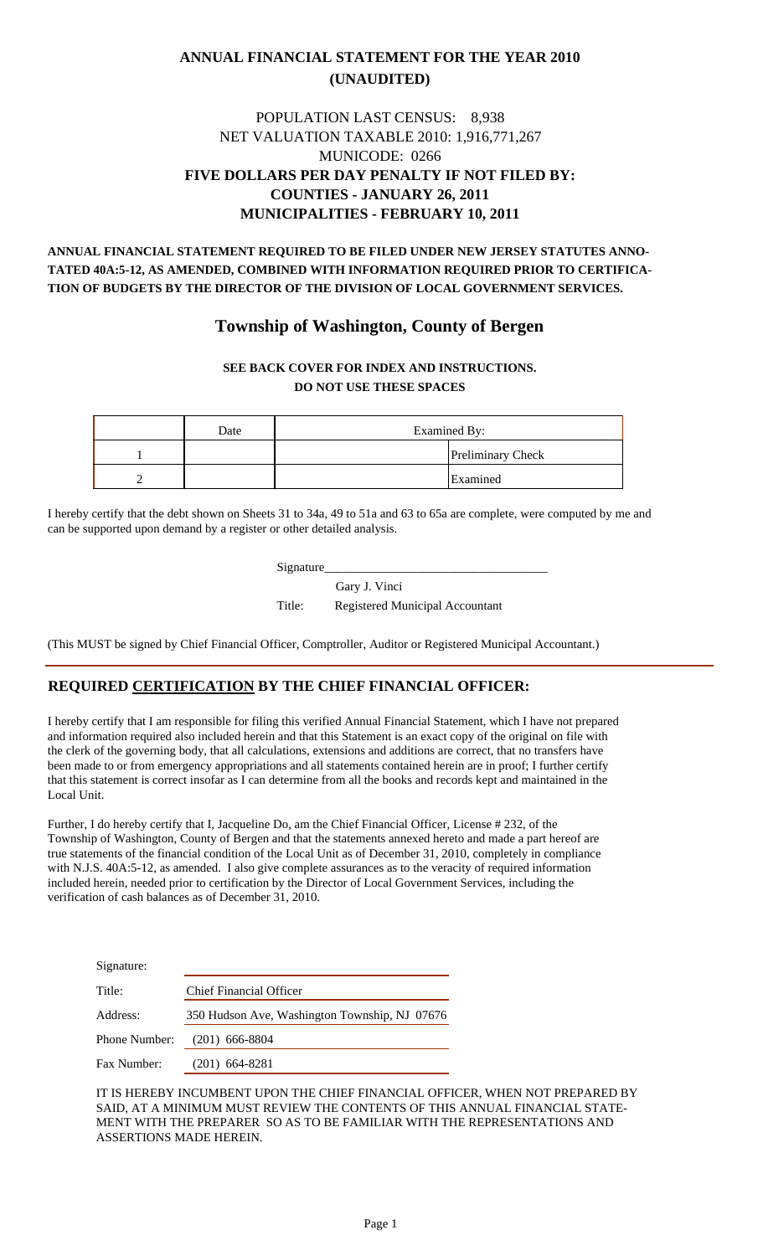### **ANNUAL FINANCIAL STATEMENT FOR THE YEAR 2010 (UNAUDITED)**

#### MUNICODE: 0266 POPULATION LAST CENSUS: 8,938 NET VALUATION TAXABLE 2010: 1,916,771,267 **FIVE DOLLARS PER DAY PENALTY IF NOT FILED BY: COUNTIES - JANUARY 26, 2011 MUNICIPALITIES - FEBRUARY 10, 2011**

**ANNUAL FINANCIAL STATEMENT REQUIRED TO BE FILED UNDER NEW JERSEY STATUTES ANNO-TATED 40A:5-12, AS AMENDED, COMBINED WITH INFORMATION REQUIRED PRIOR TO CERTIFICA-TION OF BUDGETS BY THE DIRECTOR OF THE DIVISION OF LOCAL GOVERNMENT SERVICES.**

### **Township of Washington, County of Bergen**

#### **SEE BACK COVER FOR INDEX AND INSTRUCTIONS. DO NOT USE THESE SPACES**

| Date | Examined By: |                          |  |
|------|--------------|--------------------------|--|
|      |              | <b>Preliminary Check</b> |  |
|      |              | Examined                 |  |

I hereby certify that the debt shown on Sheets 31 to 34a, 49 to 51a and 63 to 65a are complete, were computed by me and can be supported upon demand by a register or other detailed analysis.

Signature\_\_\_\_\_\_\_\_\_\_\_\_\_\_\_\_\_\_\_\_\_\_\_\_\_\_\_\_\_\_\_\_\_\_\_\_

Gary J. Vinci

Title: Registered Municipal Accountant

(This MUST be signed by Chief Financial Officer, Comptroller, Auditor or Registered Municipal Accountant.)

#### **REQUIRED CERTIFICATION BY THE CHIEF FINANCIAL OFFICER:**

I hereby certify that I am responsible for filing this verified Annual Financial Statement, which I have not prepared and information required also included herein and that this Statement is an exact copy of the original on file with the clerk of the governing body, that all calculations, extensions and additions are correct, that no transfers have been made to or from emergency appropriations and all statements contained herein are in proof; I further certify that this statement is correct insofar as I can determine from all the books and records kept and maintained in the Local Unit.

Further, I do hereby certify that I, Jacqueline Do, am the Chief Financial Officer, License # 232, of the Township of Washington, County of Bergen and that the statements annexed hereto and made a part hereof are true statements of the financial condition of the Local Unit as of December 31, 2010, completely in compliance with N.J.S. 40A:5-12, as amended. I also give complete assurances as to the veracity of required information included herein, needed prior to certification by the Director of Local Government Services, including the verification of cash balances as of December 31, 2010.

| Signature:           |                                               |
|----------------------|-----------------------------------------------|
| Title:               | Chief Financial Officer                       |
| Address:             | 350 Hudson Ave, Washington Township, NJ 07676 |
| <b>Phone Number:</b> | $(201)$ 666-8804                              |
| Fax Number:          | $(201)$ 664-8281                              |

IT IS HEREBY INCUMBENT UPON THE CHIEF FINANCIAL OFFICER, WHEN NOT PREPARED BY SAID, AT A MINIMUM MUST REVIEW THE CONTENTS OF THIS ANNUAL FINANCIAL STATE-MENT WITH THE PREPARER SO AS TO BE FAMILIAR WITH THE REPRESENTATIONS AND ASSERTIONS MADE HEREIN.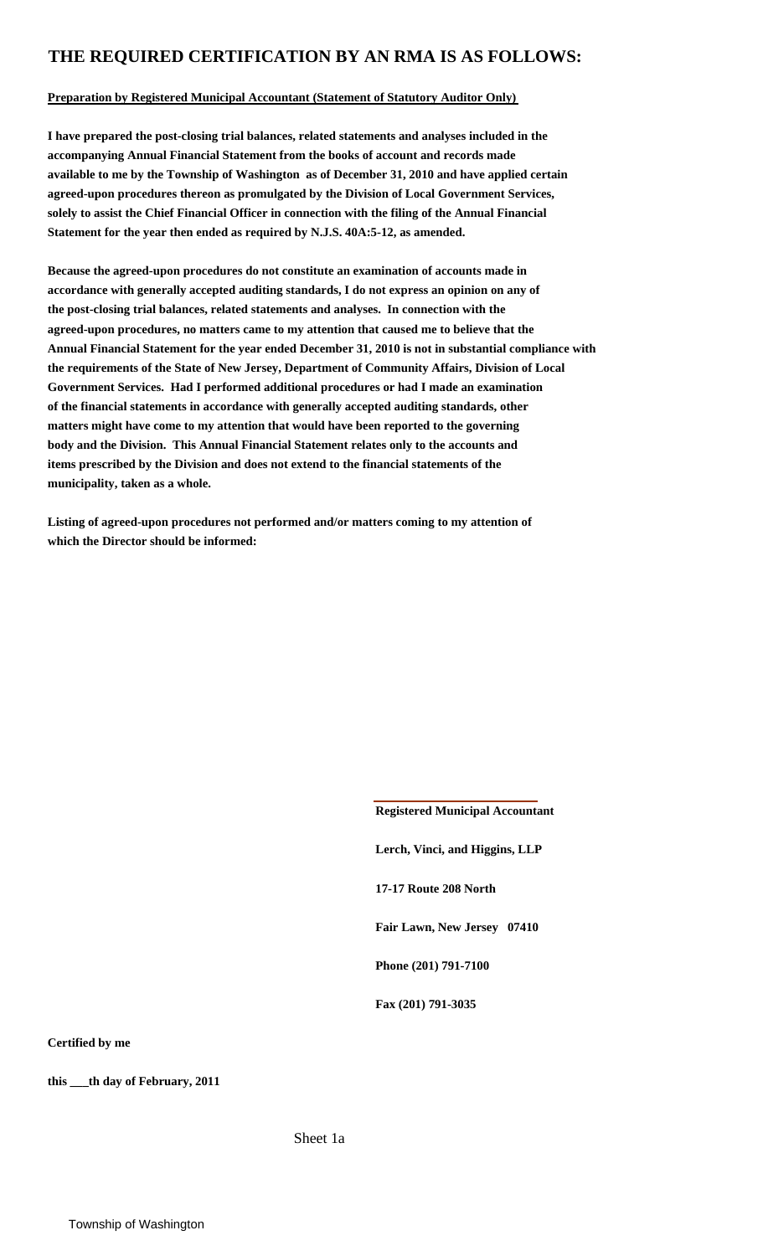### **THE REQUIRED CERTIFICATION BY AN RMA IS AS FOLLOWS:**

#### **Preparation by Registered Municipal Accountant (Statement of Statutory Auditor Only)**

**I have prepared the post-closing trial balances, related statements and analyses included in the accompanying Annual Financial Statement from the books of account and records made available to me by the Township of Washington as of December 31, 2010 and have applied certain agreed-upon procedures thereon as promulgated by the Division of Local Government Services, solely to assist the Chief Financial Officer in connection with the filing of the Annual Financial Statement for the year then ended as required by N.J.S. 40A:5-12, as amended.**

**Because the agreed-upon procedures do not constitute an examination of accounts made in accordance with generally accepted auditing standards, I do not express an opinion on any of the post-closing trial balances, related statements and analyses. In connection with the agreed-upon procedures, no matters came to my attention that caused me to believe that the Annual Financial Statement for the year ended December 31, 2010 is not in substantial compliance with the requirements of the State of New Jersey, Department of Community Affairs, Division of Local Government Services. Had I performed additional procedures or had I made an examination of the financial statements in accordance with generally accepted auditing standards, other matters might have come to my attention that would have been reported to the governing body and the Division. This Annual Financial Statement relates only to the accounts and items prescribed by the Division and does not extend to the financial statements of the municipality, taken as a whole.**

**Listing of agreed-upon procedures not performed and/or matters coming to my attention of which the Director should be informed:**

> **Registered Municipal Accountant Lerch, Vinci, and Higgins, LLP 17-17 Route 208 North Fair Lawn, New Jersey 07410 Phone (201) 791-7100 Fax (201) 791-3035**

**Certified by me**

**this \_\_\_th day of February, 2011**

Sheet 1a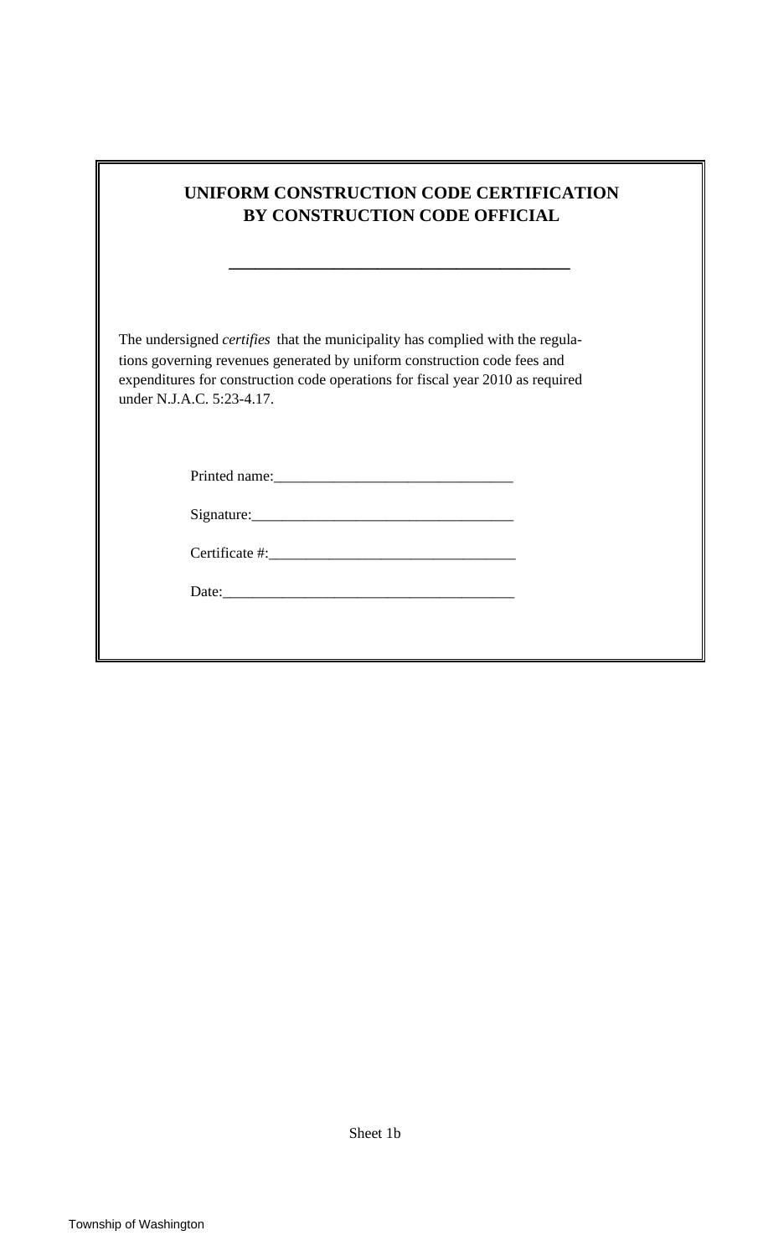| UNIFORM CONSTRUCTION CODE CERTIFICATION<br>BY CONSTRUCTION CODE OFFICIAL                                                                                                                                                                                                                                                                                                                                                                                                                                         |  |
|------------------------------------------------------------------------------------------------------------------------------------------------------------------------------------------------------------------------------------------------------------------------------------------------------------------------------------------------------------------------------------------------------------------------------------------------------------------------------------------------------------------|--|
| the control of the control of the control of the control of the control of the control of the control of the control of the control of the control of the control of the control of the control of the control of the control<br>The undersigned <i>certifies</i> that the municipality has complied with the regula-<br>tions governing revenues generated by uniform construction code fees and<br>expenditures for construction code operations for fiscal year 2010 as required<br>under N.J.A.C. 5:23-4.17. |  |
|                                                                                                                                                                                                                                                                                                                                                                                                                                                                                                                  |  |
|                                                                                                                                                                                                                                                                                                                                                                                                                                                                                                                  |  |
|                                                                                                                                                                                                                                                                                                                                                                                                                                                                                                                  |  |
|                                                                                                                                                                                                                                                                                                                                                                                                                                                                                                                  |  |
|                                                                                                                                                                                                                                                                                                                                                                                                                                                                                                                  |  |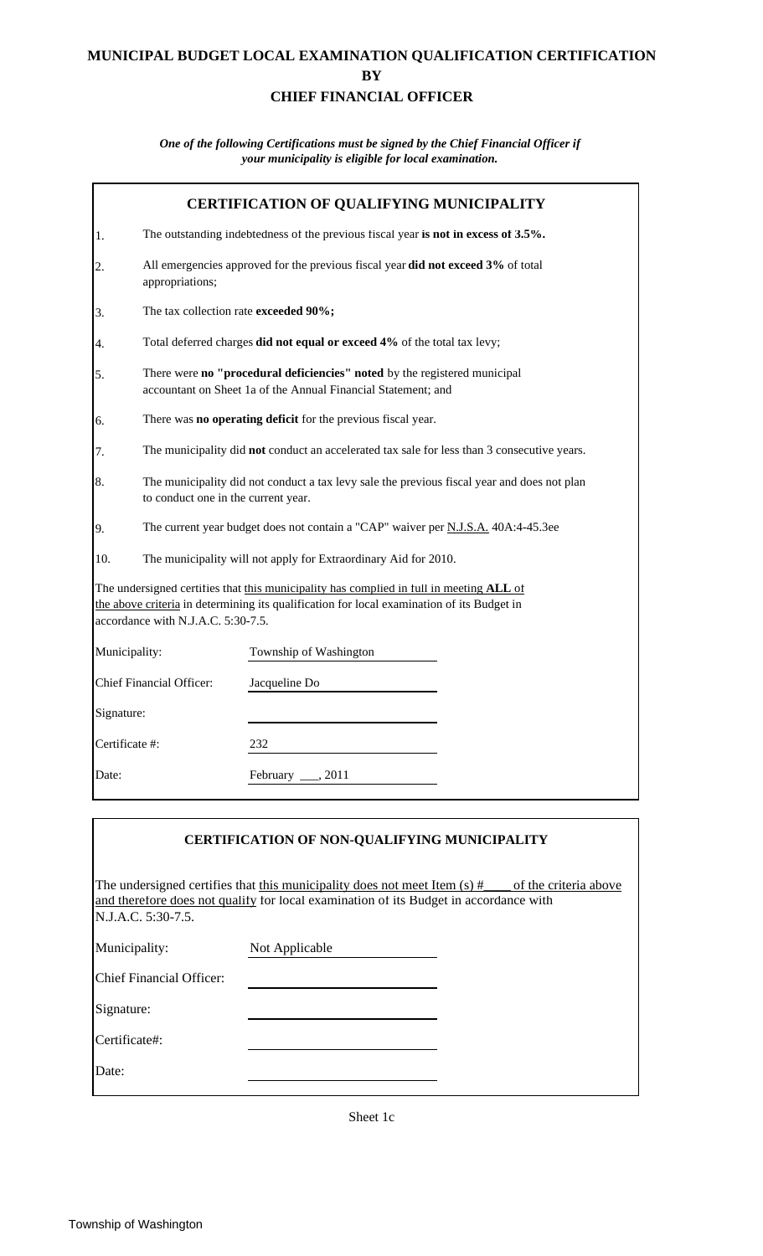### **MUNICIPAL BUDGET LOCAL EXAMINATION QUALIFICATION CERTIFICATION BY CHIEF FINANCIAL OFFICER**

*One of the following Certifications must be signed by the Chief Financial Officer if your municipality is eligible for local examination.*

|                | <b>CERTIFICATION OF QUALIFYING MUNICIPALITY</b>                                                                                            |                                                                                                                                                                                       |  |  |  |  |
|----------------|--------------------------------------------------------------------------------------------------------------------------------------------|---------------------------------------------------------------------------------------------------------------------------------------------------------------------------------------|--|--|--|--|
| 1.             |                                                                                                                                            | The outstanding indebtedness of the previous fiscal year is not in excess of 3.5%.                                                                                                    |  |  |  |  |
| 2.             | All emergencies approved for the previous fiscal year did not exceed 3% of total<br>appropriations;                                        |                                                                                                                                                                                       |  |  |  |  |
| 3.             | The tax collection rate exceeded 90%;                                                                                                      |                                                                                                                                                                                       |  |  |  |  |
| 4.             |                                                                                                                                            | Total deferred charges did not equal or exceed 4% of the total tax levy;                                                                                                              |  |  |  |  |
| 5.             | There were no "procedural deficiencies" noted by the registered municipal<br>accountant on Sheet 1a of the Annual Financial Statement; and |                                                                                                                                                                                       |  |  |  |  |
| 6.             |                                                                                                                                            | There was no operating deficit for the previous fiscal year.                                                                                                                          |  |  |  |  |
| 7.             | The municipality did not conduct an accelerated tax sale for less than 3 consecutive years.                                                |                                                                                                                                                                                       |  |  |  |  |
| 8.             | The municipality did not conduct a tax levy sale the previous fiscal year and does not plan<br>to conduct one in the current year.         |                                                                                                                                                                                       |  |  |  |  |
| 9.             | The current year budget does not contain a "CAP" waiver per N.J.S.A. 40A:4-45.3ee                                                          |                                                                                                                                                                                       |  |  |  |  |
| 10.            |                                                                                                                                            | The municipality will not apply for Extraordinary Aid for 2010.                                                                                                                       |  |  |  |  |
|                | accordance with N.J.A.C. 5:30-7.5.                                                                                                         | The undersigned certifies that this municipality has complied in full in meeting ALL of<br>the above criteria in determining its qualification for local examination of its Budget in |  |  |  |  |
| Municipality:  |                                                                                                                                            | Township of Washington                                                                                                                                                                |  |  |  |  |
|                | <b>Chief Financial Officer:</b>                                                                                                            | Jacqueline Do                                                                                                                                                                         |  |  |  |  |
| Signature:     |                                                                                                                                            |                                                                                                                                                                                       |  |  |  |  |
| Certificate #: |                                                                                                                                            | 232                                                                                                                                                                                   |  |  |  |  |
| Date:          |                                                                                                                                            | Pebruary, 2011                                                                                                                                                                        |  |  |  |  |

|                          | <b>CERTIFICATION OF NON-QUALIFYING MUNICIPALITY</b>                                   |  |
|--------------------------|---------------------------------------------------------------------------------------|--|
| N.J.A.C. 5:30-7.5.       | and therefore does not qualify for local examination of its Budget in accordance with |  |
| Municipality:            | Not Applicable                                                                        |  |
| Chief Financial Officer: |                                                                                       |  |
| Signature:               |                                                                                       |  |
| Certificate#:            |                                                                                       |  |
| Date:                    |                                                                                       |  |
|                          |                                                                                       |  |

Sheet 1c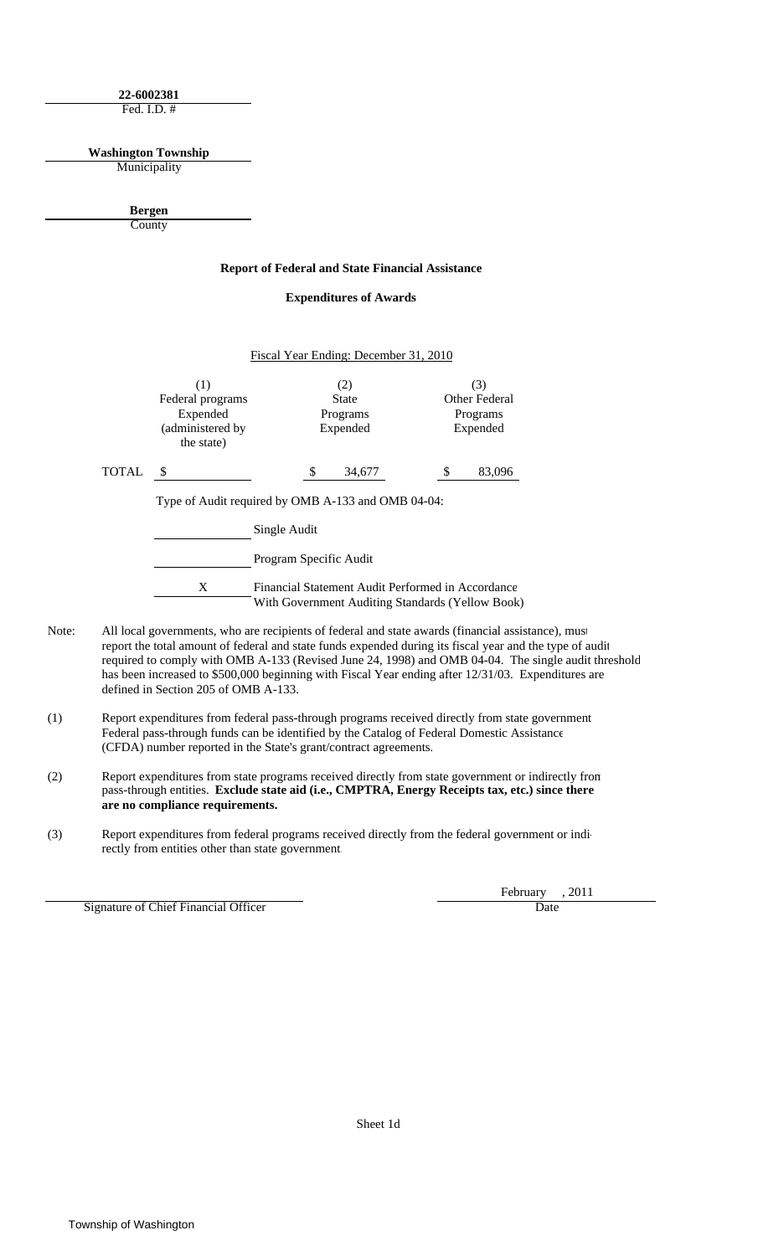**22-6002381** Fed. I.D. #

**Washington Township**

Municipality

**County Bergen**

#### **Report of Federal and State Financial Assistance**

**Expenditures of Awards**

|       |                                                                       |                        | Fiscal Year Ending: December 31, 2010       |    |                                              |
|-------|-----------------------------------------------------------------------|------------------------|---------------------------------------------|----|----------------------------------------------|
|       | (1)<br>Federal programs<br>Expended<br>(administered by<br>the state) |                        | (2)<br><b>State</b><br>Programs<br>Expended |    | (3)<br>Other Federal<br>Programs<br>Expended |
| TOTAL | \$                                                                    | S                      | 34,677                                      | \$ | 83,096                                       |
|       | Type of Audit required by OMB A-133 and OMB 04-04:                    |                        |                                             |    |                                              |
|       | Single Audit                                                          |                        |                                             |    |                                              |
|       |                                                                       | Program Specific Audit |                                             |    |                                              |

X Financial Statement Audit Performed in Accordance With Government Auditing Standards (Yellow Book)

- Note: All local governments, who are recipients of federal and state awards (financial assistance), must report the total amount of federal and state funds expended during its fiscal year and the type of audit required to comply with OMB A-133 (Revised June 24, 1998) and OMB 04-04. The single audit threshold has been increased to \$500,000 beginning with Fiscal Year ending after 12/31/03. Expenditures are defined in Section 205 of OMB A-133.
- (1) Report expenditures from federal pass-through programs received directly from state government Federal pass-through funds can be identified by the Catalog of Federal Domestic Assistance (CFDA) number reported in the State's grant/contract agreements.
- (2) Report expenditures from state programs received directly from state government or indirectly from pass-through entities. **Exclude state aid (i.e., CMPTRA, Energy Receipts tax, etc.) since there are no compliance requirements.**
- (3) Report expenditures from federal programs received directly from the federal government or indirectly from entities other than state government.

Signature of Chief Financial Officer Date Date Date

February , 2011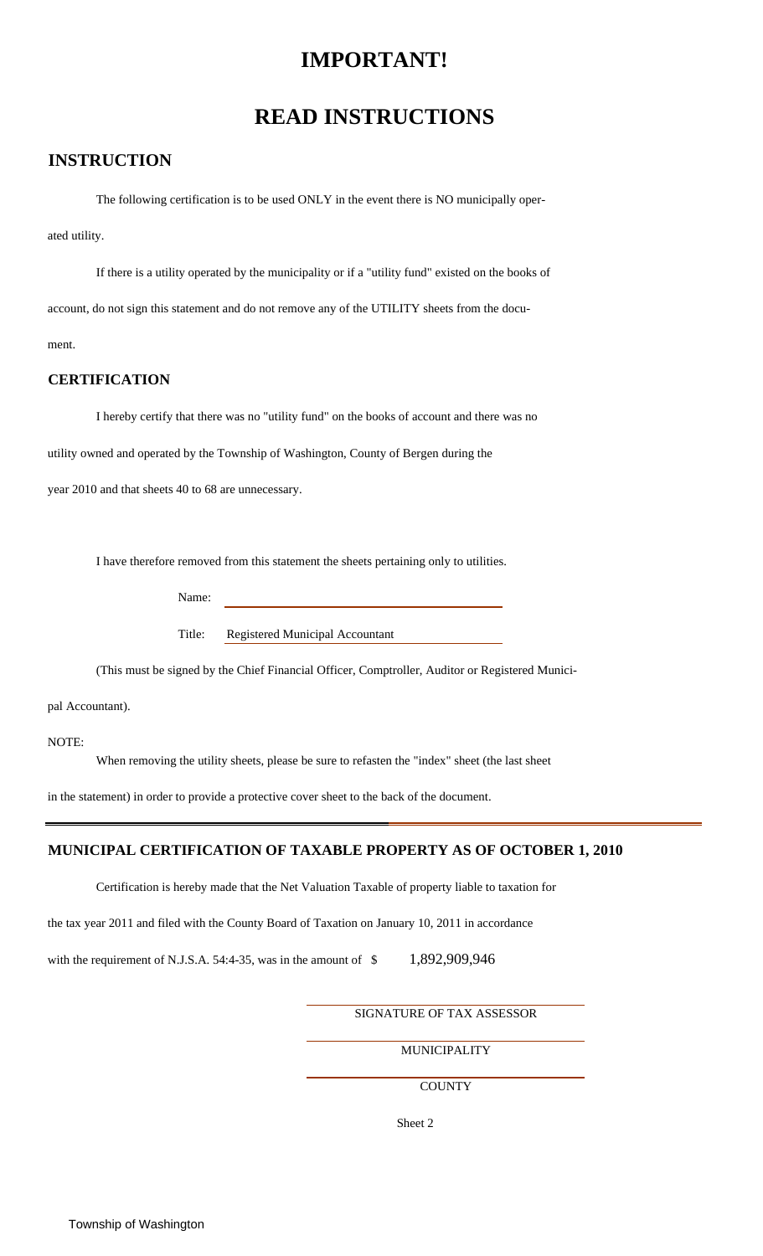### **IMPORTANT!**

### **READ INSTRUCTIONS**

### **INSTRUCTION**

The following certification is to be used ONLY in the event there is NO municipally oper-

ated utility.

If there is a utility operated by the municipality or if a "utility fund" existed on the books of account, do not sign this statement and do not remove any of the UTILITY sheets from the document.

#### **CERTIFICATION**

I hereby certify that there was no "utility fund" on the books of account and there was no

utility owned and operated by the Township of Washington, County of Bergen during the

year 2010 and that sheets 40 to 68 are unnecessary.

I have therefore removed from this statement the sheets pertaining only to utilities.

Name:

Title: Registered Municipal Accountant

(This must be signed by the Chief Financial Officer, Comptroller, Auditor or Registered Munici-

pal Accountant).

NOTE:

When removing the utility sheets, please be sure to refasten the "index" sheet (the last sheet

in the statement) in order to provide a protective cover sheet to the back of the document.

#### **MUNICIPAL CERTIFICATION OF TAXABLE PROPERTY AS OF OCTOBER 1, 2010**

Certification is hereby made that the Net Valuation Taxable of property liable to taxation for

the tax year 2011 and filed with the County Board of Taxation on January 10, 2011 in accordance

with the requirement of N.J.S.A. 54:4-35, was in the amount of  $$ 1,892,909,946$ 

SIGNATURE OF TAX ASSESSOR

**MUNICIPALITY** 

**COUNTY**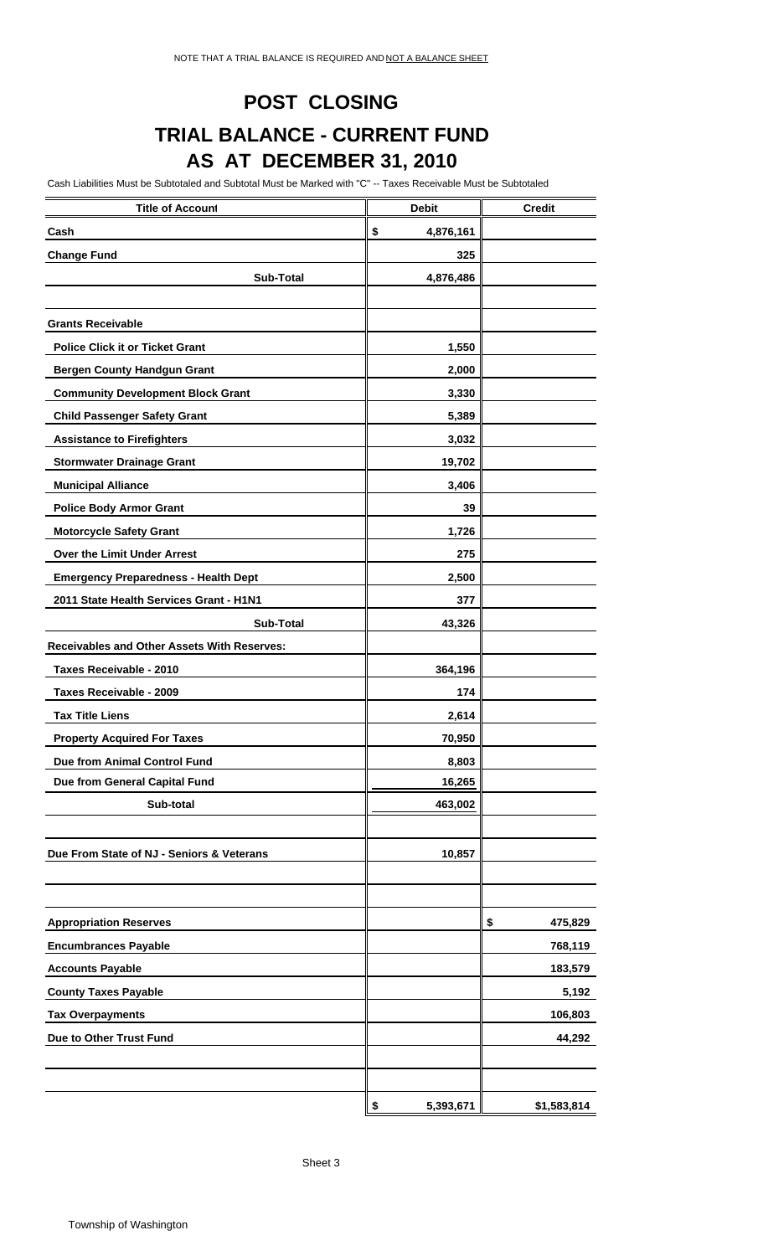### **POST CLOSING**

## **TRIAL BALANCE - CURRENT FUND AS AT DECEMBER 31, 2010**

Cash Liabilities Must be Subtotaled and Subtotal Must be Marked with "C" -- Taxes Receivable Must be Subtotaled

| <b>Title of Account</b>                     | <b>Debit</b>    | <b>Credit</b> |
|---------------------------------------------|-----------------|---------------|
| Cash                                        | \$<br>4,876,161 |               |
| <b>Change Fund</b>                          | 325             |               |
| <b>Sub-Total</b>                            | 4,876,486       |               |
|                                             |                 |               |
| <b>Grants Receivable</b>                    |                 |               |
| <b>Police Click it or Ticket Grant</b>      | 1,550           |               |
| <b>Bergen County Handgun Grant</b>          | 2,000           |               |
| <b>Community Development Block Grant</b>    | 3,330           |               |
| <b>Child Passenger Safety Grant</b>         | 5,389           |               |
| <b>Assistance to Firefighters</b>           | 3,032           |               |
| <b>Stormwater Drainage Grant</b>            | 19,702          |               |
| <b>Municipal Alliance</b>                   | 3,406           |               |
| <b>Police Body Armor Grant</b>              | 39              |               |
| <b>Motorcycle Safety Grant</b>              | 1,726           |               |
| Over the Limit Under Arrest                 | 275             |               |
| <b>Emergency Preparedness - Health Dept</b> | 2,500           |               |
| 2011 State Health Services Grant - H1N1     | 377             |               |
| <b>Sub-Total</b>                            | 43,326          |               |
| Receivables and Other Assets With Reserves: |                 |               |
| Taxes Receivable - 2010                     | 364,196         |               |
| Taxes Receivable - 2009                     | 174             |               |
| <b>Tax Title Liens</b>                      | 2,614           |               |
| <b>Property Acquired For Taxes</b>          | 70,950          |               |
| Due from Animal Control Fund                | 8,803           |               |
| Due from General Capital Fund               | 16,265          |               |
| Sub-total                                   | 463,002         |               |
|                                             |                 |               |
| Due From State of NJ - Seniors & Veterans   | 10,857          |               |
|                                             |                 |               |
|                                             |                 |               |
| <b>Appropriation Reserves</b>               |                 | 475,829<br>\$ |
| <b>Encumbrances Payable</b>                 |                 | 768,119       |
| <b>Accounts Payable</b>                     |                 | 183,579       |
| <b>County Taxes Payable</b>                 |                 | 5,192         |
| <b>Tax Overpayments</b>                     |                 | 106,803       |
| Due to Other Trust Fund                     |                 | 44,292        |
|                                             |                 |               |
|                                             |                 |               |
|                                             | \$<br>5,393,671 | \$1,583,814   |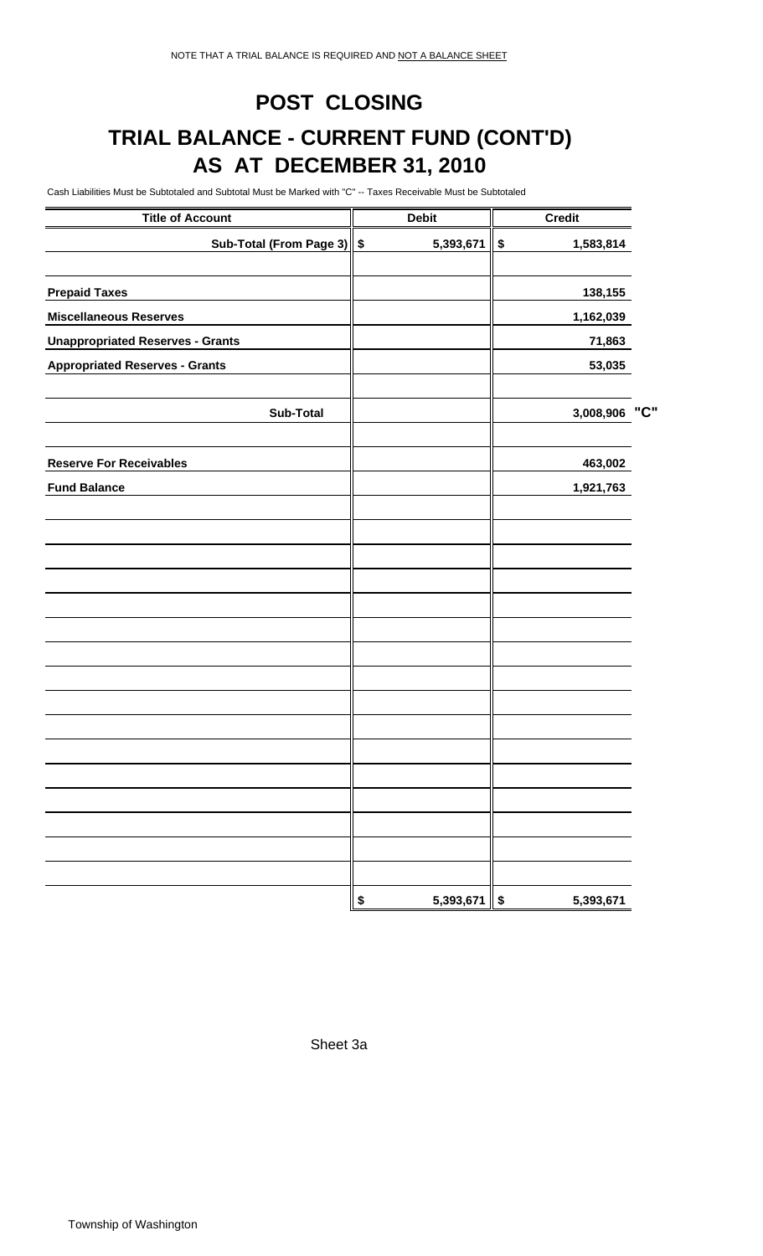# **POST CLOSING TRIAL BALANCE - CURRENT FUND (CONT'D) AS AT DECEMBER 31, 2010**

Cash Liabilities Must be Subtotaled and Subtotal Must be Marked with "C" -- Taxes Receivable Must be Subtotaled

| <b>Title of Account</b>                 | <b>Debit</b>                           | <b>Credit</b>                          |     |
|-----------------------------------------|----------------------------------------|----------------------------------------|-----|
| Sub-Total (From Page 3) \$              | 5,393,671                              | \$<br>1,583,814                        |     |
| <b>Prepaid Taxes</b>                    |                                        | 138,155                                |     |
| <b>Miscellaneous Reserves</b>           |                                        | 1,162,039                              |     |
| <b>Unappropriated Reserves - Grants</b> |                                        | 71,863                                 |     |
| <b>Appropriated Reserves - Grants</b>   |                                        | 53,035                                 |     |
| <b>Sub-Total</b>                        |                                        | 3,008,906                              | "C" |
| <b>Reserve For Receivables</b>          |                                        | 463,002                                |     |
| <b>Fund Balance</b>                     |                                        | 1,921,763                              |     |
|                                         |                                        |                                        |     |
|                                         |                                        |                                        |     |
|                                         |                                        |                                        |     |
|                                         |                                        |                                        |     |
|                                         |                                        |                                        |     |
|                                         |                                        |                                        |     |
|                                         |                                        |                                        |     |
|                                         |                                        |                                        |     |
|                                         |                                        |                                        |     |
|                                         |                                        |                                        |     |
|                                         |                                        |                                        |     |
|                                         | $\boldsymbol{\mathsf{s}}$<br>5,393,671 | $\boldsymbol{\mathsf{s}}$<br>5,393,671 |     |

Sheet 3a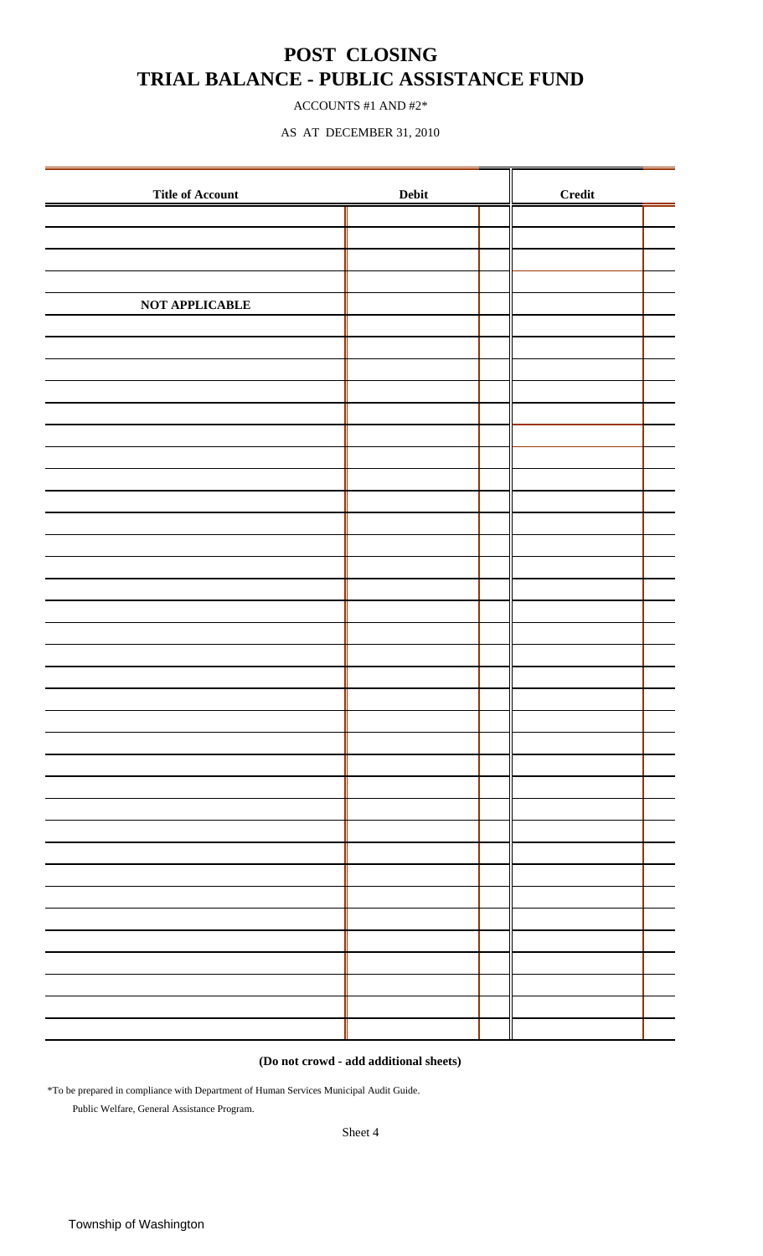### **POST CLOSING TRIAL BALANCE - PUBLIC ASSISTANCE FUND**

ACCOUNTS #1 AND #2\*

AS AT DECEMBER 31, 2010

| <b>Title of Account</b> |  | <b>Credit</b> |  |
|-------------------------|--|---------------|--|
|                         |  |               |  |
|                         |  |               |  |
|                         |  |               |  |
|                         |  |               |  |
| NOT APPLICABLE          |  |               |  |
|                         |  |               |  |
|                         |  |               |  |
|                         |  |               |  |
|                         |  |               |  |
|                         |  |               |  |
|                         |  |               |  |
|                         |  |               |  |
|                         |  |               |  |
|                         |  |               |  |
|                         |  |               |  |
|                         |  |               |  |
|                         |  |               |  |
|                         |  |               |  |
|                         |  |               |  |
|                         |  |               |  |
|                         |  |               |  |
|                         |  |               |  |
|                         |  |               |  |
|                         |  |               |  |
|                         |  |               |  |
|                         |  |               |  |
|                         |  |               |  |
|                         |  |               |  |
|                         |  |               |  |
|                         |  |               |  |
|                         |  |               |  |
|                         |  |               |  |
|                         |  |               |  |
|                         |  |               |  |
|                         |  |               |  |
|                         |  |               |  |
|                         |  |               |  |
|                         |  |               |  |
|                         |  |               |  |

**(Do not crowd - add additional sheets)**

\*To be prepared in compliance with Department of Human Services Municipal Audit Guide.

Public Welfare, General Assistance Program.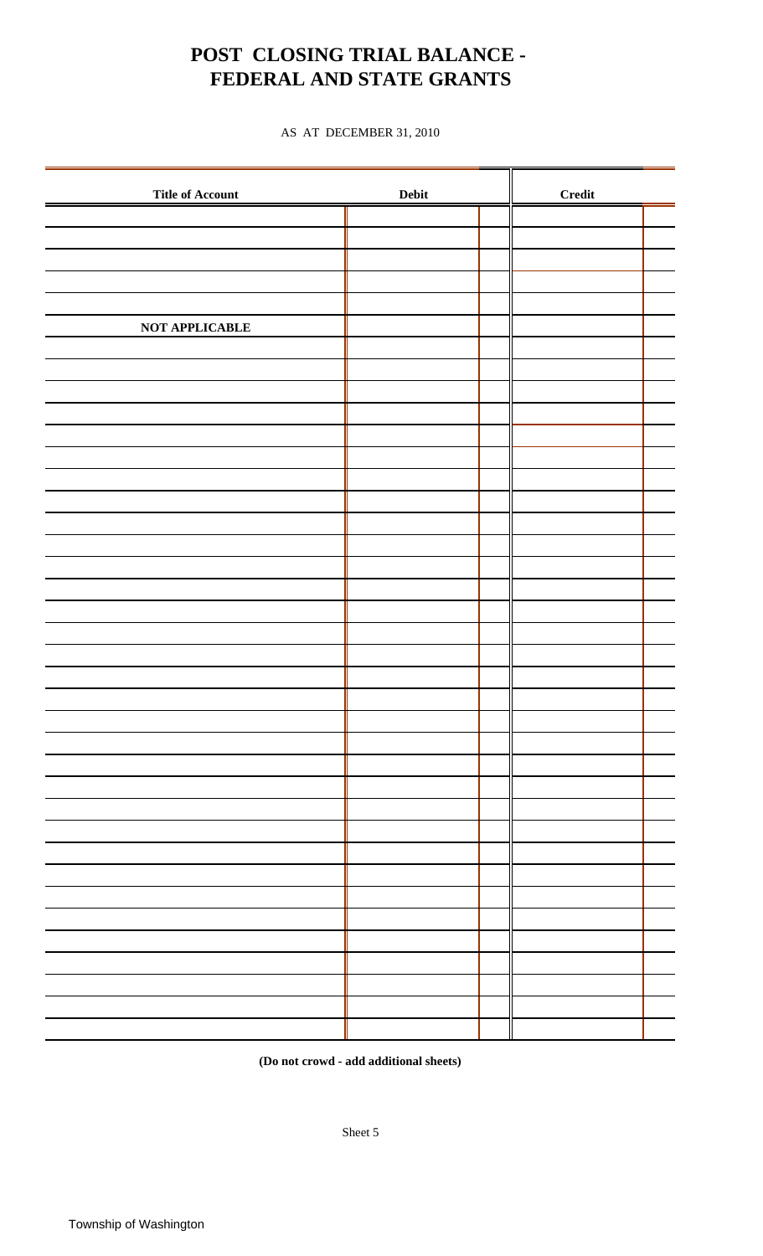## **POST CLOSING TRIAL BALANCE - FEDERAL AND STATE GRANTS**

AS AT DECEMBER 31, 2010

| <b>Title of Account</b> |  | <b>Credit</b> |  |
|-------------------------|--|---------------|--|
|                         |  |               |  |
|                         |  |               |  |
|                         |  |               |  |
|                         |  |               |  |
|                         |  |               |  |
| NOT APPLICABLE          |  |               |  |
|                         |  |               |  |
|                         |  |               |  |
|                         |  |               |  |
|                         |  |               |  |
|                         |  |               |  |
|                         |  |               |  |
|                         |  |               |  |
|                         |  |               |  |
|                         |  |               |  |
|                         |  |               |  |
|                         |  |               |  |
|                         |  |               |  |
|                         |  |               |  |
|                         |  |               |  |
|                         |  |               |  |
|                         |  |               |  |
|                         |  |               |  |
|                         |  |               |  |
|                         |  |               |  |
|                         |  |               |  |
|                         |  |               |  |
|                         |  |               |  |
|                         |  |               |  |
|                         |  |               |  |
|                         |  |               |  |
|                         |  |               |  |
|                         |  |               |  |
|                         |  |               |  |
|                         |  |               |  |
|                         |  |               |  |
|                         |  |               |  |
|                         |  |               |  |

**(Do not crowd - add additional sheets)**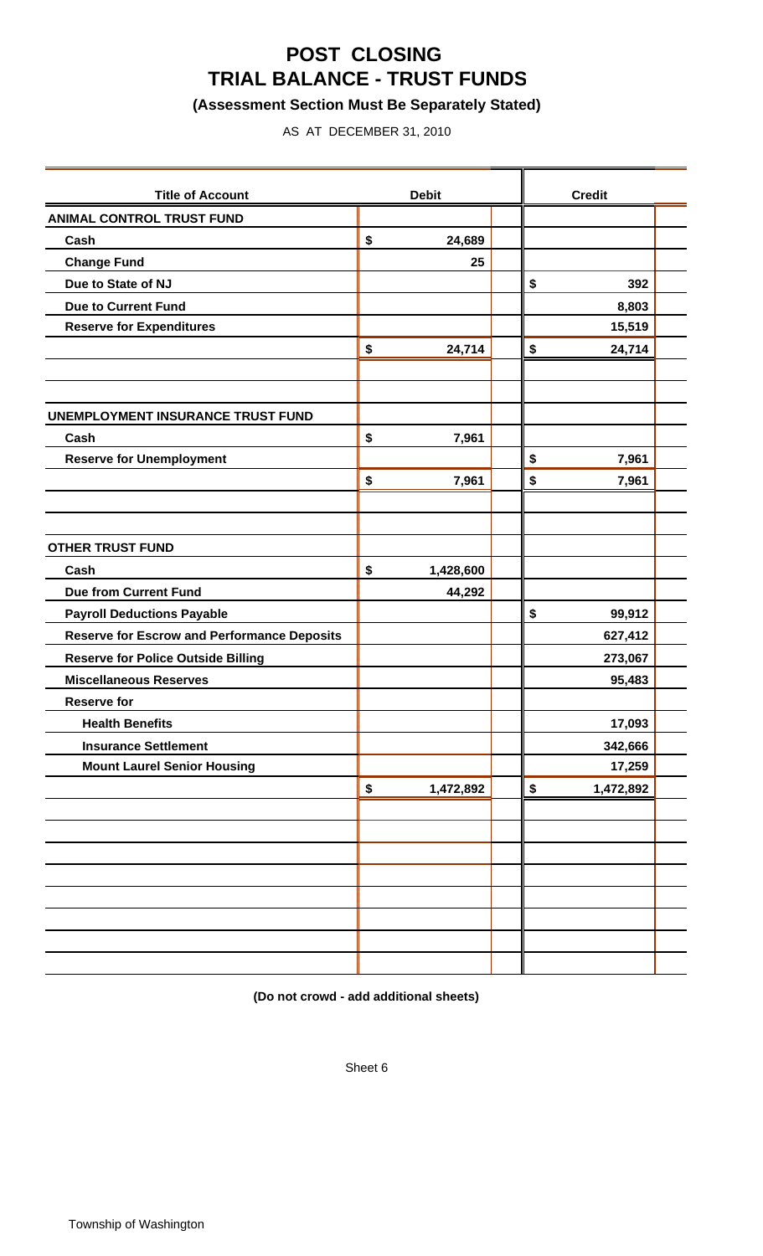## **POST CLOSING TRIAL BALANCE - TRUST FUNDS**

### **(Assessment Section Must Be Separately Stated)**

AS AT DECEMBER 31, 2010

| <b>Title of Account</b>                            | <b>Debit</b>    | <b>Credit</b>   |  |
|----------------------------------------------------|-----------------|-----------------|--|
| <b>ANIMAL CONTROL TRUST FUND</b>                   |                 |                 |  |
| Cash                                               | \$<br>24,689    |                 |  |
| <b>Change Fund</b>                                 | 25              |                 |  |
| Due to State of NJ                                 |                 | \$<br>392       |  |
| <b>Due to Current Fund</b>                         |                 | 8,803           |  |
| <b>Reserve for Expenditures</b>                    |                 | 15,519          |  |
|                                                    | \$<br>24,714    | \$<br>24,714    |  |
|                                                    |                 |                 |  |
|                                                    |                 |                 |  |
| UNEMPLOYMENT INSURANCE TRUST FUND                  |                 |                 |  |
| Cash                                               | \$<br>7,961     |                 |  |
| <b>Reserve for Unemployment</b>                    |                 | \$<br>7,961     |  |
|                                                    | \$<br>7,961     | \$<br>7,961     |  |
|                                                    |                 |                 |  |
|                                                    |                 |                 |  |
| <b>OTHER TRUST FUND</b>                            |                 |                 |  |
| Cash                                               | \$<br>1,428,600 |                 |  |
| <b>Due from Current Fund</b>                       | 44,292          |                 |  |
| <b>Payroll Deductions Payable</b>                  |                 | \$<br>99,912    |  |
| <b>Reserve for Escrow and Performance Deposits</b> |                 | 627,412         |  |
| <b>Reserve for Police Outside Billing</b>          |                 | 273,067         |  |
| <b>Miscellaneous Reserves</b>                      |                 | 95,483          |  |
| <b>Reserve for</b>                                 |                 |                 |  |
| <b>Health Benefits</b>                             |                 | 17,093          |  |
| <b>Insurance Settlement</b>                        |                 | 342,666         |  |
| <b>Mount Laurel Senior Housing</b>                 |                 | 17,259          |  |
|                                                    | \$<br>1,472,892 | \$<br>1,472,892 |  |
|                                                    |                 |                 |  |
|                                                    |                 |                 |  |
|                                                    |                 |                 |  |
|                                                    |                 |                 |  |
|                                                    |                 |                 |  |
|                                                    |                 |                 |  |
|                                                    |                 |                 |  |
|                                                    |                 |                 |  |

**(Do not crowd - add additional sheets)**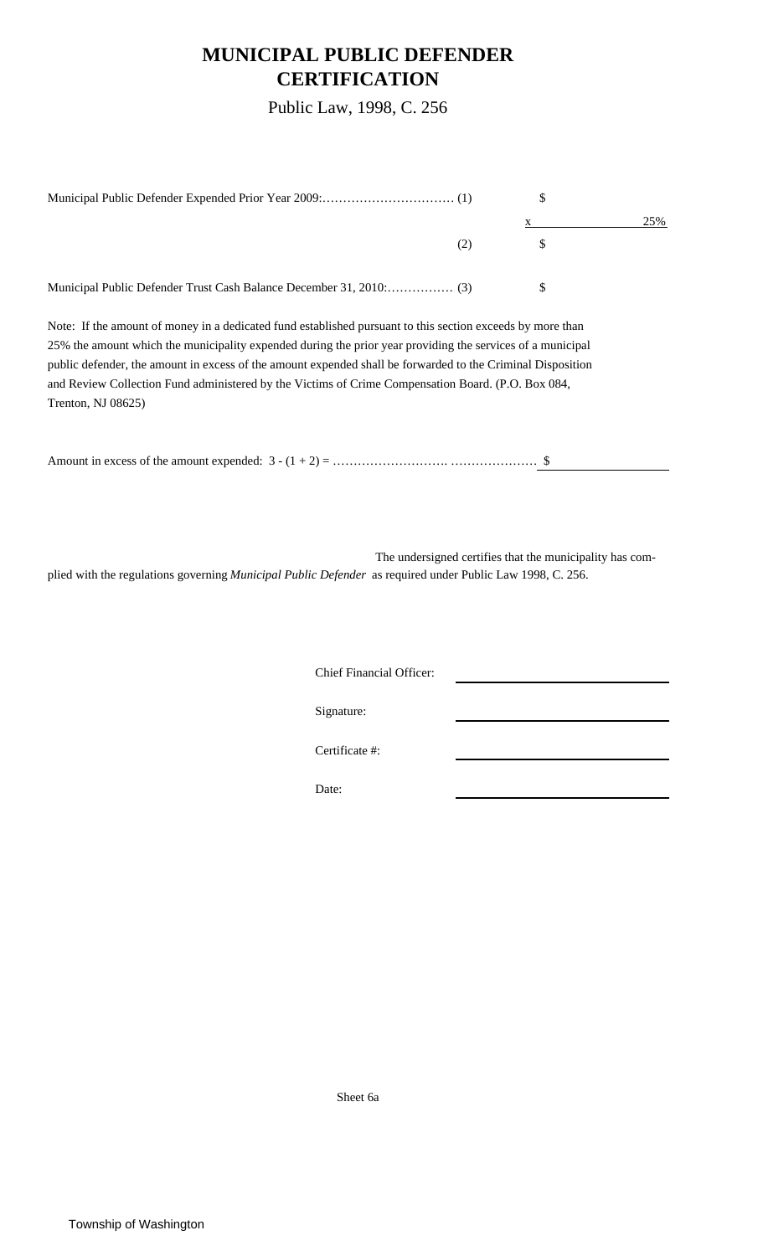### **MUNICIPAL PUBLIC DEFENDER CERTIFICATION**

Public Law, 1998, C. 256

|     | 25% |
|-----|-----|
| (2) |     |
|     |     |

Note: If the amount of money in a dedicated fund established pursuant to this section exceeds by more than 25% the amount which the municipality expended during the prior year providing the services of a municipal public defender, the amount in excess of the amount expended shall be forwarded to the Criminal Disposition and Review Collection Fund administered by the Victims of Crime Compensation Board. (P.O. Box 084, Trenton, NJ 08625)

The undersigned certifies that the municipality has complied with the regulations governing *Municipal Public Defender* as required under Public Law 1998, C. 256.

Chief Financial Officer:

Signature:

Certificate #:

Date:

Sheet 6a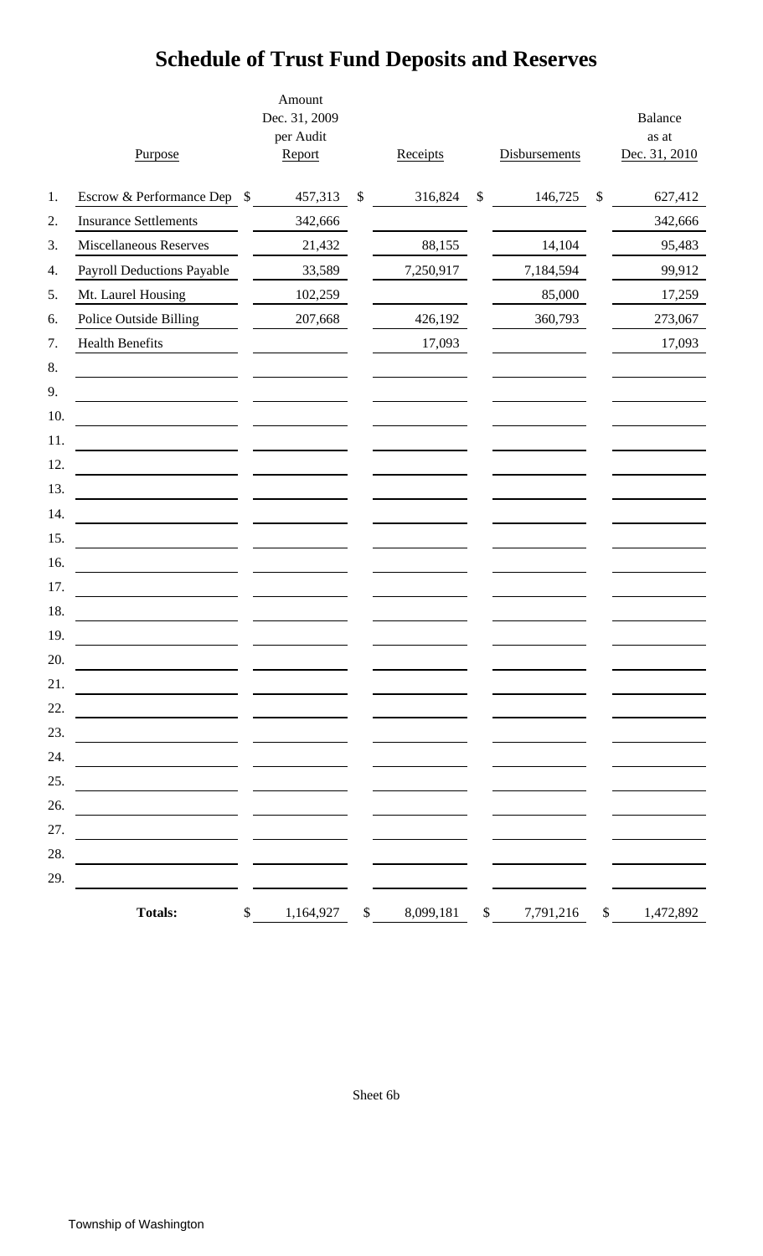# **Schedule of Trust Fund Deposits and Reserves**

|     | Purpose                           |               | Amount<br>Dec. 31, 2009<br>per Audit<br>Report |        | Receipts  | Disbursements   | <b>Balance</b><br>as at<br>Dec. 31, 2010 |
|-----|-----------------------------------|---------------|------------------------------------------------|--------|-----------|-----------------|------------------------------------------|
| 1.  | Escrow & Performance Dep \$       |               | 457,313                                        | \$     | 316,824   | \$<br>146,725   | \$<br>627,412                            |
| 2.  | <b>Insurance Settlements</b>      |               | 342,666                                        |        |           |                 | 342,666                                  |
| 3.  | <b>Miscellaneous Reserves</b>     |               | 21,432                                         |        | 88,155    | 14,104          | 95,483                                   |
| 4.  | <b>Payroll Deductions Payable</b> |               | 33,589                                         |        | 7,250,917 | 7,184,594       | 99,912                                   |
| 5.  | Mt. Laurel Housing                |               | 102,259                                        |        |           | 85,000          | 17,259                                   |
| 6.  | Police Outside Billing            |               | 207,668                                        |        | 426,192   | 360,793         | 273,067                                  |
| 7.  | <b>Health Benefits</b>            |               |                                                |        | 17,093    |                 | 17,093                                   |
| 8.  |                                   |               |                                                |        |           |                 |                                          |
| 9.  |                                   |               |                                                |        |           |                 |                                          |
| 10. |                                   |               |                                                |        |           |                 |                                          |
| 11. |                                   |               |                                                |        |           |                 |                                          |
| 12. |                                   |               |                                                |        |           |                 |                                          |
| 13. |                                   |               |                                                |        |           |                 |                                          |
| 14. |                                   |               |                                                |        |           |                 |                                          |
| 15. |                                   |               |                                                |        |           |                 |                                          |
| 16. |                                   |               |                                                |        |           |                 |                                          |
| 17. |                                   |               |                                                |        |           |                 |                                          |
| 18. |                                   |               |                                                |        |           |                 |                                          |
| 19. |                                   |               |                                                |        |           |                 |                                          |
| 20. |                                   |               |                                                |        |           |                 |                                          |
| 21. |                                   |               |                                                |        |           |                 |                                          |
| 22. |                                   |               |                                                |        |           |                 |                                          |
| 23. |                                   |               |                                                |        |           |                 |                                          |
| 24. |                                   |               |                                                |        |           |                 |                                          |
| 25. |                                   |               |                                                |        |           |                 |                                          |
| 26. |                                   |               |                                                |        |           |                 |                                          |
| 27. |                                   |               |                                                |        |           |                 |                                          |
| 28. |                                   |               |                                                |        |           |                 |                                          |
| 29. |                                   |               |                                                |        |           |                 |                                          |
|     | <b>Totals:</b>                    | $\mathcal{S}$ | 1,164,927                                      | $\$\,$ | 8,099,181 | \$<br>7,791,216 | \$<br>1,472,892                          |

Sheet 6b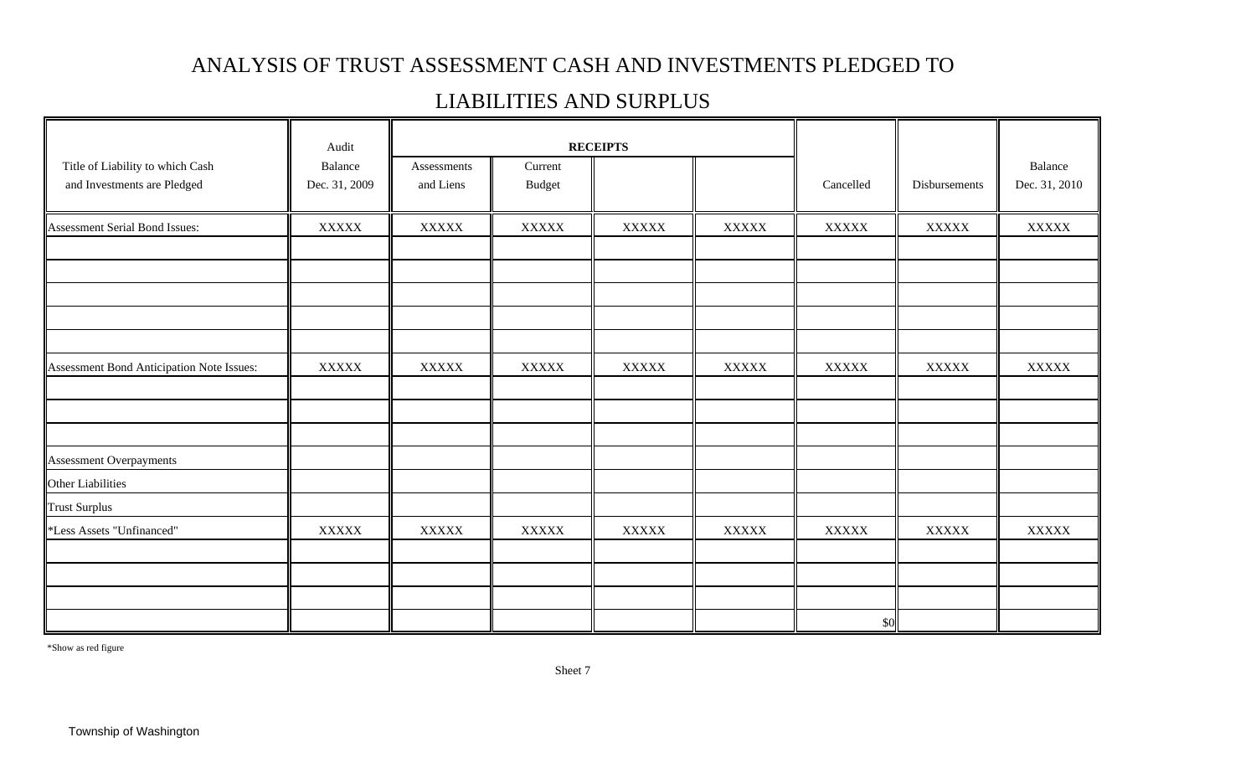### ANALYSIS OF TRUST ASSESSMENT CASH AND INVESTMENTS PLEDGED TO

### LIABILITIES AND SURPLUS

|                                                                 | Audit                    |                          |                          | <b>RECEIPTS</b> |              |              |               |                          |
|-----------------------------------------------------------------|--------------------------|--------------------------|--------------------------|-----------------|--------------|--------------|---------------|--------------------------|
| Title of Liability to which Cash<br>and Investments are Pledged | Balance<br>Dec. 31, 2009 | Assessments<br>and Liens | Current<br><b>Budget</b> |                 |              | Cancelled    | Disbursements | Balance<br>Dec. 31, 2010 |
| Assessment Serial Bond Issues:                                  | <b>XXXXX</b>             | <b>XXXXX</b>             | <b>XXXXX</b>             | <b>XXXXX</b>    | <b>XXXXX</b> | <b>XXXXX</b> | <b>XXXXX</b>  | <b>XXXXX</b>             |
|                                                                 |                          |                          |                          |                 |              |              |               |                          |
|                                                                 |                          |                          |                          |                 |              |              |               |                          |
|                                                                 |                          |                          |                          |                 |              |              |               |                          |
|                                                                 |                          |                          |                          |                 |              |              |               |                          |
| Assessment Bond Anticipation Note Issues:                       | <b>XXXXX</b>             | <b>XXXXX</b>             | <b>XXXXX</b>             | <b>XXXXX</b>    | <b>XXXXX</b> | <b>XXXXX</b> | <b>XXXXX</b>  | <b>XXXXX</b>             |
|                                                                 |                          |                          |                          |                 |              |              |               |                          |
|                                                                 |                          |                          |                          |                 |              |              |               |                          |
| <b>Assessment Overpayments</b>                                  |                          |                          |                          |                 |              |              |               |                          |
| Other Liabilities                                               |                          |                          |                          |                 |              |              |               |                          |
| <b>Trust Surplus</b>                                            |                          |                          |                          |                 |              |              |               |                          |
| *Less Assets "Unfinanced"                                       | <b>XXXXX</b>             | <b>XXXXX</b>             | <b>XXXXX</b>             | <b>XXXXX</b>    | <b>XXXXX</b> | <b>XXXXX</b> | <b>XXXXX</b>  | <b>XXXXX</b>             |
|                                                                 |                          |                          |                          |                 |              |              |               |                          |
|                                                                 |                          |                          |                          |                 |              |              |               |                          |
|                                                                 |                          |                          |                          |                 |              | \$0          |               |                          |

\*Show as red figure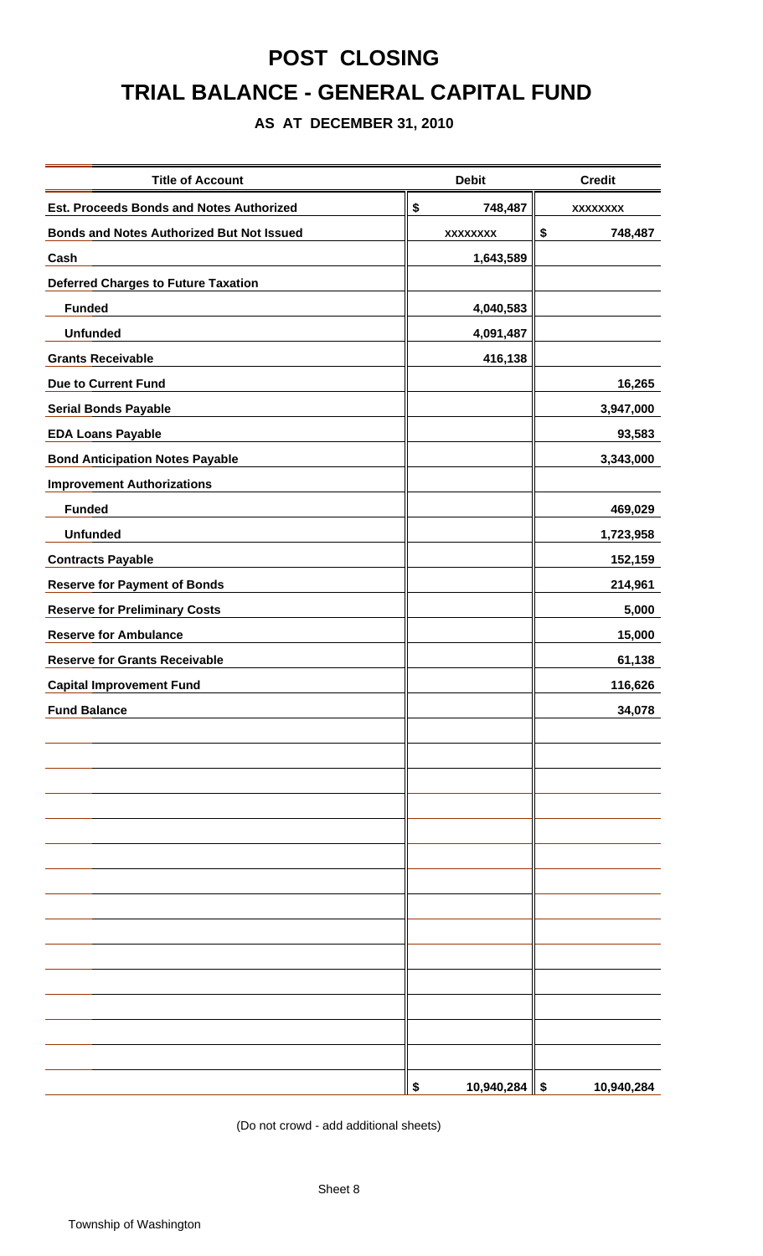# **POST CLOSING TRIAL BALANCE - GENERAL CAPITAL FUND**

### **AS AT DECEMBER 31, 2010**

| <b>Title of Account</b>                          | <b>Debit</b>          | <b>Credit</b>   |
|--------------------------------------------------|-----------------------|-----------------|
| <b>Est. Proceeds Bonds and Notes Authorized</b>  | \$<br>748,487         | <b>XXXXXXXX</b> |
| <b>Bonds and Notes Authorized But Not Issued</b> | <b>XXXXXXXX</b>       | \$<br>748,487   |
| Cash                                             | 1,643,589             |                 |
| <b>Deferred Charges to Future Taxation</b>       |                       |                 |
| <b>Funded</b>                                    | 4,040,583             |                 |
| <b>Unfunded</b>                                  | 4,091,487             |                 |
| <b>Grants Receivable</b>                         | 416,138               |                 |
| <b>Due to Current Fund</b>                       |                       | 16,265          |
| <b>Serial Bonds Payable</b>                      |                       | 3,947,000       |
| <b>EDA Loans Payable</b>                         |                       | 93,583          |
| <b>Bond Anticipation Notes Payable</b>           |                       | 3,343,000       |
| <b>Improvement Authorizations</b>                |                       |                 |
| <b>Funded</b>                                    |                       | 469,029         |
| <b>Unfunded</b>                                  |                       | 1,723,958       |
| <b>Contracts Payable</b>                         |                       | 152,159         |
| <b>Reserve for Payment of Bonds</b>              |                       | 214,961         |
| <b>Reserve for Preliminary Costs</b>             |                       | 5,000           |
| <b>Reserve for Ambulance</b>                     |                       | 15,000          |
| <b>Reserve for Grants Receivable</b>             |                       | 61,138          |
| <b>Capital Improvement Fund</b>                  |                       | 116,626         |
| <b>Fund Balance</b>                              |                       | 34,078          |
|                                                  |                       |                 |
|                                                  |                       |                 |
|                                                  |                       |                 |
|                                                  |                       |                 |
|                                                  |                       |                 |
|                                                  |                       |                 |
|                                                  |                       |                 |
|                                                  |                       |                 |
|                                                  |                       |                 |
|                                                  |                       |                 |
|                                                  |                       |                 |
|                                                  |                       |                 |
|                                                  |                       |                 |
|                                                  |                       |                 |
|                                                  | $10,940,284$ \$<br>\$ | 10,940,284      |

(Do not crowd - add additional sheets)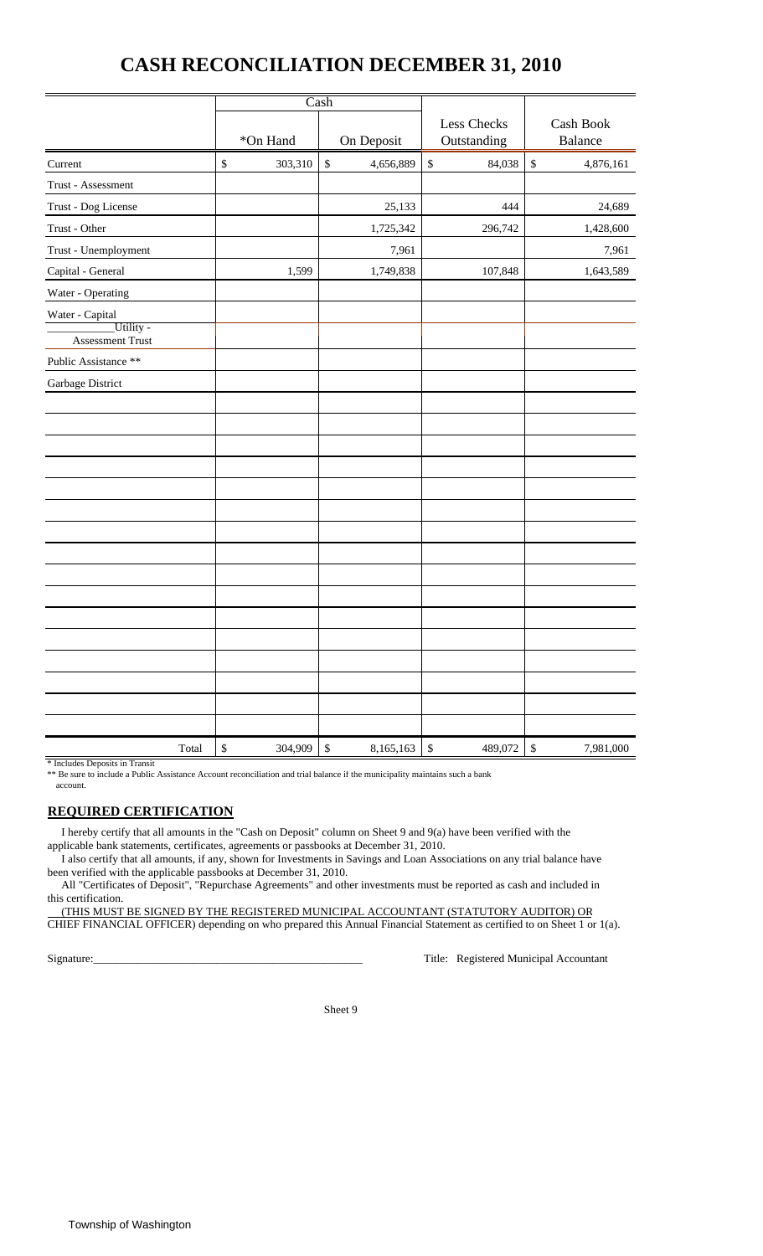### **CASH RECONCILIATION DECEMBER 31, 2010**

|                                                         |                         | Cash                      |                            |                           |  |  |
|---------------------------------------------------------|-------------------------|---------------------------|----------------------------|---------------------------|--|--|
|                                                         | *On Hand                | On Deposit                | Less Checks<br>Outstanding | Cash Book<br>Balance      |  |  |
| Current                                                 | $\mathbb{S}$<br>303,310 | $\mathbb S$<br>4,656,889  | $\mathbb{S}$<br>84,038     | $\mathbb{S}$<br>4,876,161 |  |  |
| Trust - Assessment                                      |                         |                           |                            |                           |  |  |
| Trust - Dog License                                     |                         | 25,133                    | 444                        | 24,689                    |  |  |
| Trust - Other                                           |                         | 1,725,342                 | 296,742                    | 1,428,600                 |  |  |
| Trust - Unemployment                                    |                         | 7,961                     |                            | 7,961                     |  |  |
| Capital - General                                       | 1,599                   | 1,749,838                 | 107,848                    | 1,643,589                 |  |  |
| Water - Operating                                       |                         |                           |                            |                           |  |  |
| Water - Capital<br>Utility -<br><b>Assessment Trust</b> |                         |                           |                            |                           |  |  |
| Public Assistance **                                    |                         |                           |                            |                           |  |  |
| Garbage District                                        |                         |                           |                            |                           |  |  |
|                                                         |                         |                           |                            |                           |  |  |
|                                                         |                         |                           |                            |                           |  |  |
|                                                         |                         |                           |                            |                           |  |  |
| Total                                                   | $\mathbb{S}$<br>304,909 | $\mathbb{S}$<br>8,165,163 | $\mathbb{S}$<br>489,072    | \$<br>7,981,000           |  |  |

#### \* Includes Deposits in Transit

\*\* Be sure to include a Public Assistance Account reconciliation and trial balance if the municipality maintains such a bank account.

#### **REQUIRED CERTIFICATION**

 I hereby certify that all amounts in the "Cash on Deposit" column on Sheet 9 and 9(a) have been verified with the applicable bank statements, certificates, agreements or passbooks at December 31, 2010.

 I also certify that all amounts, if any, shown for Investments in Savings and Loan Associations on any trial balance have been verified with the applicable passbooks at December 31, 2010.

 All "Certificates of Deposit", "Repurchase Agreements" and other investments must be reported as cash and included in this certification.

 (THIS MUST BE SIGNED BY THE REGISTERED MUNICIPAL ACCOUNTANT (STATUTORY AUDITOR) OR CHIEF FINANCIAL OFFICER) depending on who prepared this Annual Financial Statement as certified to on Sheet 1 or 1(a).

Signature:\_\_\_\_\_\_\_\_\_\_\_\_\_\_\_\_\_\_\_\_\_\_\_\_\_\_\_\_\_\_\_\_\_\_\_\_\_\_\_\_\_\_\_\_\_\_\_\_ Title: Registered Municipal Accountant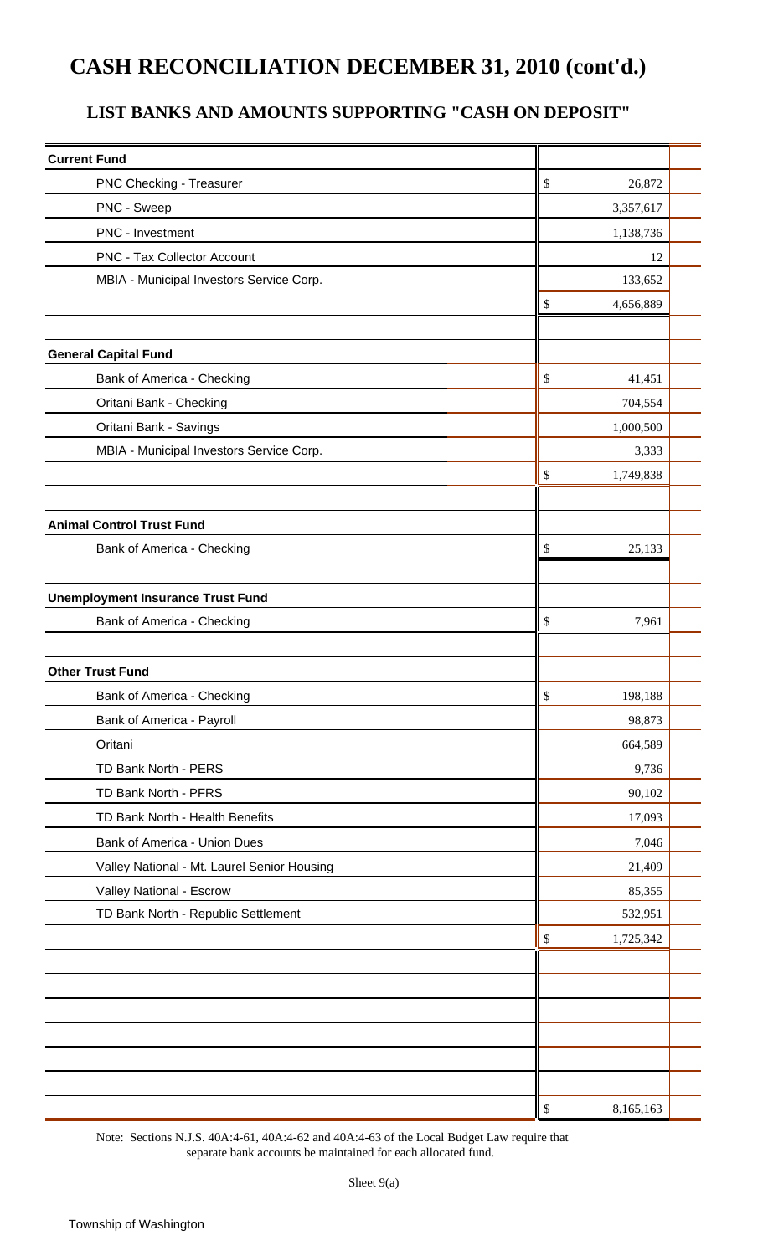## **CASH RECONCILIATION DECEMBER 31, 2010 (cont'd.)**

### **LIST BANKS AND AMOUNTS SUPPORTING "CASH ON DEPOSIT"**

| <b>Current Fund</b>                         |                 |  |
|---------------------------------------------|-----------------|--|
| PNC Checking - Treasurer                    | \$<br>26,872    |  |
| PNC - Sweep                                 | 3,357,617       |  |
| PNC - Investment                            | 1,138,736       |  |
| <b>PNC - Tax Collector Account</b>          | 12              |  |
| MBIA - Municipal Investors Service Corp.    | 133,652         |  |
|                                             | \$<br>4,656,889 |  |
|                                             |                 |  |
| <b>General Capital Fund</b>                 |                 |  |
| Bank of America - Checking                  | \$<br>41,451    |  |
| Oritani Bank - Checking                     | 704,554         |  |
| Oritani Bank - Savings                      | 1,000,500       |  |
| MBIA - Municipal Investors Service Corp.    | 3,333           |  |
|                                             | 1,749,838<br>\$ |  |
|                                             |                 |  |
| <b>Animal Control Trust Fund</b>            |                 |  |
| Bank of America - Checking                  | \$<br>25,133    |  |
|                                             |                 |  |
| <b>Unemployment Insurance Trust Fund</b>    |                 |  |
| Bank of America - Checking                  | 7,961<br>\$     |  |
|                                             |                 |  |
| <b>Other Trust Fund</b>                     |                 |  |
| Bank of America - Checking                  | \$<br>198,188   |  |
| Bank of America - Payroll                   | 98,873          |  |
| Oritani                                     | 664,589         |  |
| TD Bank North - PERS                        | 9,736           |  |
| TD Bank North - PFRS                        | 90,102          |  |
| TD Bank North - Health Benefits             | 17,093          |  |
| Bank of America - Union Dues                | 7,046           |  |
| Valley National - Mt. Laurel Senior Housing | 21,409          |  |
| Valley National - Escrow                    | 85,355          |  |
| TD Bank North - Republic Settlement         | 532,951         |  |
|                                             | 1,725,342<br>\$ |  |
|                                             |                 |  |
|                                             |                 |  |
|                                             |                 |  |
|                                             |                 |  |
|                                             |                 |  |
|                                             |                 |  |
|                                             | 8,165,163<br>\$ |  |

Note: Sections N.J.S. 40A:4-61, 40A:4-62 and 40A:4-63 of the Local Budget Law require that separate bank accounts be maintained for each allocated fund.

Sheet 9(a)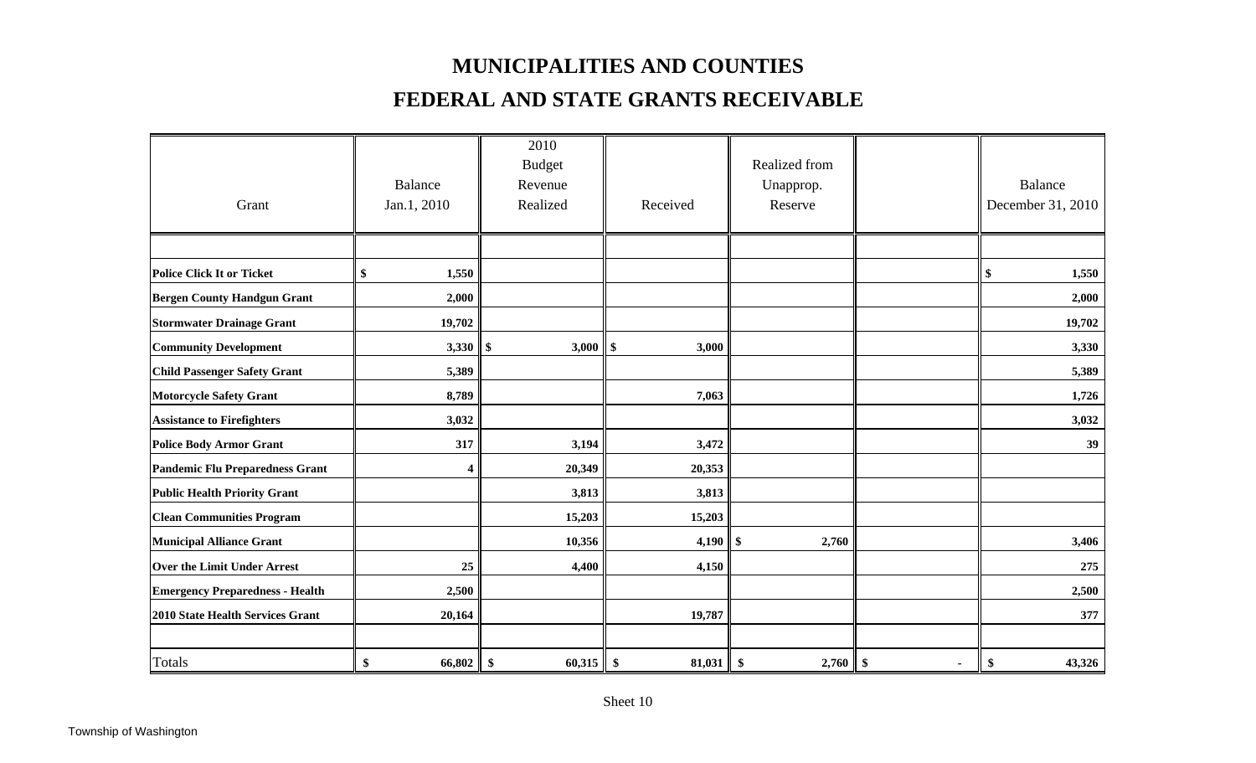### **MUNICIPALITIES AND COUNTIES**

### **FEDERAL AND STATE GRANTS RECEIVABLE**

|                                        |                | 2010              |             |                            |                |                   |
|----------------------------------------|----------------|-------------------|-------------|----------------------------|----------------|-------------------|
|                                        |                | <b>Budget</b>     |             | Realized from              |                |                   |
|                                        | <b>Balance</b> | Revenue           |             | Unapprop.                  |                | <b>Balance</b>    |
| Grant                                  | Jan.1, 2010    | Realized          | Received    | Reserve                    |                | December 31, 2010 |
|                                        |                |                   |             |                            |                |                   |
|                                        |                |                   |             |                            |                |                   |
| <b>Police Click It or Ticket</b>       | 1,550<br>\$    |                   |             |                            |                | \$<br>1,550       |
| <b>Bergen County Handgun Grant</b>     | 2,000          |                   |             |                            |                | 2,000             |
| <b>Stormwater Drainage Grant</b>       | 19,702         |                   |             |                            |                | 19,702            |
| <b>Community Development</b>           |                | 3,000             | \$<br>3,000 |                            |                | 3,330             |
| <b>Child Passenger Safety Grant</b>    | 5,389          |                   |             |                            |                | 5,389             |
| <b>Motorcycle Safety Grant</b>         | 8,789          |                   | 7,063       |                            |                | 1,726             |
| <b>Assistance to Firefighters</b>      | 3,032          |                   |             |                            |                | 3,032             |
| <b>Police Body Armor Grant</b>         | 317            | 3,194             | 3,472       |                            |                | 39                |
| Pandemic Flu Preparedness Grant        | 4              | 20,349            | 20,353      |                            |                |                   |
| <b>Public Health Priority Grant</b>    |                | 3,813             | 3,813       |                            |                |                   |
| <b>Clean Communities Program</b>       |                | 15,203            | 15,203      |                            |                |                   |
| <b>Municipal Alliance Grant</b>        |                | 10,356            | 4,190       | $\boldsymbol{\$}$<br>2,760 |                | 3,406             |
| <b>Over the Limit Under Arrest</b>     | 25             | 4,400             | 4,150       |                            |                | 275               |
| <b>Emergency Preparedness - Health</b> | 2,500          |                   |             |                            |                | 2,500             |
| 2010 State Health Services Grant       | 20,164         |                   | 19,787      |                            |                | 377               |
|                                        |                |                   |             |                            |                |                   |
| <b>Totals</b>                          | \$<br>66,802   | $60,315$ \$<br>\$ | 81,031      | \$<br>$2,760$ \$           | $\blacksquare$ | 43,326<br>\$      |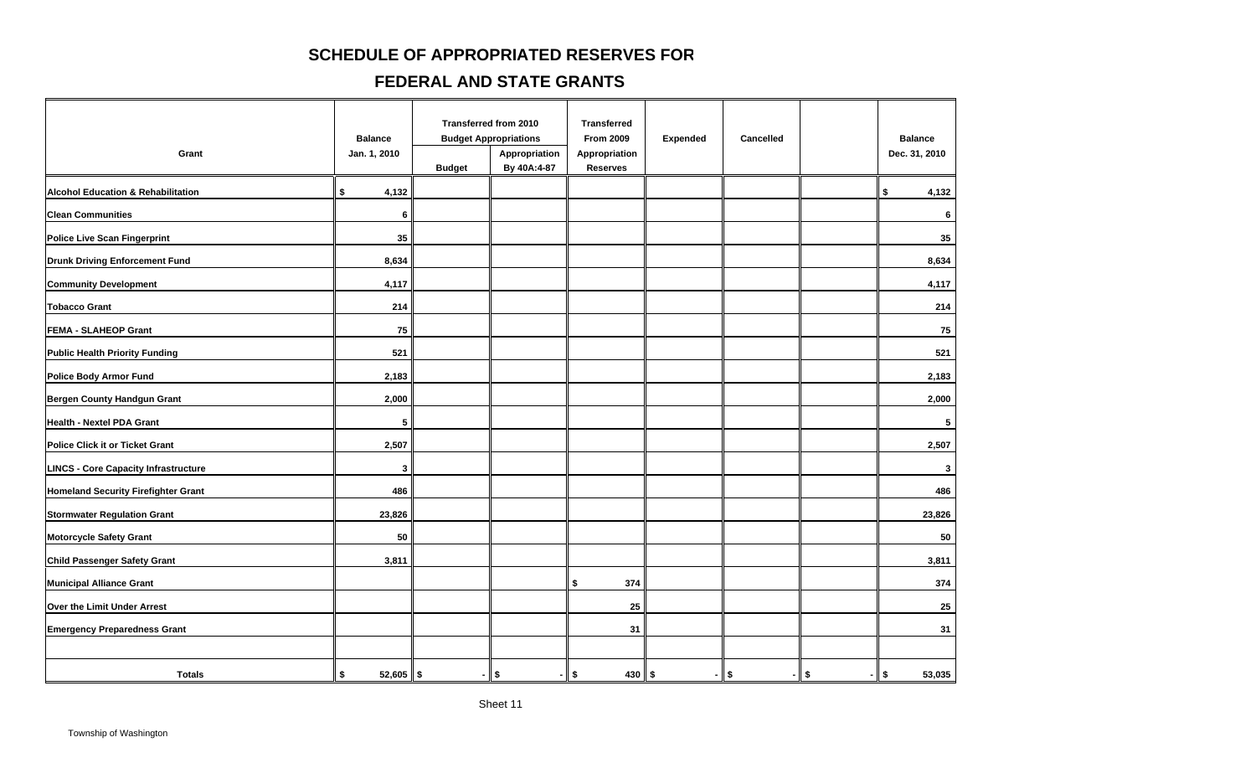### **SCHEDULE OF APPROPRIATED RESERVES FOR**

#### **FEDERAL AND STATE GRANTS**

| Grant                                         | <b>Balance</b><br>Jan. 1, 2010 | <b>Budget</b> | Transferred from 2010<br><b>Budget Appropriations</b><br>Appropriation<br>By 40A:4-87 | <b>Transferred</b><br><b>From 2009</b><br>Appropriation<br><b>Reserves</b> | <b>Expended</b> | Cancelled |         | <b>Balance</b><br>Dec. 31, 2010 |
|-----------------------------------------------|--------------------------------|---------------|---------------------------------------------------------------------------------------|----------------------------------------------------------------------------|-----------------|-----------|---------|---------------------------------|
| <b>Alcohol Education &amp; Rehabilitation</b> | \$<br>4,132                    |               |                                                                                       |                                                                            |                 |           |         | \$<br>4,132                     |
| <b>Clean Communities</b>                      | 6                              |               |                                                                                       |                                                                            |                 |           |         | 6                               |
| <b>Police Live Scan Fingerprint</b>           | 35                             |               |                                                                                       |                                                                            |                 |           |         | 35                              |
| <b>Drunk Driving Enforcement Fund</b>         | 8,634                          |               |                                                                                       |                                                                            |                 |           |         | 8,634                           |
| <b>Community Development</b>                  | 4,117                          |               |                                                                                       |                                                                            |                 |           |         | 4,117                           |
| <b>Tobacco Grant</b>                          | 214                            |               |                                                                                       |                                                                            |                 |           |         | 214                             |
| <b>FEMA - SLAHEOP Grant</b>                   | 75                             |               |                                                                                       |                                                                            |                 |           |         | 75                              |
| <b>Public Health Priority Funding</b>         | 521                            |               |                                                                                       |                                                                            |                 |           |         | 521                             |
| <b>Police Body Armor Fund</b>                 | 2,183                          |               |                                                                                       |                                                                            |                 |           |         | 2,183                           |
| Bergen County Handgun Grant                   | 2,000                          |               |                                                                                       |                                                                            |                 |           |         | 2,000                           |
| Health - Nextel PDA Grant                     | 5                              |               |                                                                                       |                                                                            |                 |           |         | 5                               |
| <b>Police Click it or Ticket Grant</b>        | 2,507                          |               |                                                                                       |                                                                            |                 |           |         | 2,507                           |
| <b>LINCS - Core Capacity Infrastructure</b>   | 3                              |               |                                                                                       |                                                                            |                 |           |         | $\mathbf{3}$                    |
| <b>Homeland Security Firefighter Grant</b>    | 486                            |               |                                                                                       |                                                                            |                 |           |         | 486                             |
| <b>Stormwater Regulation Grant</b>            | 23,826                         |               |                                                                                       |                                                                            |                 |           |         | 23,826                          |
| <b>Motorcycle Safety Grant</b>                | 50                             |               |                                                                                       |                                                                            |                 |           |         | 50                              |
| Child Passenger Safety Grant                  | 3,811                          |               |                                                                                       |                                                                            |                 |           |         | 3,811                           |
| <b>Municipal Alliance Grant</b>               |                                |               |                                                                                       | \$<br>374                                                                  |                 |           |         | 374                             |
| Over the Limit Under Arrest                   |                                |               |                                                                                       | 25                                                                         |                 |           |         | 25                              |
| <b>Emergency Preparedness Grant</b>           |                                |               |                                                                                       | 31                                                                         |                 |           |         | 31                              |
|                                               |                                |               |                                                                                       |                                                                            |                 |           |         |                                 |
| <b>Totals</b>                                 | $52,605$ \$<br>\$              | - 1           | \$                                                                                    | $430$ \$<br>\$                                                             |                 | $-1$ \$   | $-1$ \$ | $-1$ \$<br>53,035               |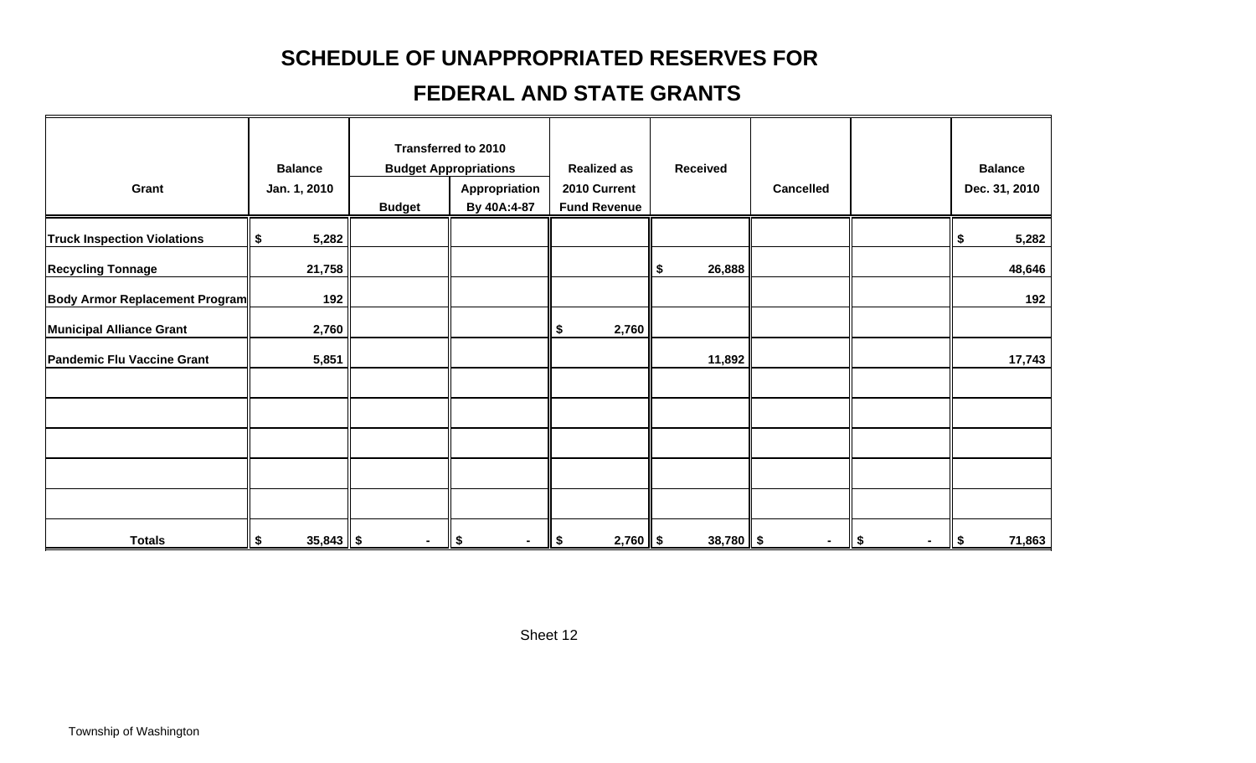## **SCHEDULE OF UNAPPROPRIATED RESERVES FO R**

## **FEDERAL AND STATE GRANTS**

| Grant                                 | <b>Balance</b><br>Jan. 1, 2010 | <b>Budget</b> | <b>Transferred to 2010</b><br><b>Budget Appropriations</b><br>Appropriation<br>By 40A:4-87 | <b>Realized as</b><br>2010 Current<br><b>Fund Revenue</b> | <b>Received</b> | <b>Cancelled</b> |              | <b>Balance</b><br>Dec. 31, 2010 |
|---------------------------------------|--------------------------------|---------------|--------------------------------------------------------------------------------------------|-----------------------------------------------------------|-----------------|------------------|--------------|---------------------------------|
|                                       |                                |               |                                                                                            |                                                           |                 |                  |              |                                 |
| <b>Truck Inspection Violations</b>    | 5,282<br>\$                    |               |                                                                                            |                                                           |                 |                  |              | 5,282<br>\$                     |
| <b>Recycling Tonnage</b>              | 21,758                         |               |                                                                                            |                                                           | 26,888<br>\$    |                  |              | 48,646                          |
| <b>Body Armor Replacement Program</b> | 192                            |               |                                                                                            |                                                           |                 |                  |              | 192                             |
| <b>Municipal Alliance Grant</b>       | 2,760                          |               |                                                                                            | 2,760<br>\$                                               |                 |                  |              |                                 |
| <b>Pandemic Flu Vaccine Grant</b>     | 5,851                          |               |                                                                                            |                                                           | 11,892          |                  |              | 17,743                          |
|                                       |                                |               |                                                                                            |                                                           |                 |                  |              |                                 |
|                                       |                                |               |                                                                                            |                                                           |                 |                  |              |                                 |
|                                       |                                |               |                                                                                            |                                                           |                 |                  |              |                                 |
|                                       |                                |               |                                                                                            |                                                           |                 |                  |              |                                 |
| <b>Totals</b>                         | $35,843$ \$<br>\$              | ٠             | \$<br>$\sim$                                                                               | $2,760$ \$<br>ll \$                                       | $38,780$ \$     | $\sim$           | \$<br>$\sim$ | 71,863<br>$\sqrt{2}$            |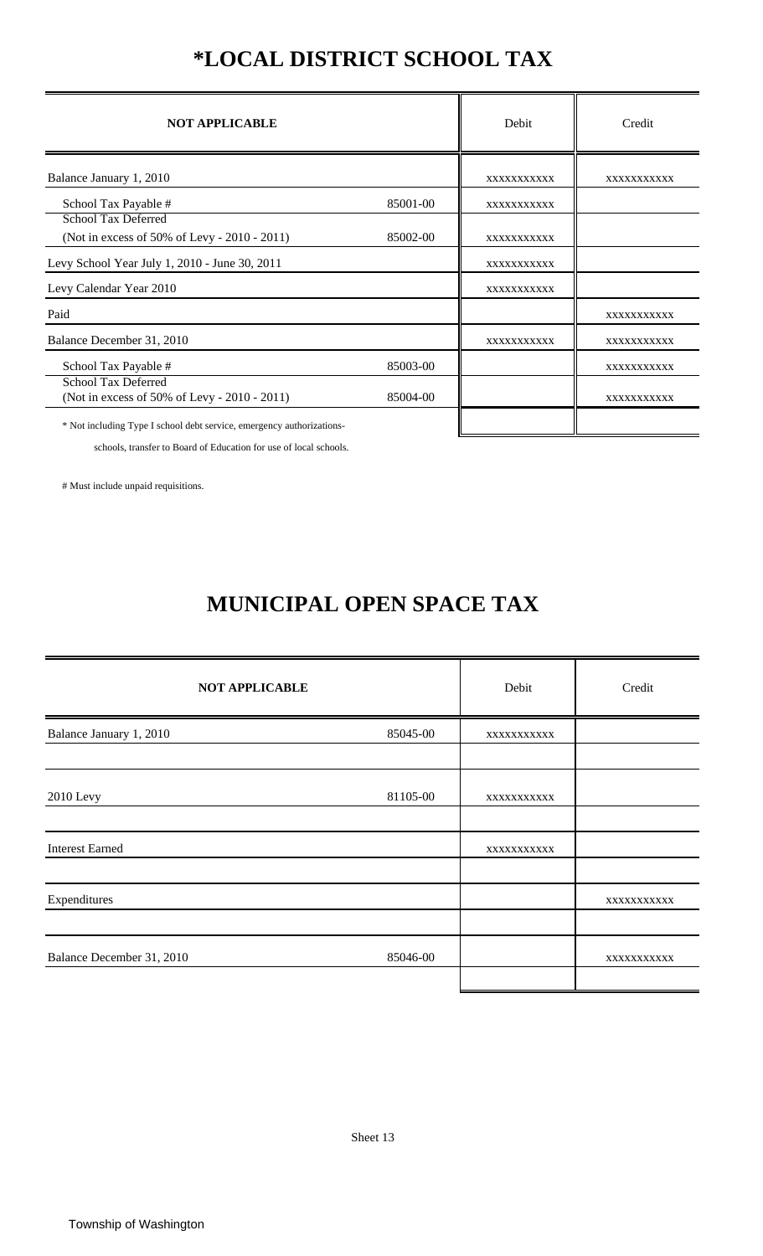## **\*LOCAL DISTRICT SCHOOL TAX**

| <b>NOT APPLICABLE</b>                                                      |          | Debit       | Credit      |
|----------------------------------------------------------------------------|----------|-------------|-------------|
| Balance January 1, 2010                                                    |          | XXXXXXXXXX  | XXXXXXXXXXX |
| School Tax Payable #                                                       | 85001-00 | XXXXXXXXXXX |             |
| School Tax Deferred<br>(Not in excess of 50% of Levy - 2010 - 2011)        | 85002-00 | XXXXXXXXXX  |             |
| Levy School Year July 1, 2010 - June 30, 2011                              |          | XXXXXXXXXX  |             |
| Levy Calendar Year 2010                                                    |          | XXXXXXXXXX  |             |
| Paid                                                                       |          |             | XXXXXXXXXX  |
| Balance December 31, 2010                                                  |          | XXXXXXXXXXX | XXXXXXXXXXX |
| School Tax Payable #                                                       | 85003-00 |             | XXXXXXXXXX  |
| <b>School Tax Deferred</b><br>(Not in excess of 50% of Levy - 2010 - 2011) | 85004-00 |             | XXXXXXXXXXX |
| * Not including Type I school debt service, emergency authorizations-      |          |             |             |

schools, transfer to Board of Education for use of local schools.

# Must include unpaid requisitions.

## **MUNICIPAL OPEN SPACE TAX**

| <b>NOT APPLICABLE</b>     |          | Debit      | Credit     |
|---------------------------|----------|------------|------------|
| Balance January 1, 2010   | 85045-00 | XXXXXXXXXX |            |
|                           |          |            |            |
| 2010 Levy                 | 81105-00 | XXXXXXXXXX |            |
|                           |          |            |            |
| <b>Interest Earned</b>    |          | XXXXXXXXXX |            |
|                           |          |            |            |
| Expenditures              |          |            | XXXXXXXXXX |
|                           |          |            |            |
| Balance December 31, 2010 | 85046-00 |            | XXXXXXXXXX |
|                           |          |            |            |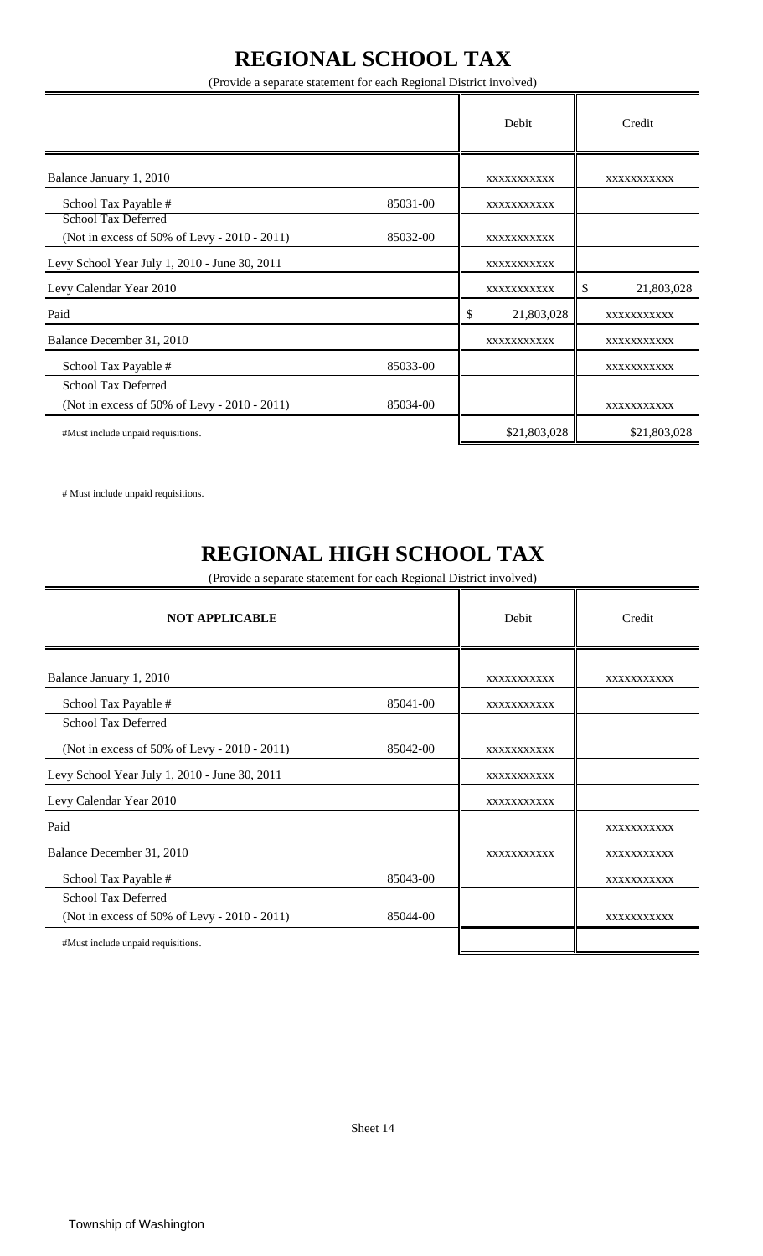## **REGIONAL SCHOOL TAX**

(Provide a separate statement for each Regional District involved)

|                                                                            |          | Debit            |    | Credit       |
|----------------------------------------------------------------------------|----------|------------------|----|--------------|
| Balance January 1, 2010                                                    |          | XXXXXXXXXXX      |    | XXXXXXXXXX   |
| School Tax Payable #                                                       | 85031-00 | XXXXXXXXXX       |    |              |
| <b>School Tax Deferred</b><br>(Not in excess of 50% of Levy - 2010 - 2011) | 85032-00 | XXXXXXXXXXX      |    |              |
| Levy School Year July 1, 2010 - June 30, 2011                              |          | XXXXXXXXXX       |    |              |
| Levy Calendar Year 2010                                                    |          | XXXXXXXXXX       | \$ | 21,803,028   |
| Paid                                                                       |          | \$<br>21,803,028 |    | XXXXXXXXXX   |
| Balance December 31, 2010                                                  |          | XXXXXXXXXXX      |    | XXXXXXXXXXX  |
| School Tax Payable #                                                       | 85033-00 |                  |    | XXXXXXXXXXX  |
| <b>School Tax Deferred</b><br>(Not in excess of 50% of Levy - 2010 - 2011) | 85034-00 |                  |    | XXXXXXXXXX   |
| #Must include unpaid requisitions.                                         |          | \$21,803,028     |    | \$21,803,028 |

# Must include unpaid requisitions.

## **REGIONAL HIGH SCHOOL TAX**

(Provide a separate statement for each Regional District involved)

| <b>NOT APPLICABLE</b>                         |          | Debit       | Credit      |
|-----------------------------------------------|----------|-------------|-------------|
| Balance January 1, 2010                       |          | XXXXXXXXXXX | XXXXXXXXXXX |
| School Tax Payable #                          | 85041-00 | XXXXXXXXXX  |             |
| <b>School Tax Deferred</b>                    |          |             |             |
| (Not in excess of 50% of Levy - 2010 - 2011)  | 85042-00 | XXXXXXXXXX  |             |
| Levy School Year July 1, 2010 - June 30, 2011 |          | XXXXXXXXXX  |             |
| Levy Calendar Year 2010                       |          | XXXXXXXXXXX |             |
| Paid                                          |          |             | XXXXXXXXXXX |
| Balance December 31, 2010                     |          | XXXXXXXXXX  | XXXXXXXXXX  |
| School Tax Payable #                          | 85043-00 |             | XXXXXXXXXX  |
| School Tax Deferred                           |          |             |             |
| (Not in excess of 50% of Levy - 2010 - 2011)  | 85044-00 |             | XXXXXXXXXX  |
| #Must include unpaid requisitions.            |          |             |             |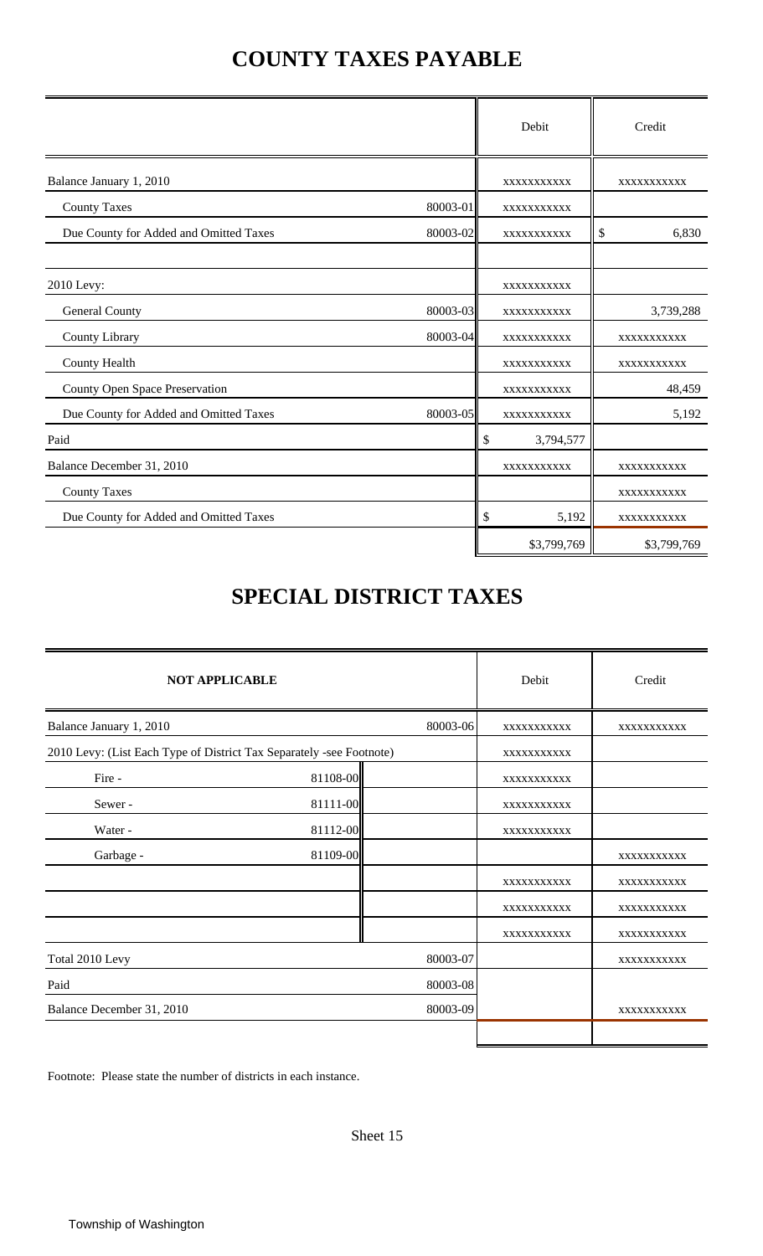## **COUNTY TAXES PAYABLE**

|                                        |          | Debit           | Credit      |
|----------------------------------------|----------|-----------------|-------------|
| Balance January 1, 2010                |          | XXXXXXXXXX      | XXXXXXXXXX  |
| <b>County Taxes</b>                    | 80003-01 | XXXXXXXXXXX     |             |
| Due County for Added and Omitted Taxes | 80003-02 | XXXXXXXXXX      | \$<br>6,830 |
| 2010 Levy:                             |          | XXXXXXXXXX      |             |
| General County                         | 80003-03 | XXXXXXXXXXX     | 3,739,288   |
| County Library                         | 80003-04 | XXXXXXXXXXX     | XXXXXXXXXX  |
| <b>County Health</b>                   |          | XXXXXXXXXXX     | XXXXXXXXXX  |
| County Open Space Preservation         |          | XXXXXXXXXXX     | 48,459      |
| Due County for Added and Omitted Taxes | 80003-05 | XXXXXXXXXX      | 5,192       |
| Paid                                   |          | \$<br>3,794,577 |             |
| Balance December 31, 2010              |          | XXXXXXXXXXX     | XXXXXXXXXXX |
| <b>County Taxes</b>                    |          |                 | XXXXXXXXXX  |
| Due County for Added and Omitted Taxes |          | \$<br>5,192     | XXXXXXXXXX  |
|                                        |          | \$3,799,769     | \$3,799,769 |

## **SPECIAL DISTRICT TAXES**

| <b>NOT APPLICABLE</b>                                                |          |          | Debit       | Credit      |
|----------------------------------------------------------------------|----------|----------|-------------|-------------|
| Balance January 1, 2010                                              |          | 80003-06 | XXXXXXXXXX  | XXXXXXXXXX  |
| 2010 Levy: (List Each Type of District Tax Separately -see Footnote) |          |          | XXXXXXXXXX  |             |
| Fire -                                                               | 81108-00 |          | XXXXXXXXXX  |             |
| Sewer-                                                               | 81111-00 |          | XXXXXXXXXX  |             |
| Water -                                                              | 81112-00 |          | XXXXXXXXXX  |             |
| Garbage -                                                            | 81109-00 |          |             | XXXXXXXXXX  |
|                                                                      |          |          | XXXXXXXXXX  | XXXXXXXXXX  |
|                                                                      |          |          | XXXXXXXXXXX | XXXXXXXXXXX |
|                                                                      |          |          | XXXXXXXXXX  | XXXXXXXXXXX |
| Total 2010 Levy                                                      |          | 80003-07 |             | XXXXXXXXXX  |
| Paid                                                                 |          | 80003-08 |             |             |
| Balance December 31, 2010                                            |          | 80003-09 |             | XXXXXXXXXX  |
|                                                                      |          |          |             |             |

Footnote: Please state the number of districts in each instance.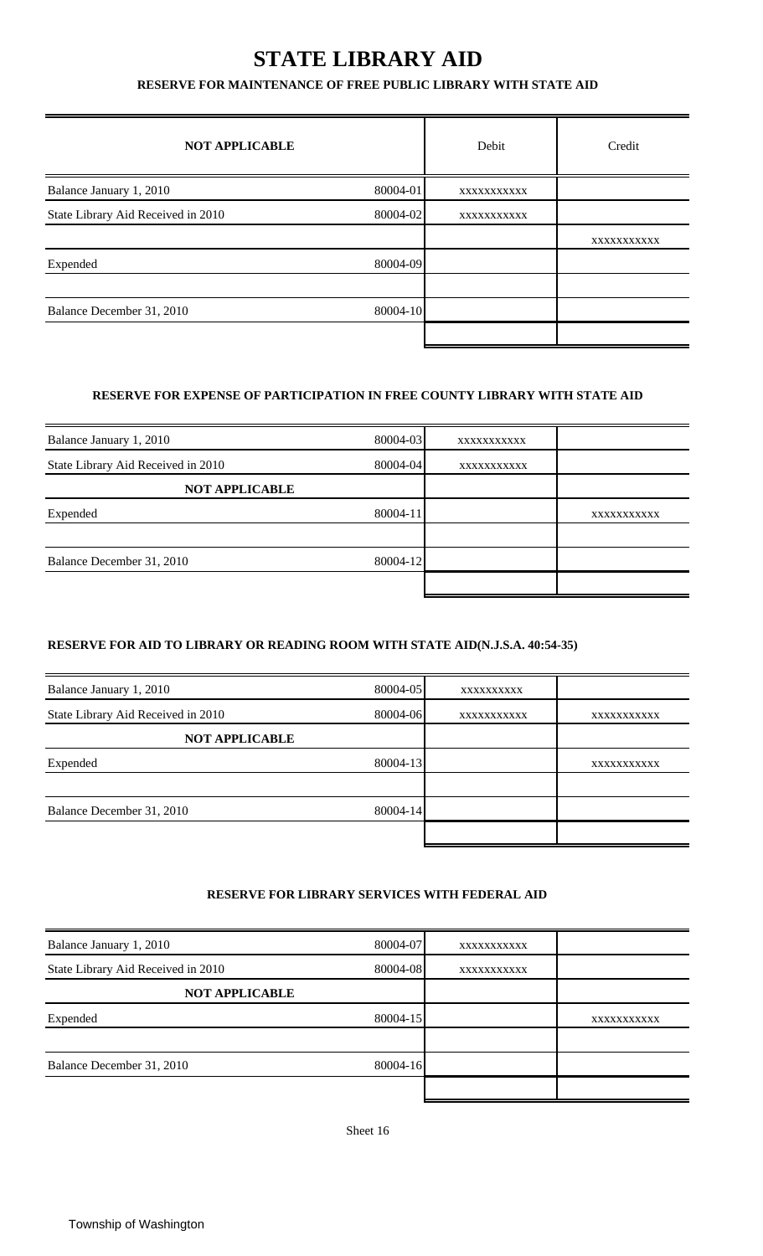## **STATE LIBRARY AID**

#### **RESERVE FOR MAINTENANCE OF FREE PUBLIC LIBRARY WITH STATE AID**

| <b>NOT APPLICABLE</b>              |          | Debit       | Credit      |
|------------------------------------|----------|-------------|-------------|
| Balance January 1, 2010            | 80004-01 | XXXXXXXXXXX |             |
| State Library Aid Received in 2010 | 80004-02 | XXXXXXXXXXX |             |
|                                    |          |             | XXXXXXXXXXX |
| Expended                           | 80004-09 |             |             |
| Balance December 31, 2010          | 80004-10 |             |             |
|                                    |          |             |             |

#### **RESERVE FOR EXPENSE OF PARTICIPATION IN FREE COUNTY LIBRARY WITH STATE AID**

| Balance January 1, 2010            | 80004-03     | XXXXXXXXXX  |             |
|------------------------------------|--------------|-------------|-------------|
| State Library Aid Received in 2010 | 80004-04     | XXXXXXXXXXX |             |
| <b>NOT APPLICABLE</b>              |              |             |             |
| Expended                           | $80004 - 11$ |             | XXXXXXXXXXX |
|                                    |              |             |             |
| Balance December 31, 2010          | 80004-12     |             |             |
|                                    |              |             |             |

#### **RESERVE FOR AID TO LIBRARY OR READING ROOM WITH STATE AID(N.J.S.A. 40:54-35)**

| Balance January 1, 2010            | 80004-05 | XXXXXXXXXX  |             |
|------------------------------------|----------|-------------|-------------|
| State Library Aid Received in 2010 | 80004-06 | XXXXXXXXXXX | XXXXXXXXXXX |
| <b>NOT APPLICABLE</b>              |          |             |             |
| Expended                           | 80004-13 |             | XXXXXXXXXX  |
|                                    |          |             |             |
| Balance December 31, 2010          | 80004-14 |             |             |
|                                    |          |             |             |

#### **RESERVE FOR LIBRARY SERVICES WITH FEDERAL AID**

| Balance January 1, 2010            | 80004-07 | XXXXXXXXXXX |             |
|------------------------------------|----------|-------------|-------------|
| State Library Aid Received in 2010 | 80004-08 | XXXXXXXXXX  |             |
| <b>NOT APPLICABLE</b>              |          |             |             |
| Expended                           | 80004-15 |             | XXXXXXXXXXX |
|                                    |          |             |             |
| Balance December 31, 2010          | 80004-16 |             |             |
|                                    |          |             |             |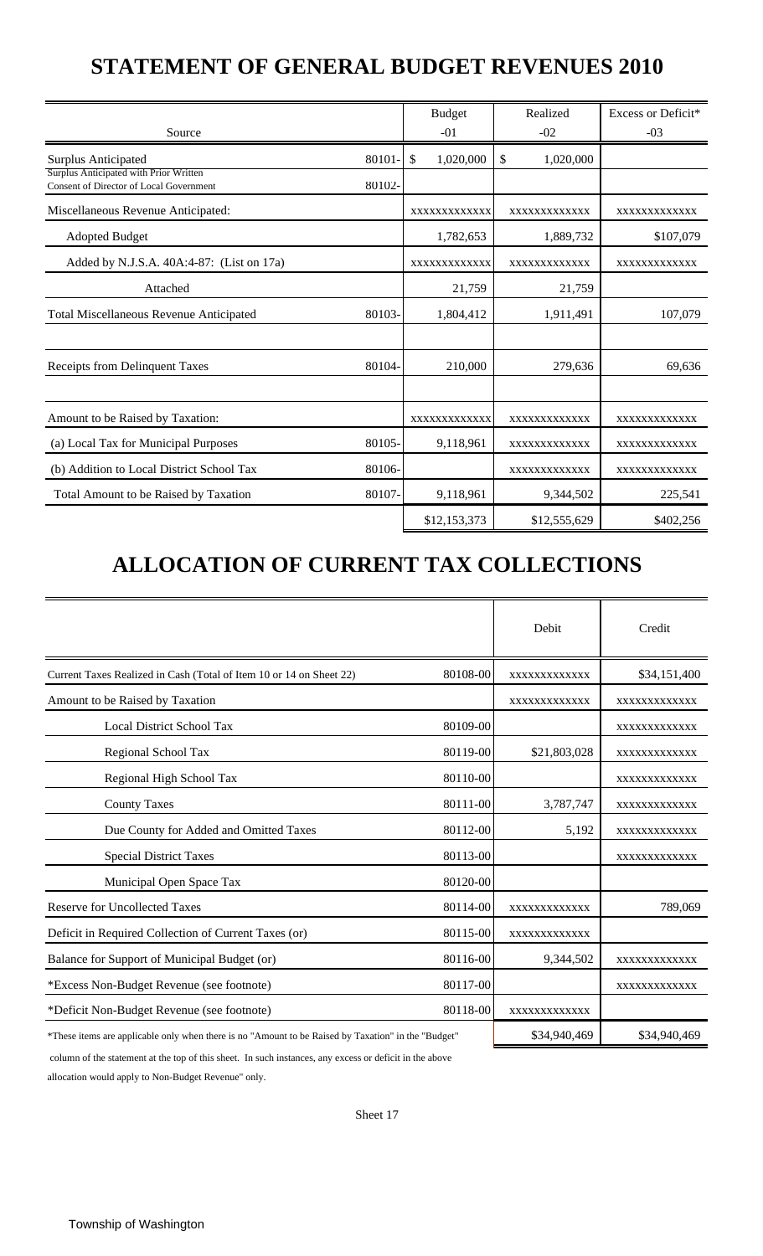## **STATEMENT OF GENERAL BUDGET REVENUES 2010**

|                                                                                          |        | <b>Budget</b>   | Realized        | Excess or Deficit* |
|------------------------------------------------------------------------------------------|--------|-----------------|-----------------|--------------------|
| Source                                                                                   |        | $-01$           | $-02$           | $-03$              |
| <b>Surplus Anticipated</b>                                                               | 80101  | \$<br>1,020,000 | \$<br>1,020,000 |                    |
| Surplus Anticipated with Prior Written<br><b>Consent of Director of Local Government</b> | 80102- |                 |                 |                    |
| Miscellaneous Revenue Anticipated:                                                       |        | XXXXXXXXXXXX    | XXXXXXXXXXXX    | XXXXXXXXXXXX       |
| <b>Adopted Budget</b>                                                                    |        | 1,782,653       | 1,889,732       | \$107,079          |
| Added by N.J.S.A. 40A:4-87: (List on 17a)                                                |        | XXXXXXXXXXXX    | XXXXXXXXXXXX    | XXXXXXXXXXXX       |
| Attached                                                                                 |        | 21,759          | 21,759          |                    |
| <b>Total Miscellaneous Revenue Anticipated</b>                                           | 80103- | 1,804,412       | 1,911,491       | 107,079            |
|                                                                                          |        |                 |                 |                    |
| Receipts from Delinquent Taxes                                                           | 80104- | 210,000         | 279,636         | 69,636             |
|                                                                                          |        |                 |                 |                    |
| Amount to be Raised by Taxation:                                                         |        | XXXXXXXXXXXX    | XXXXXXXXXXXX    | XXXXXXXXXXXX       |
| (a) Local Tax for Municipal Purposes                                                     | 80105- | 9,118,961       | XXXXXXXXXXXX    | XXXXXXXXXXXX       |
| (b) Addition to Local District School Tax                                                | 80106- |                 | XXXXXXXXXXXX    | XXXXXXXXXXXX       |
| Total Amount to be Raised by Taxation                                                    | 80107- | 9,118,961       | 9,344,502       | 225,541            |
|                                                                                          |        | \$12,153,373    | \$12,555,629    | \$402,256          |

# **ALLOCATION OF CURRENT TAX COLLECTIONS**

|                                                                                                     |          | Debit        | Credit       |
|-----------------------------------------------------------------------------------------------------|----------|--------------|--------------|
| Current Taxes Realized in Cash (Total of Item 10 or 14 on Sheet 22)                                 | 80108-00 | XXXXXXXXXXXX | \$34,151,400 |
| Amount to be Raised by Taxation                                                                     |          | XXXXXXXXXXXX | XXXXXXXXXXXX |
| <b>Local District School Tax</b>                                                                    | 80109-00 |              | XXXXXXXXXXXX |
| Regional School Tax                                                                                 | 80119-00 | \$21,803,028 | XXXXXXXXXXXX |
| Regional High School Tax                                                                            | 80110-00 |              | XXXXXXXXXXXX |
| <b>County Taxes</b>                                                                                 | 80111-00 | 3,787,747    | XXXXXXXXXXXX |
| Due County for Added and Omitted Taxes                                                              | 80112-00 | 5,192        | XXXXXXXXXXXX |
| <b>Special District Taxes</b>                                                                       | 80113-00 |              | XXXXXXXXXXXX |
| Municipal Open Space Tax                                                                            | 80120-00 |              |              |
| <b>Reserve for Uncollected Taxes</b>                                                                | 80114-00 | XXXXXXXXXXXX | 789,069      |
| Deficit in Required Collection of Current Taxes (or)                                                | 80115-00 | XXXXXXXXXXXX |              |
| Balance for Support of Municipal Budget (or)                                                        | 80116-00 | 9,344,502    | XXXXXXXXXXXX |
| *Excess Non-Budget Revenue (see footnote)                                                           | 80117-00 |              | XXXXXXXXXXXX |
| *Deficit Non-Budget Revenue (see footnote)                                                          | 80118-00 | XXXXXXXXXXXX |              |
| *These items are applicable only when there is no "Amount to be Raised by Taxation" in the "Budget" |          | \$34,940,469 | \$34,940,469 |

column of the statement at the top of this sheet. In such instances, any excess or deficit in the above

allocation would apply to Non-Budget Revenue" only.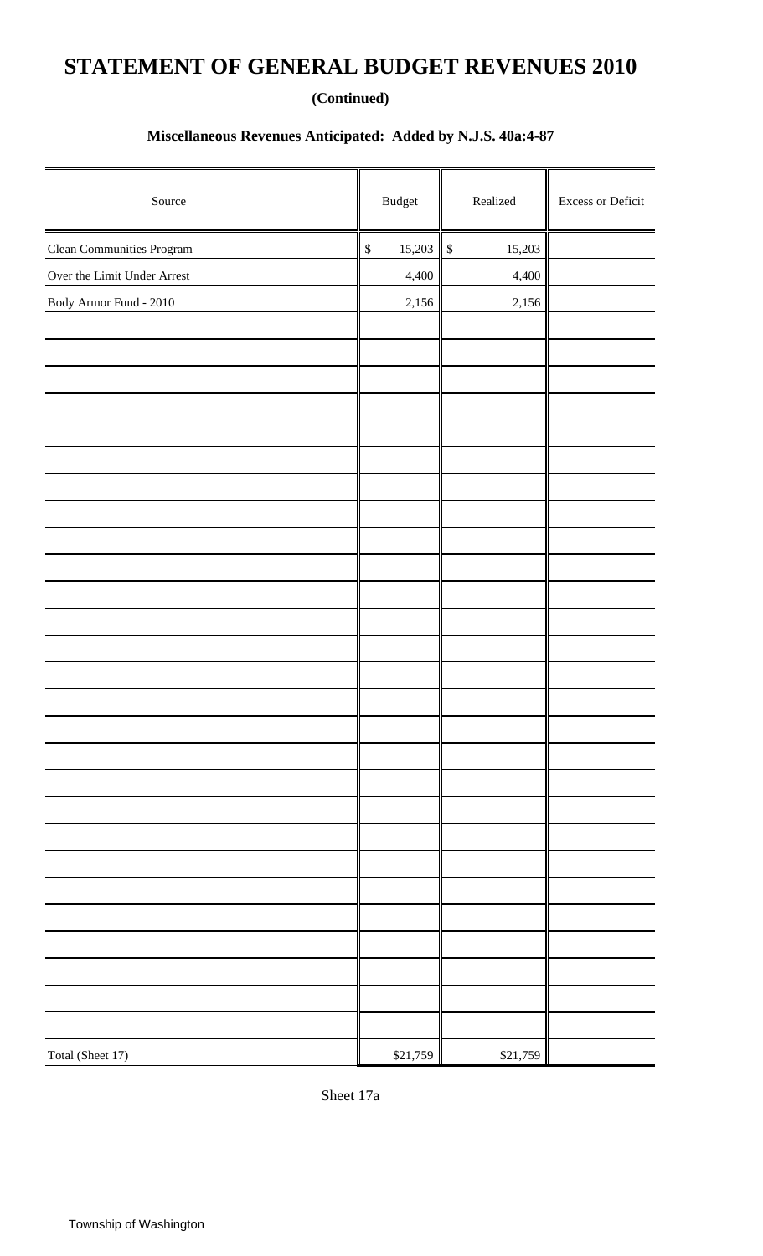## **STATEMENT OF GENERAL BUDGET REVENUES 2010**

#### **(Continued)**

### **Miscellaneous Revenues Anticipated: Added by N.J.S. 40a:4-87**

| Source                           | $\mathbf{B} \mathbf{u} \mathbf{d} \mathbf{g}$ et | $\rm Realized$         | Excess or Deficit |
|----------------------------------|--------------------------------------------------|------------------------|-------------------|
| <b>Clean Communities Program</b> | 15,203<br>$\mathbb{S}$                           | 15,203<br>$\mathbb{S}$ |                   |
| Over the Limit Under Arrest      | 4,400                                            | 4,400                  |                   |
| Body Armor Fund - 2010           | 2,156                                            | 2,156                  |                   |
|                                  |                                                  |                        |                   |
|                                  |                                                  |                        |                   |
|                                  |                                                  |                        |                   |
|                                  |                                                  |                        |                   |
|                                  |                                                  |                        |                   |
|                                  |                                                  |                        |                   |
|                                  |                                                  |                        |                   |
|                                  |                                                  |                        |                   |
|                                  |                                                  |                        |                   |
|                                  |                                                  |                        |                   |
|                                  |                                                  |                        |                   |
|                                  |                                                  |                        |                   |
|                                  |                                                  |                        |                   |
|                                  |                                                  |                        |                   |
|                                  |                                                  |                        |                   |
|                                  |                                                  |                        |                   |
|                                  |                                                  |                        |                   |
|                                  |                                                  |                        |                   |
|                                  |                                                  |                        |                   |
|                                  |                                                  |                        |                   |
|                                  |                                                  |                        |                   |
|                                  |                                                  |                        |                   |
|                                  |                                                  |                        |                   |
|                                  |                                                  |                        |                   |
|                                  |                                                  |                        |                   |
|                                  |                                                  |                        |                   |
|                                  |                                                  |                        |                   |
| Total (Sheet 17)                 | \$21,759                                         | \$21,759               |                   |

Sheet 17a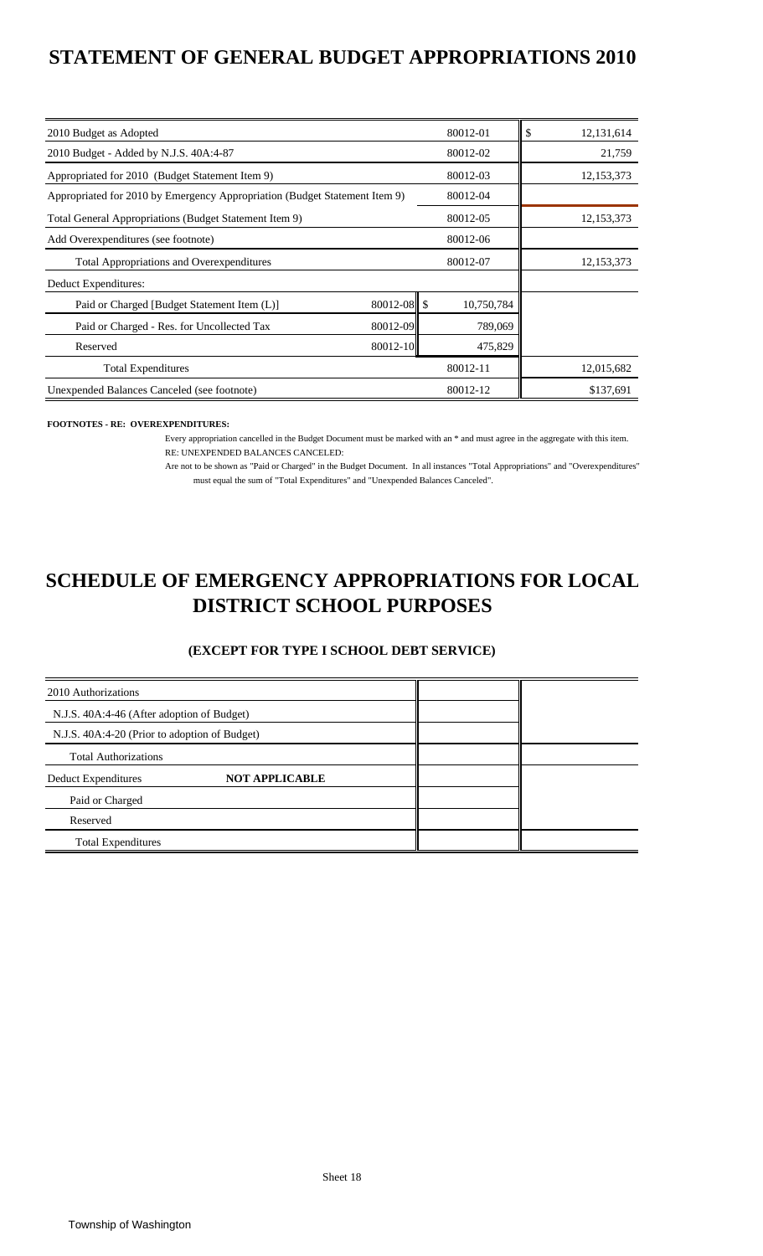### **STATEMENT OF GENERAL BUDGET APPROPRIATIONS 2010**

| 2010 Budget as Adopted                                                     |             | 80012-01   | \$<br>12,131,614 |
|----------------------------------------------------------------------------|-------------|------------|------------------|
| 2010 Budget - Added by N.J.S. 40A:4-87                                     |             | 80012-02   | 21,759           |
| Appropriated for 2010 (Budget Statement Item 9)                            |             | 80012-03   | 12, 153, 373     |
| Appropriated for 2010 by Emergency Appropriation (Budget Statement Item 9) |             | 80012-04   |                  |
| Total General Appropriations (Budget Statement Item 9)                     |             | 80012-05   | 12, 153, 373     |
| Add Overexpenditures (see footnote)                                        |             | 80012-06   |                  |
| <b>Total Appropriations and Overexpenditures</b>                           |             | 80012-07   | 12,153,373       |
| Deduct Expenditures:                                                       |             |            |                  |
| Paid or Charged [Budget Statement Item (L)]                                | 80012-08 \$ | 10,750,784 |                  |
| Paid or Charged - Res. for Uncollected Tax                                 | 80012-09    | 789,069    |                  |
| Reserved                                                                   | 80012-10    | 475,829    |                  |
| <b>Total Expenditures</b>                                                  |             | 80012-11   | 12,015,682       |
| Unexpended Balances Canceled (see footnote)                                |             | 80012-12   | \$137,691        |

#### **FOOTNOTES - RE: OVEREXPENDITURES:**

Every appropriation cancelled in the Budget Document must be marked with an \* and must agree in the aggregate with this item. RE: UNEXPENDED BALANCES CANCELED:

Are not to be shown as "Paid or Charged" in the Budget Document. In all instances "Total Appropriations" and "Overexpenditures" must equal the sum of "Total Expenditures" and "Unexpended Balances Canceled".

### **DISTRICT SCHOOL PURPOSES SCHEDULE OF EMERGENCY APPROPRIATIONS FOR LOCAL**

#### **(EXCEPT FOR TYPE I SCHOOL DEBT SERVICE)**

| 2010 Authorizations                           |                       |  |
|-----------------------------------------------|-----------------------|--|
| N.J.S. 40A:4-46 (After adoption of Budget)    |                       |  |
| N.J.S. 40A:4-20 (Prior to adoption of Budget) |                       |  |
| <b>Total Authorizations</b>                   |                       |  |
| Deduct Expenditures                           | <b>NOT APPLICABLE</b> |  |
| Paid or Charged                               |                       |  |
| Reserved                                      |                       |  |
| <b>Total Expenditures</b>                     |                       |  |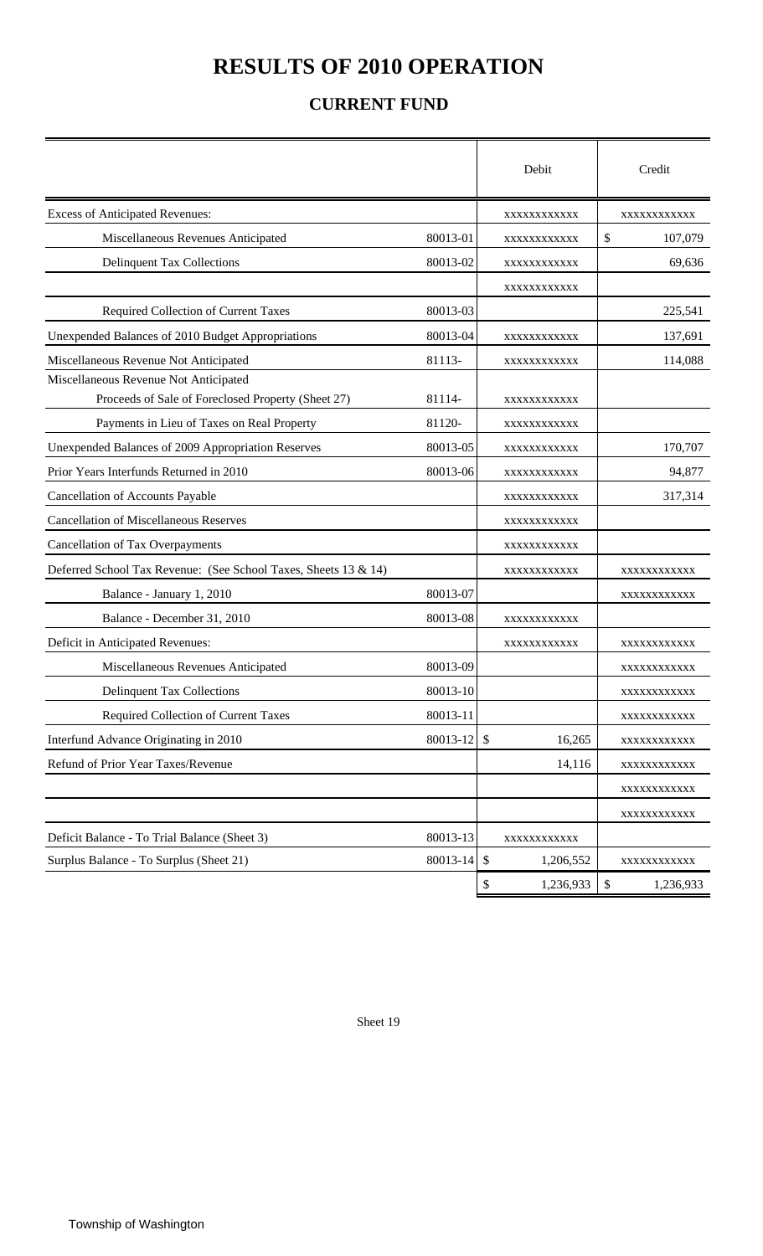## **RESULTS OF 2010 OPERATION**

### **CURRENT FUND**

|                                                                 |          | Debit                               | Credit          |
|-----------------------------------------------------------------|----------|-------------------------------------|-----------------|
| <b>Excess of Anticipated Revenues:</b>                          |          | XXXXXXXXXXX                         | XXXXXXXXXXX     |
| Miscellaneous Revenues Anticipated                              | 80013-01 | XXXXXXXXXXX                         | \$<br>107,079   |
| <b>Delinquent Tax Collections</b>                               | 80013-02 | XXXXXXXXXXX                         | 69,636          |
|                                                                 |          | XXXXXXXXXXX                         |                 |
| Required Collection of Current Taxes                            | 80013-03 |                                     | 225,541         |
| Unexpended Balances of 2010 Budget Appropriations               | 80013-04 | XXXXXXXXXXX                         | 137,691         |
| Miscellaneous Revenue Not Anticipated                           | 81113-   | XXXXXXXXXXX                         | 114,088         |
| Miscellaneous Revenue Not Anticipated                           |          |                                     |                 |
| Proceeds of Sale of Foreclosed Property (Sheet 27)              | 81114-   | XXXXXXXXXXX                         |                 |
| Payments in Lieu of Taxes on Real Property                      | 81120-   | XXXXXXXXXXX                         |                 |
| Unexpended Balances of 2009 Appropriation Reserves              | 80013-05 | XXXXXXXXXXX                         | 170,707         |
| Prior Years Interfunds Returned in 2010                         | 80013-06 | XXXXXXXXXXX                         | 94,877          |
| Cancellation of Accounts Payable                                |          | XXXXXXXXXXX                         | 317,314         |
| <b>Cancellation of Miscellaneous Reserves</b>                   |          | XXXXXXXXXXX                         |                 |
| Cancellation of Tax Overpayments                                |          | XXXXXXXXXXX                         |                 |
| Deferred School Tax Revenue: (See School Taxes, Sheets 13 & 14) |          | XXXXXXXXXXX                         | XXXXXXXXXXX     |
| Balance - January 1, 2010                                       | 80013-07 |                                     | XXXXXXXXXXX     |
| Balance - December 31, 2010                                     | 80013-08 | XXXXXXXXXXX                         |                 |
| Deficit in Anticipated Revenues:                                |          | XXXXXXXXXXX                         | XXXXXXXXXXX     |
| Miscellaneous Revenues Anticipated                              | 80013-09 |                                     | XXXXXXXXXXX     |
| <b>Delinquent Tax Collections</b>                               | 80013-10 |                                     | XXXXXXXXXXX     |
| Required Collection of Current Taxes                            | 80013-11 |                                     | XXXXXXXXXXX     |
| Interfund Advance Originating in 2010                           | 80013-12 | $\boldsymbol{\mathsf{S}}$<br>16,265 | XXXXXXXXXXX     |
| Refund of Prior Year Taxes/Revenue                              |          | 14,116                              | XXXXXXXXXXX     |
|                                                                 |          |                                     | XXXXXXXXXXX     |
|                                                                 |          |                                     | XXXXXXXXXXX     |
| Deficit Balance - To Trial Balance (Sheet 3)                    | 80013-13 | XXXXXXXXXXX                         |                 |
| Surplus Balance - To Surplus (Sheet 21)                         | 80013-14 | $\mathcal{S}$<br>1,206,552          | XXXXXXXXXXX     |
|                                                                 |          | \$<br>1,236,933                     | \$<br>1,236,933 |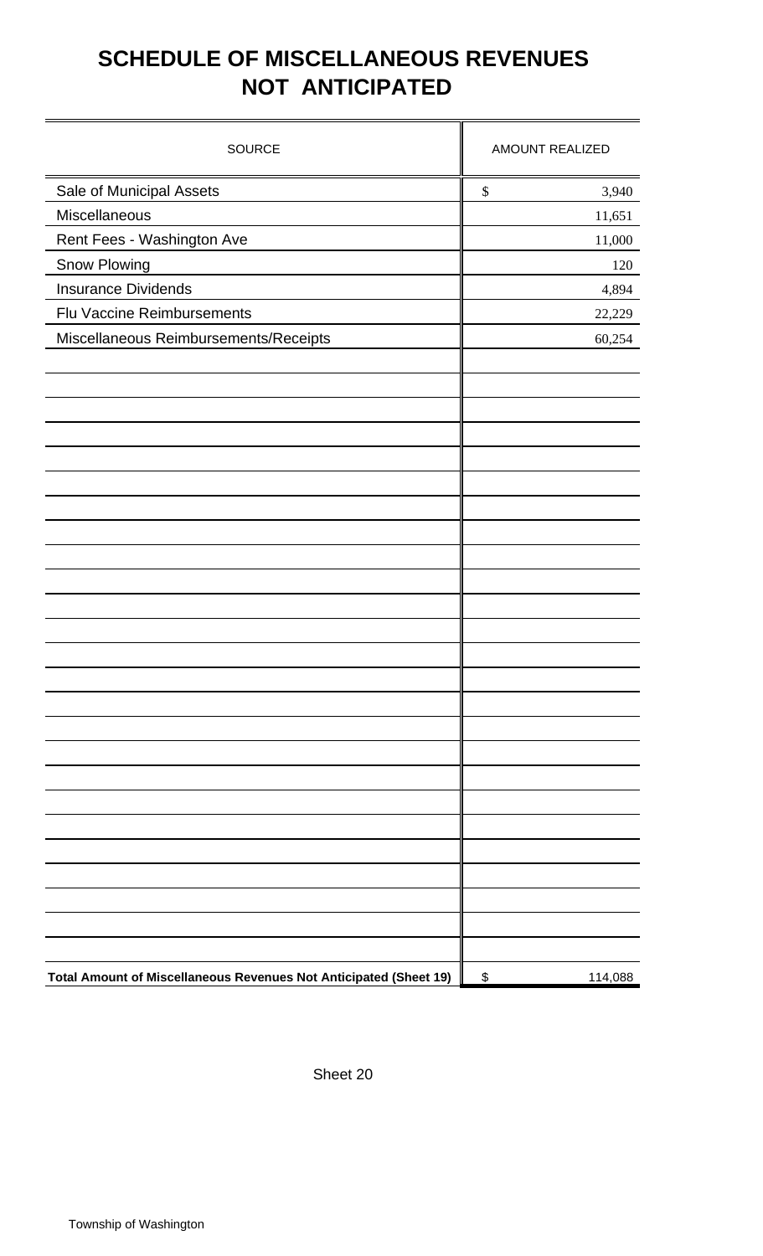# **SCHEDULE OF MISCELLANEOUS REVENUES NOT ANTICIPATED**

| <b>SOURCE</b>                                                     | <b>AMOUNT REALIZED</b> |
|-------------------------------------------------------------------|------------------------|
| Sale of Municipal Assets                                          | \$<br>3,940            |
| Miscellaneous                                                     | 11,651                 |
| Rent Fees - Washington Ave                                        | 11,000                 |
| Snow Plowing                                                      | 120                    |
| <b>Insurance Dividends</b>                                        | 4,894                  |
| Flu Vaccine Reimbursements                                        | 22,229                 |
| Miscellaneous Reimbursements/Receipts                             | 60,254                 |
|                                                                   |                        |
|                                                                   |                        |
|                                                                   |                        |
|                                                                   |                        |
|                                                                   |                        |
|                                                                   |                        |
|                                                                   |                        |
|                                                                   |                        |
|                                                                   |                        |
|                                                                   |                        |
|                                                                   |                        |
|                                                                   |                        |
|                                                                   |                        |
|                                                                   |                        |
|                                                                   |                        |
|                                                                   |                        |
|                                                                   |                        |
|                                                                   |                        |
|                                                                   |                        |
|                                                                   |                        |
| Total Amount of Miscellaneous Revenues Not Anticipated (Sheet 19) | 114,088<br>\$          |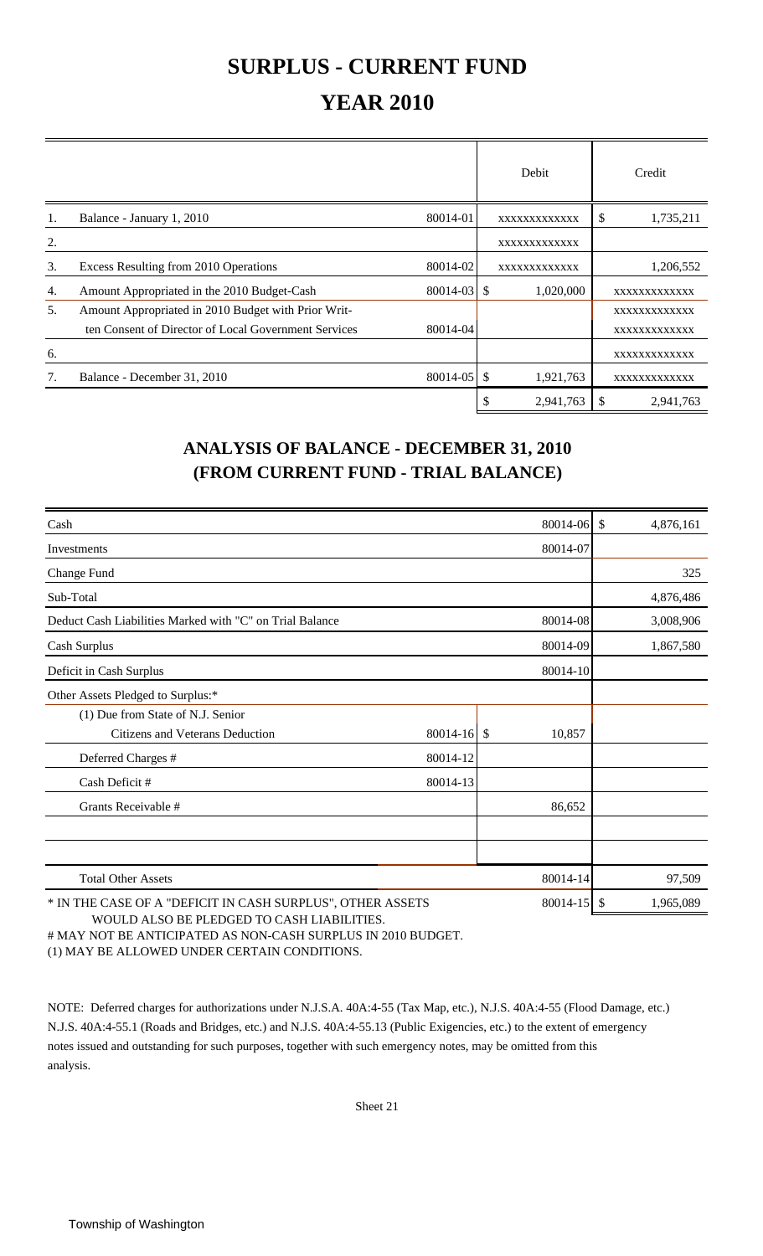## **SURPLUS - CURRENT FUND**

## **YEAR 2010**

|    |                                                      |              | Debit                      | Credit          |
|----|------------------------------------------------------|--------------|----------------------------|-----------------|
| 1. | Balance - January 1, 2010                            | 80014-01     | XXXXXXXXXXXX               | 1,735,211<br>\$ |
| 2. |                                                      |              | XXXXXXXXXXXX               |                 |
| 3. | Excess Resulting from 2010 Operations                | 80014-02     | XXXXXXXXXXXX               | 1,206,552       |
| 4. | Amount Appropriated in the 2010 Budget-Cash          | 80014-03 \$  | 1,020,000                  | XXXXXXXXXXXX    |
| 5. | Amount Appropriated in 2010 Budget with Prior Writ-  |              |                            | XXXXXXXXXXXX    |
|    | ten Consent of Director of Local Government Services | 80014-04     |                            | XXXXXXXXXXXX    |
| 6. |                                                      |              |                            | XXXXXXXXXXXX    |
|    | Balance - December 31, 2010                          | $80014 - 05$ | <sup>\$</sup><br>1,921,763 | XXXXXXXXXXXX    |
|    |                                                      |              | \$<br>2,941,763            | 2,941,763       |

### **ANALYSIS OF BALANCE - DECEMBER 31, 2010 (FROM CURRENT FUND - TRIAL BALANCE)**

| Cash                                                       |             | 80014-06 \$     | 4,876,161 |
|------------------------------------------------------------|-------------|-----------------|-----------|
| Investments                                                |             | 80014-07        |           |
| Change Fund                                                |             |                 | 325       |
| Sub-Total                                                  |             |                 | 4,876,486 |
| Deduct Cash Liabilities Marked with "C" on Trial Balance   |             | 80014-08        | 3,008,906 |
| Cash Surplus                                               |             | 80014-09        | 1,867,580 |
| Deficit in Cash Surplus                                    |             | 80014-10        |           |
| Other Assets Pledged to Surplus:*                          |             |                 |           |
| (1) Due from State of N.J. Senior                          |             |                 |           |
| Citizens and Veterans Deduction                            | 80014-16 \$ | 10,857          |           |
| Deferred Charges #                                         | 80014-12    |                 |           |
| Cash Deficit #                                             | 80014-13    |                 |           |
| Grants Receivable #                                        |             | 86,652          |           |
|                                                            |             |                 |           |
| <b>Total Other Assets</b>                                  |             | 80014-14        | 97,509    |
| * IN THE CASE OF A "DEFICIT IN CASH SURPLUS", OTHER ASSETS |             | $80014 - 15$ \$ | 1,965,089 |

 WOULD ALSO BE PLEDGED TO CASH LIABILITIES. # MAY NOT BE ANTICIPATED AS NON-CASH SURPLUS IN 2010 BUDGET. (1) MAY BE ALLOWED UNDER CERTAIN CONDITIONS.

NOTE: Deferred charges for authorizations under N.J.S.A. 40A:4-55 (Tax Map, etc.), N.J.S. 40A:4-55 (Flood Damage, etc.) N.J.S. 40A:4-55.1 (Roads and Bridges, etc.) and N.J.S. 40A:4-55.13 (Public Exigencies, etc.) to the extent of emergency notes issued and outstanding for such purposes, together with such emergency notes, may be omitted from this analysis.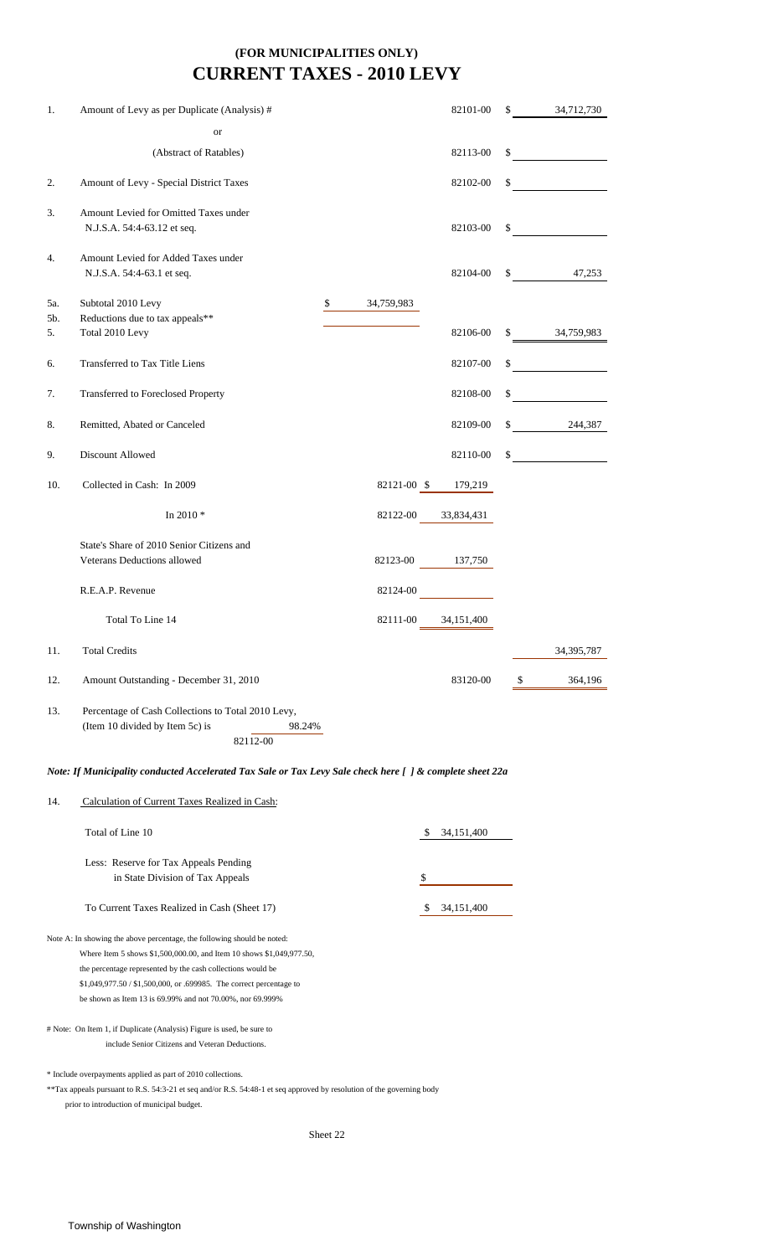### **CURRENT TAXES - 2010 LEVY (FOR MUNICIPALITIES ONLY)**

| 1.                                                          | Amount of Levy as per Duplicate (Analysis) #                                                                                                                                                                                                                                                                                                       |                  | 82101-00     | \$     | 34,712,730                                                                                                                                                                                                                           |
|-------------------------------------------------------------|----------------------------------------------------------------------------------------------------------------------------------------------------------------------------------------------------------------------------------------------------------------------------------------------------------------------------------------------------|------------------|--------------|--------|--------------------------------------------------------------------------------------------------------------------------------------------------------------------------------------------------------------------------------------|
|                                                             | or                                                                                                                                                                                                                                                                                                                                                 |                  |              |        |                                                                                                                                                                                                                                      |
|                                                             | (Abstract of Ratables)                                                                                                                                                                                                                                                                                                                             |                  | 82113-00     | \$     |                                                                                                                                                                                                                                      |
| 2.                                                          | Amount of Levy - Special District Taxes                                                                                                                                                                                                                                                                                                            |                  | 82102-00     | \$     | <u>and the state of the state of the state of the state of the state of the state of the state of the state of the state of the state of the state of the state of the state of the state of the state of the state of the state</u> |
| 3.                                                          | Amount Levied for Omitted Taxes under<br>N.J.S.A. 54:4-63.12 et seq.                                                                                                                                                                                                                                                                               |                  | 82103-00     | \$     |                                                                                                                                                                                                                                      |
| 4.                                                          | Amount Levied for Added Taxes under<br>N.J.S.A. 54:4-63.1 et seq.                                                                                                                                                                                                                                                                                  |                  | 82104-00     | $\sim$ | 47,253                                                                                                                                                                                                                               |
| 5a.<br>5b.                                                  | Subtotal 2010 Levy<br>Reductions due to tax appeals**                                                                                                                                                                                                                                                                                              | \$<br>34,759,983 |              |        |                                                                                                                                                                                                                                      |
| 5.                                                          | Total 2010 Levy                                                                                                                                                                                                                                                                                                                                    |                  | 82106-00     | \$     | 34,759,983                                                                                                                                                                                                                           |
| 6.                                                          | Transferred to Tax Title Liens                                                                                                                                                                                                                                                                                                                     |                  | 82107-00     | \$     |                                                                                                                                                                                                                                      |
| 7.                                                          | Transferred to Foreclosed Property                                                                                                                                                                                                                                                                                                                 |                  | 82108-00     | \$     |                                                                                                                                                                                                                                      |
| 8.                                                          | Remitted, Abated or Canceled                                                                                                                                                                                                                                                                                                                       |                  | 82109-00     | \$     | 244,387                                                                                                                                                                                                                              |
| 9.                                                          | Discount Allowed                                                                                                                                                                                                                                                                                                                                   |                  | 82110-00     | \$     |                                                                                                                                                                                                                                      |
| 10.                                                         | Collected in Cash: In 2009                                                                                                                                                                                                                                                                                                                         | 82121-00 \$      | 179,219      |        |                                                                                                                                                                                                                                      |
|                                                             | In 2010*                                                                                                                                                                                                                                                                                                                                           | 82122-00         | 33,834,431   |        |                                                                                                                                                                                                                                      |
|                                                             | State's Share of 2010 Senior Citizens and<br>Veterans Deductions allowed                                                                                                                                                                                                                                                                           | 82123-00         | 137,750      |        |                                                                                                                                                                                                                                      |
|                                                             | R.E.A.P. Revenue                                                                                                                                                                                                                                                                                                                                   | 82124-00         |              |        |                                                                                                                                                                                                                                      |
|                                                             | Total To Line 14                                                                                                                                                                                                                                                                                                                                   | 82111-00         | 34,151,400   |        |                                                                                                                                                                                                                                      |
| 11.                                                         | <b>Total Credits</b>                                                                                                                                                                                                                                                                                                                               |                  |              |        | 34, 395, 787                                                                                                                                                                                                                         |
| 12.                                                         | Amount Outstanding - December 31, 2010                                                                                                                                                                                                                                                                                                             |                  | 83120-00     | S      | 364,196                                                                                                                                                                                                                              |
| 13.                                                         | Percentage of Cash Collections to Total 2010 Levy,<br>(Item 10 divided by Item 5c) is<br>98.24%<br>82112-00                                                                                                                                                                                                                                        |                  |              |        |                                                                                                                                                                                                                                      |
|                                                             | Note: If Municipality conducted Accelerated Tax Sale or Tax Levy Sale check here [ ] & complete sheet 22a                                                                                                                                                                                                                                          |                  |              |        |                                                                                                                                                                                                                                      |
| 14.                                                         | Calculation of Current Taxes Realized in Cash:                                                                                                                                                                                                                                                                                                     |                  |              |        |                                                                                                                                                                                                                                      |
|                                                             | Total of Line 10                                                                                                                                                                                                                                                                                                                                   | \$               | 34, 151, 400 |        |                                                                                                                                                                                                                                      |
|                                                             | Less: Reserve for Tax Appeals Pending<br>in State Division of Tax Appeals                                                                                                                                                                                                                                                                          | \$               |              |        |                                                                                                                                                                                                                                      |
|                                                             | To Current Taxes Realized in Cash (Sheet 17)                                                                                                                                                                                                                                                                                                       | S                | 34,151,400   |        |                                                                                                                                                                                                                                      |
|                                                             | Note A: In showing the above percentage, the following should be noted:<br>Where Item 5 shows \$1,500,000.00, and Item 10 shows \$1,049,977.50,<br>the percentage represented by the cash collections would be<br>\$1,049,977.50 / \$1,500,000, or .699985. The correct percentage to<br>be shown as Item 13 is 69.99% and not 70.00%, nor 69.999% |                  |              |        |                                                                                                                                                                                                                                      |
|                                                             | # Note: On Item 1, if Duplicate (Analysis) Figure is used, be sure to<br>include Senior Citizens and Veteran Deductions.                                                                                                                                                                                                                           |                  |              |        |                                                                                                                                                                                                                                      |
| * Include overpayments applied as part of 2010 collections. |                                                                                                                                                                                                                                                                                                                                                    |                  |              |        |                                                                                                                                                                                                                                      |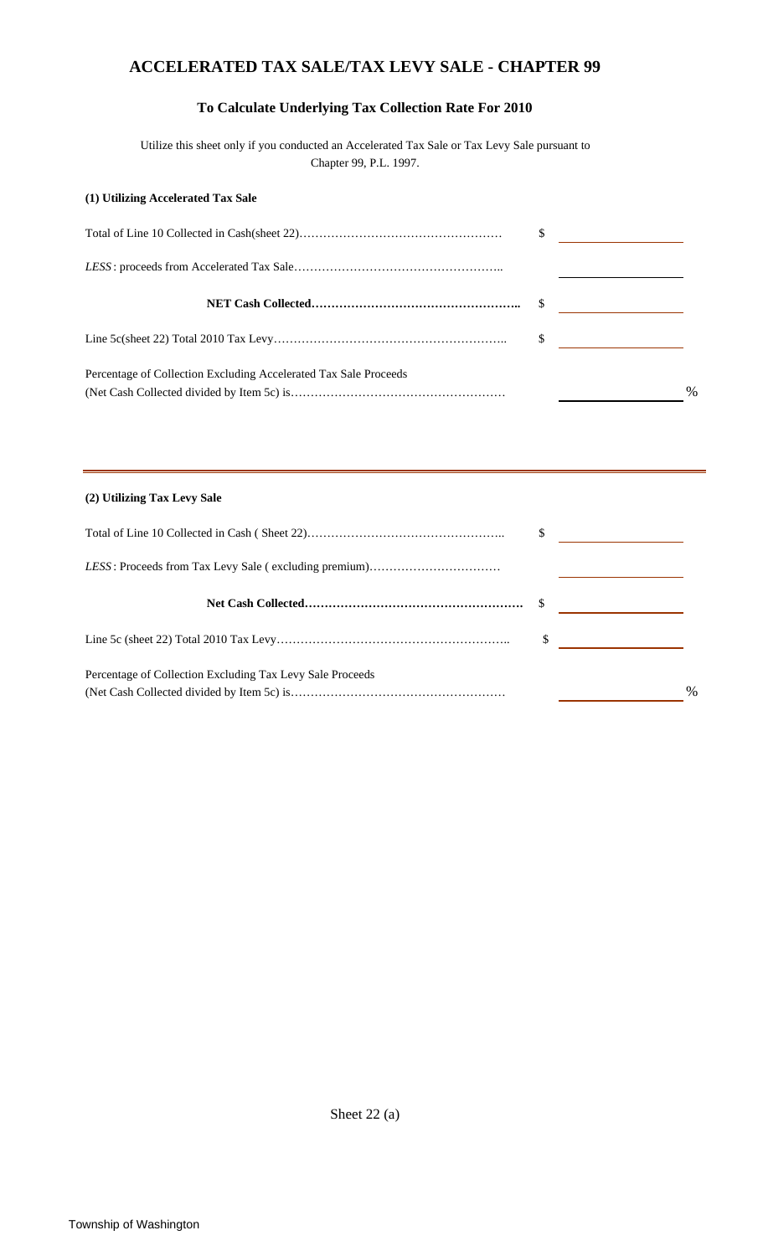### **ACCELERATED TAX SALE/TAX LEVY SALE - CHAPTER 99**

#### **To Calculate Underlying Tax Collection Rate For 2010**

Utilize this sheet only if you conducted an Accelerated Tax Sale or Tax Levy Sale pursuant to Chapter 99, P.L. 1997.

#### **(1) Utilizing Accelerated Tax Sale**

|                                                                  | \$            |
|------------------------------------------------------------------|---------------|
| Percentage of Collection Excluding Accelerated Tax Sale Proceeds | $\frac{0}{0}$ |

#### **(2) Utilizing Tax Levy Sale**

|                                                           | S |      |
|-----------------------------------------------------------|---|------|
|                                                           |   |      |
|                                                           |   |      |
|                                                           |   |      |
| Percentage of Collection Excluding Tax Levy Sale Proceeds |   | $\%$ |

Sheet 22 (a)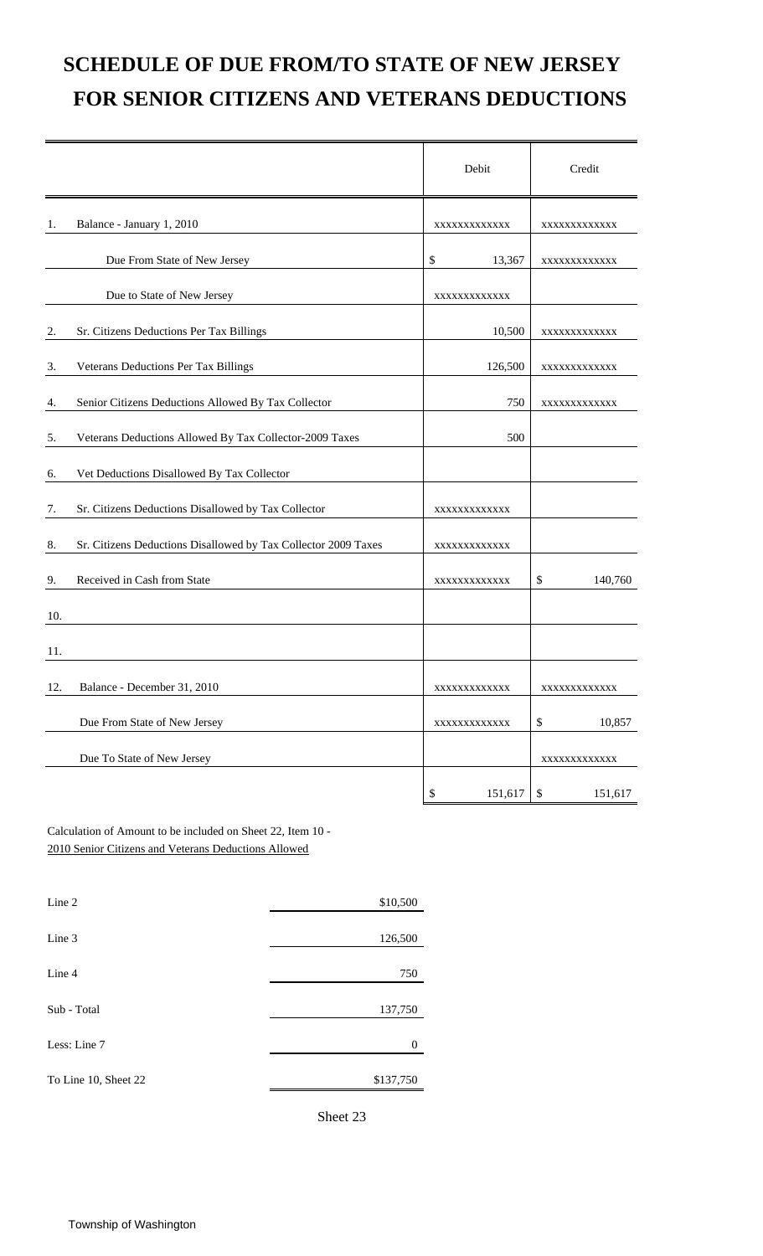# **SCHEDULE OF DUE FROM/TO STATE OF NEW JERSEY FOR SENIOR CITIZENS AND VETERANS DEDUCTIONS**

|     |                                                                | Debit         | Credit                               |
|-----|----------------------------------------------------------------|---------------|--------------------------------------|
| 1.  | Balance - January 1, 2010                                      | XXXXXXXXXXXX  | XXXXXXXXXXXX                         |
|     | Due From State of New Jersey                                   | \$<br>13,367  | XXXXXXXXXXXX                         |
|     | Due to State of New Jersey                                     | XXXXXXXXXXXX  |                                      |
| 2.  | Sr. Citizens Deductions Per Tax Billings                       | 10,500        | XXXXXXXXXXXX                         |
| 3.  | Veterans Deductions Per Tax Billings                           | 126,500       | XXXXXXXXXXXX                         |
| 4.  | Senior Citizens Deductions Allowed By Tax Collector            | 750           | XXXXXXXXXXXX                         |
| 5.  | Veterans Deductions Allowed By Tax Collector-2009 Taxes        | 500           |                                      |
| 6.  | Vet Deductions Disallowed By Tax Collector                     |               |                                      |
| 7.  | Sr. Citizens Deductions Disallowed by Tax Collector            | XXXXXXXXXXXX  |                                      |
| 8.  | Sr. Citizens Deductions Disallowed by Tax Collector 2009 Taxes | XXXXXXXXXXXX  |                                      |
| 9.  | Received in Cash from State                                    | XXXXXXXXXXXX  | 140,760<br>\$                        |
| 10. |                                                                |               |                                      |
| 11. |                                                                |               |                                      |
| 12. | Balance - December 31, 2010                                    | XXXXXXXXXXXX  | XXXXXXXXXXXX                         |
|     | Due From State of New Jersey                                   | XXXXXXXXXXXX  | \$<br>10,857                         |
|     | Due To State of New Jersey                                     |               | XXXXXXXXXXXX                         |
|     |                                                                | \$<br>151,617 | $\boldsymbol{\mathsf{S}}$<br>151,617 |

Calculation of Amount to be included on Sheet 22, Item 10 - 2010 Senior Citizens and Veterans Deductions Allowed

| Line 2               | \$10,500  |
|----------------------|-----------|
| Line 3               | 126,500   |
| Line 4               | 750       |
|                      |           |
| Sub - Total          | 137,750   |
| Less: Line 7         | $\Omega$  |
| To Line 10, Sheet 22 | \$137,750 |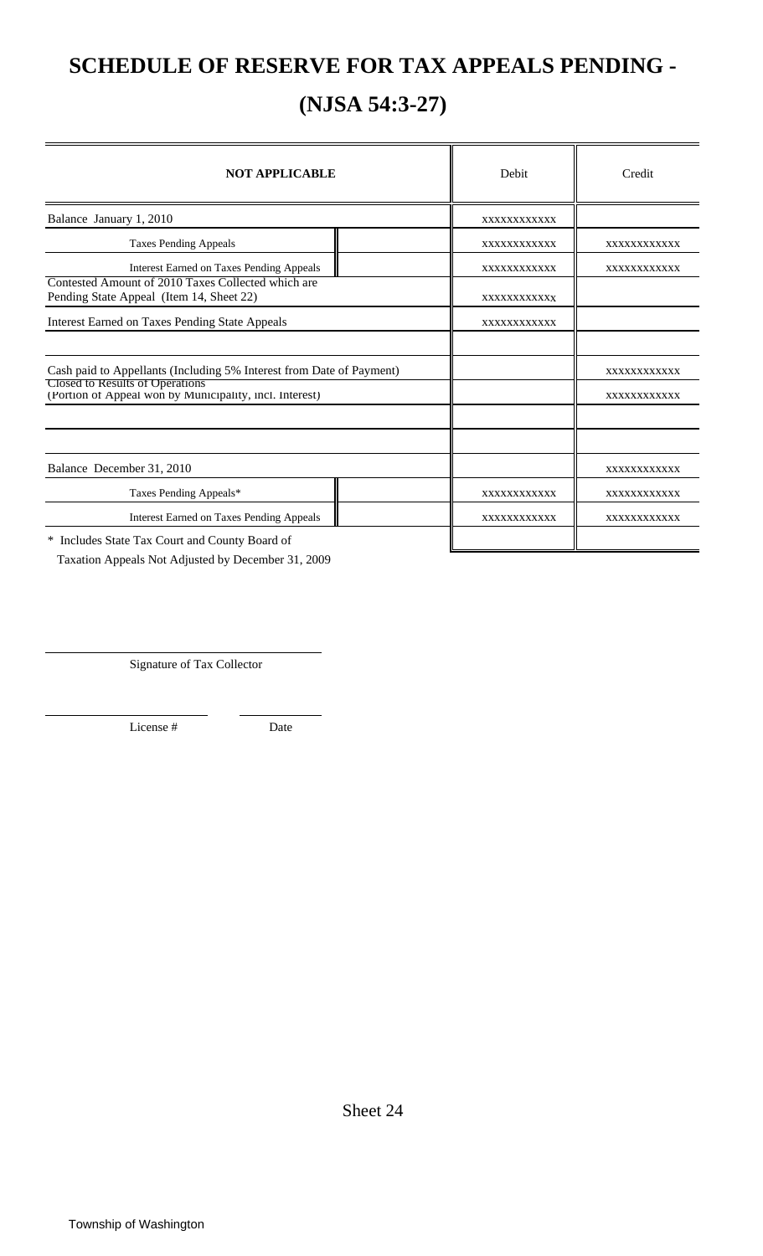## **SCHEDULE OF RESERVE FOR TAX APPEALS PENDING -**

## **(NJSA 54:3-27)**

| <b>NOT APPLICABLE</b>                                                                             | Debit       | Credit      |
|---------------------------------------------------------------------------------------------------|-------------|-------------|
| Balance January 1, 2010                                                                           | XXXXXXXXXXX |             |
| <b>Taxes Pending Appeals</b>                                                                      | XXXXXXXXXXX | XXXXXXXXXXX |
| <b>Interest Earned on Taxes Pending Appeals</b>                                                   | XXXXXXXXXXX | XXXXXXXXXXX |
| Contested Amount of 2010 Taxes Collected which are<br>Pending State Appeal (Item 14, Sheet 22)    | XXXXXXXXXXX |             |
| <b>Interest Earned on Taxes Pending State Appeals</b>                                             | XXXXXXXXXXX |             |
|                                                                                                   |             |             |
| Cash paid to Appellants (Including 5% Interest from Date of Payment)                              |             | XXXXXXXXXXX |
| <b>Closed to Results of Operations</b><br>(Portion of Appeal won by Municipality, incl. Interest) |             | XXXXXXXXXXX |
|                                                                                                   |             |             |
|                                                                                                   |             |             |
| Balance December 31, 2010                                                                         |             | XXXXXXXXXXX |
| Taxes Pending Appeals*                                                                            | XXXXXXXXXXX | XXXXXXXXXXX |
| <b>Interest Earned on Taxes Pending Appeals</b>                                                   | XXXXXXXXXXX | XXXXXXXXXXX |
| * Includes State Tax Court and County Board of                                                    |             |             |

Taxation Appeals Not Adjusted by December 31, 2009

Signature of Tax Collector

License # Date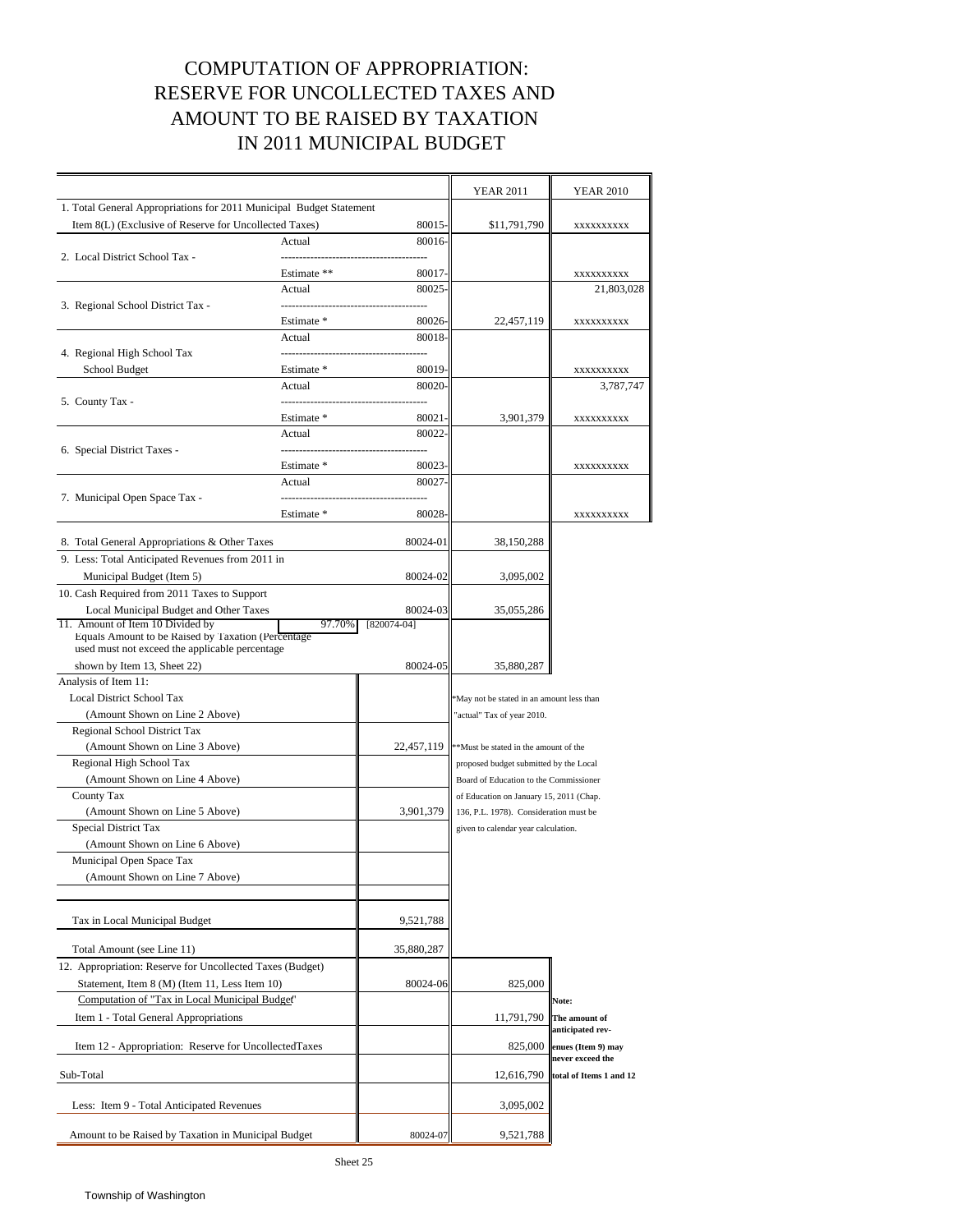### COMPUTATION OF APPROPRIATION: RESERVE FOR UNCOLLECTED TAXES AND AMOUNT TO BE RAISED BY TAXATION IN 2011 MUNICIPAL BUDGET

|                                                                     |             |             | <b>YEAR 2011</b>                         | <b>YEAR 2010</b>                       |  |
|---------------------------------------------------------------------|-------------|-------------|------------------------------------------|----------------------------------------|--|
| 1. Total General Appropriations for 2011 Municipal Budget Statement |             |             |                                          |                                        |  |
| Item 8(L) (Exclusive of Reserve for Uncollected Taxes)              |             | 80015-      | \$11,791,790                             | XXXXXXXXXX                             |  |
|                                                                     | Actual      | 80016-      |                                          |                                        |  |
| 2. Local District School Tax -                                      |             |             |                                          |                                        |  |
|                                                                     | Estimate ** | 80017-      |                                          | XXXXXXXXXX                             |  |
|                                                                     | Actual      | 80025       |                                          | 21,803,028                             |  |
| 3. Regional School District Tax -                                   |             |             |                                          |                                        |  |
|                                                                     | Estimate *  | 80026       | 22,457,119                               | XXXXXXXXXX                             |  |
|                                                                     | Actual      | 80018-      |                                          |                                        |  |
| 4. Regional High School Tax                                         |             |             |                                          |                                        |  |
| School Budget                                                       | Estimate *  | 80019       |                                          | XXXXXXXXXX                             |  |
|                                                                     | Actual      | 80020       |                                          | 3,787,747                              |  |
| 5. County Tax -                                                     |             |             |                                          |                                        |  |
|                                                                     | Estimate *  | 80021       | 3,901,379                                | XXXXXXXXXX                             |  |
|                                                                     | Actual      | 80022       |                                          |                                        |  |
| 6. Special District Taxes -                                         |             |             |                                          |                                        |  |
|                                                                     | Estimate *  | 80023       |                                          | XXXXXXXXXX                             |  |
|                                                                     | Actual      | 80027       |                                          |                                        |  |
| 7. Municipal Open Space Tax -                                       |             |             |                                          |                                        |  |
|                                                                     | Estimate *  | 80028-      |                                          | XXXXXXXXXX                             |  |
| 8. Total General Appropriations & Other Taxes                       |             | 80024-01    | 38,150,288                               |                                        |  |
| 9. Less: Total Anticipated Revenues from 2011 in                    |             |             |                                          |                                        |  |
| Municipal Budget (Item 5)                                           |             | 80024-02    | 3,095,002                                |                                        |  |
| 10. Cash Required from 2011 Taxes to Support                        |             |             |                                          |                                        |  |
| Local Municipal Budget and Other Taxes                              |             | 80024-03    | 35,055,286                               |                                        |  |
| 11. Amount of Item 10 Divided by                                    | 97.70%      | [820074-04] |                                          |                                        |  |
| Equals Amount to be Raised by Taxation (Percentage                  |             |             |                                          |                                        |  |
| used must not exceed the applicable percentage                      |             |             |                                          |                                        |  |
| shown by Item 13, Sheet 22)                                         |             | 80024-05    | 35,880,287                               |                                        |  |
| Analysis of Item 11:                                                |             |             |                                          |                                        |  |
| <b>Local District School Tax</b>                                    |             |             | May not be stated in an amount less than |                                        |  |
| (Amount Shown on Line 2 Above)                                      |             |             | actual" Tax of year 2010.                |                                        |  |
| Regional School District Tax                                        |             |             |                                          |                                        |  |
| (Amount Shown on Line 3 Above)                                      |             | 22,457,119  | **Must be stated in the amount of the    |                                        |  |
| Regional High School Tax                                            |             |             | proposed budget submitted by the Local   |                                        |  |
| (Amount Shown on Line 4 Above)                                      |             |             | Board of Education to the Commissioner   |                                        |  |
| County Tax                                                          |             |             | of Education on January 15, 2011 (Chap.  |                                        |  |
| (Amount Shown on Line 5 Above)                                      |             | 3,901,379   | 136, P.L. 1978). Consideration must be   |                                        |  |
| Special District Tax                                                |             |             | given to calendar year calculation.      |                                        |  |
| (Amount Shown on Line 6 Above)                                      |             |             |                                          |                                        |  |
| Municipal Open Space Tax                                            |             |             |                                          |                                        |  |
| (Amount Shown on Line / Above)                                      |             |             |                                          |                                        |  |
|                                                                     |             |             |                                          |                                        |  |
| Tax in Local Municipal Budget                                       |             | 9,521,788   |                                          |                                        |  |
|                                                                     |             |             |                                          |                                        |  |
| Total Amount (see Line 11)                                          |             | 35,880,287  |                                          |                                        |  |
| 12. Appropriation: Reserve for Uncollected Taxes (Budget)           |             |             |                                          |                                        |  |
| Statement, Item 8 (M) (Item 11, Less Item 10)                       |             | 80024-06    | 825,000                                  |                                        |  |
| Computation of "Tax in Local Municipal Budget"                      |             |             |                                          | Note:                                  |  |
| Item 1 - Total General Appropriations                               |             |             | 11,791,790                               | The amount of                          |  |
|                                                                     |             |             | 825,000                                  | anticipated rev-                       |  |
| Item 12 - Appropriation: Reserve for UncollectedTaxes               |             |             |                                          | enues (Item 9) may<br>never exceed the |  |
| Sub-Total                                                           |             |             | 12,616,790                               | total of Items 1 and 12                |  |
|                                                                     |             |             |                                          |                                        |  |
| Less: Item 9 - Total Anticipated Revenues                           |             |             | 3,095,002                                |                                        |  |
| Amount to be Raised by Taxation in Municipal Budget                 |             | 80024-07    | 9,521,788                                |                                        |  |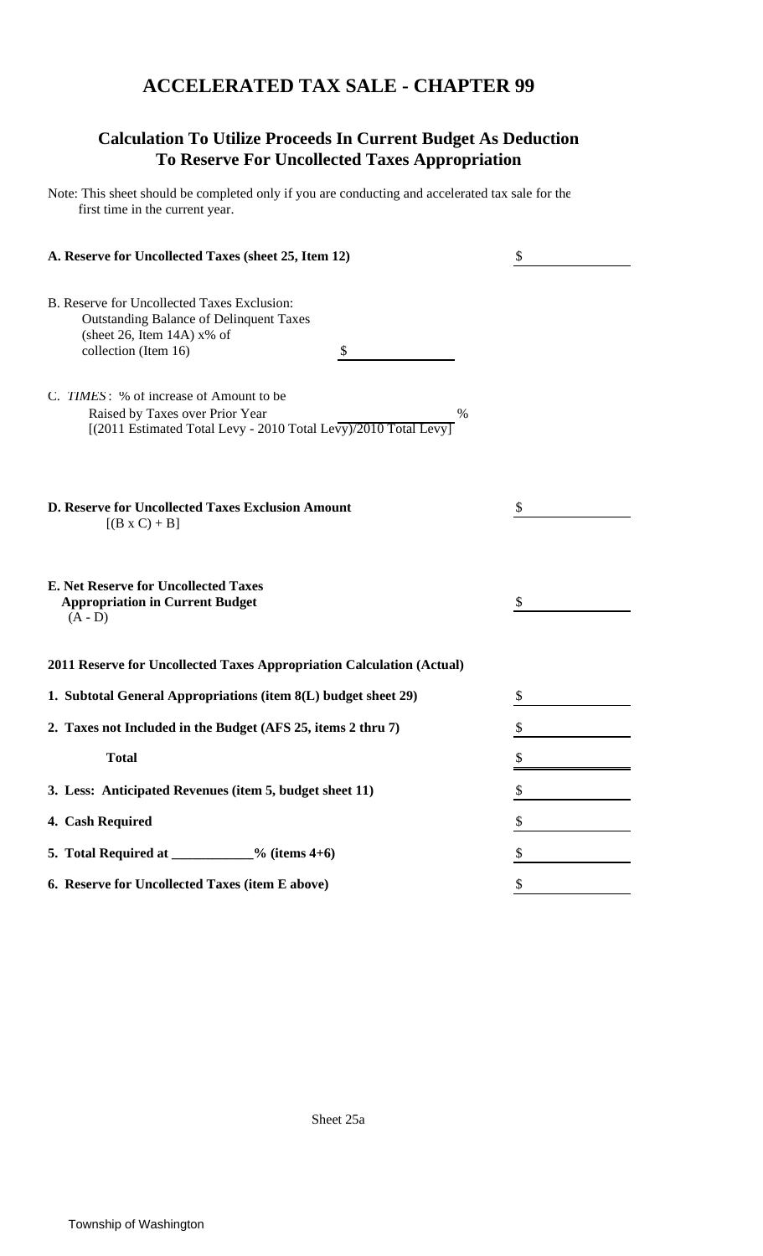### **ACCELERATED TAX SALE - CHAPTER 99**

### **Calculation To Utilize Proceeds In Current Budget As Deduction To Reserve For Uncollected Taxes Appropriation**

Note: This sheet should be completed only if you are conducting and accelerated tax sale for the first time in the current year.

| A. Reserve for Uncollected Taxes (sheet 25, Item 12)                                                                                                                                                    | \$ |
|---------------------------------------------------------------------------------------------------------------------------------------------------------------------------------------------------------|----|
| B. Reserve for Uncollected Taxes Exclusion:<br><b>Outstanding Balance of Delinquent Taxes</b><br>(sheet 26, Item 14A) $x\%$ of<br>collection (Item 16)<br>\$<br>C. TIMES: % of increase of Amount to be |    |
| Raised by Taxes over Prior Year<br>$\%$<br>[(2011 Estimated Total Levy - 2010 Total Levy)/2010 Total Levy]                                                                                              |    |
| D. Reserve for Uncollected Taxes Exclusion Amount<br>$[(B \times C) + B]$                                                                                                                               | S  |
| <b>E. Net Reserve for Uncollected Taxes</b><br><b>Appropriation in Current Budget</b><br>$(A - D)$                                                                                                      | \$ |
| 2011 Reserve for Uncollected Taxes Appropriation Calculation (Actual)                                                                                                                                   |    |
| 1. Subtotal General Appropriations (item 8(L) budget sheet 29)                                                                                                                                          | \$ |
| 2. Taxes not Included in the Budget (AFS 25, items 2 thru 7)                                                                                                                                            |    |
| <b>Total</b>                                                                                                                                                                                            |    |
| 3. Less: Anticipated Revenues (item 5, budget sheet 11)                                                                                                                                                 | \$ |
| 4. Cash Required                                                                                                                                                                                        |    |
| 5. Total Required at ___________% (items 4+6)                                                                                                                                                           | \$ |
| 6. Reserve for Uncollected Taxes (item E above)                                                                                                                                                         |    |

Sheet 25a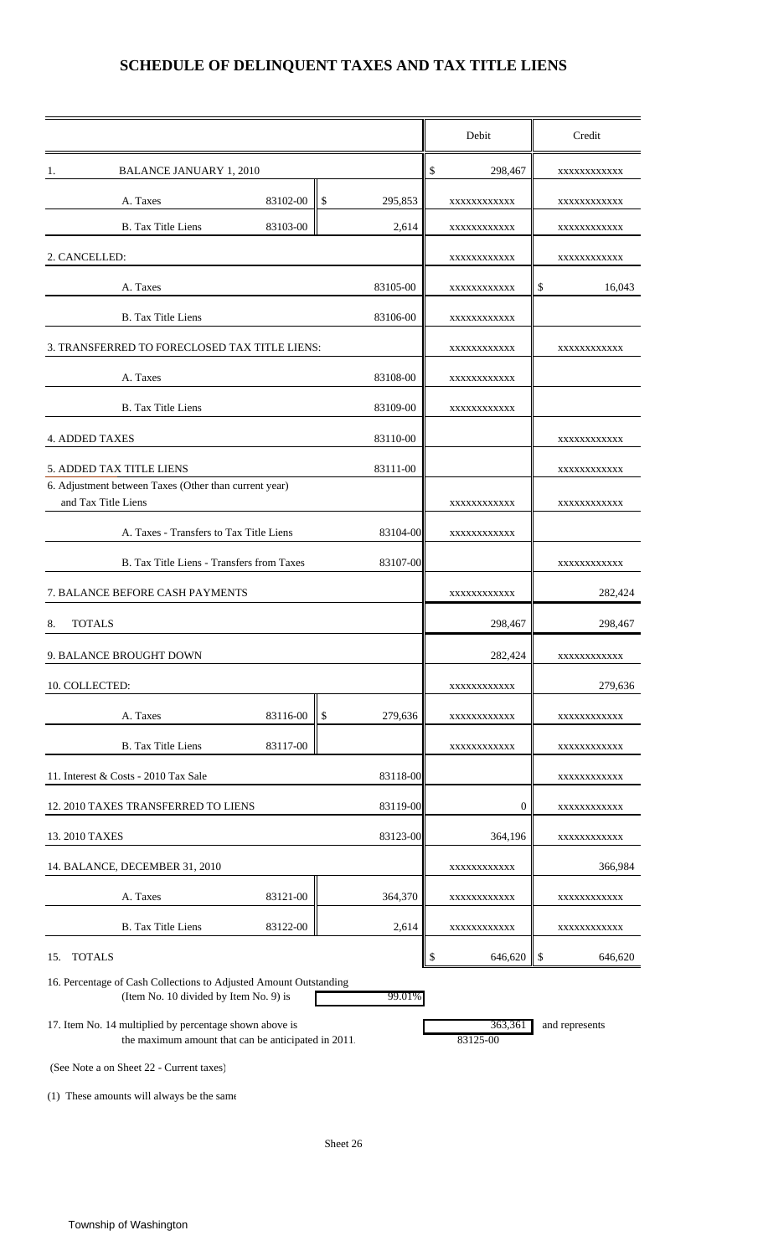### **SCHEDULE OF DELINQUENT TAXES AND TAX TITLE LIENS**

|                                                                                                                |               | Debit               | Credit         |
|----------------------------------------------------------------------------------------------------------------|---------------|---------------------|----------------|
| <b>BALANCE JANUARY 1, 2010</b><br>1.                                                                           |               | \$<br>298,467       | XXXXXXXXXXX    |
| A. Taxes<br>83102-00                                                                                           | \$<br>295,853 | XXXXXXXXXXX         | XXXXXXXXXXX    |
| <b>B.</b> Tax Title Liens<br>83103-00                                                                          | 2,614         | XXXXXXXXXXX         | XXXXXXXXXXX    |
| 2. CANCELLED:                                                                                                  |               | XXXXXXXXXXX         | XXXXXXXXXXX    |
| A. Taxes                                                                                                       | 83105-00      | XXXXXXXXXXX         | \$<br>16,043   |
| <b>B.</b> Tax Title Liens                                                                                      | 83106-00      | XXXXXXXXXXX         |                |
| 3. TRANSFERRED TO FORECLOSED TAX TITLE LIENS:                                                                  |               | XXXXXXXXXXX         | XXXXXXXXXXX    |
| A. Taxes                                                                                                       | 83108-00      | XXXXXXXXXXX         |                |
| <b>B.</b> Tax Title Liens                                                                                      | 83109-00      | XXXXXXXXXXX         |                |
| <b>4. ADDED TAXES</b>                                                                                          | 83110-00      |                     | XXXXXXXXXXX    |
| 5. ADDED TAX TITLE LIENS                                                                                       | 83111-00      |                     | XXXXXXXXXXX    |
| 6. Adjustment between Taxes (Other than current year)<br>and Tax Title Liens                                   |               | XXXXXXXXXXX         | XXXXXXXXXXX    |
| A. Taxes - Transfers to Tax Title Liens                                                                        | 83104-00      | XXXXXXXXXXX         |                |
| B. Tax Title Liens - Transfers from Taxes                                                                      | 83107-00      |                     | XXXXXXXXXXX    |
| 7. BALANCE BEFORE CASH PAYMENTS                                                                                |               | XXXXXXXXXXX         | 282,424        |
| <b>TOTALS</b><br>8.                                                                                            |               | 298,467             | 298,467        |
| 9. BALANCE BROUGHT DOWN                                                                                        |               | 282,424             |                |
|                                                                                                                |               |                     | XXXXXXXXXXX    |
| 10. COLLECTED:                                                                                                 |               | XXXXXXXXXXX         | 279,636        |
| A. Taxes<br>83116-00                                                                                           | \$<br>279,636 | XXXXXXXXXXX         | XXXXXXXXXXX    |
| <b>B.</b> Tax Title Liens<br>83117-00                                                                          |               | XXXXXXXXXXX         | XXXXXXXXXXX    |
| 11. Interest & Costs - 2010 Tax Sale                                                                           | 83118-00      |                     | XXXXXXXXXXX    |
| 12. 2010 TAXES TRANSFERRED TO LIENS                                                                            | 83119-00      | 0                   | XXXXXXXXXXX    |
| 13. 2010 TAXES                                                                                                 | 83123-00      | 364,196             | XXXXXXXXXXX    |
| 14. BALANCE, DECEMBER 31, 2010                                                                                 |               | XXXXXXXXXXX         | 366,984        |
| A. Taxes<br>83121-00                                                                                           | 364,370       | XXXXXXXXXXX         | XXXXXXXXXXX    |
| <b>B.</b> Tax Title Liens<br>83122-00                                                                          | 2,614         | XXXXXXXXXXX         | XXXXXXXXXXX    |
| 15. TOTALS                                                                                                     |               | \$<br>646,620       | \$<br>646,620  |
| 16. Percentage of Cash Collections to Adjusted Amount Outstanding<br>(Item No. 10 divided by Item No. 9) is    | 99.01%        |                     |                |
| 17. Item No. 14 multiplied by percentage shown above is<br>the maximum amount that can be anticipated in 2011. |               | 363,361<br>83125-00 | and represents |

(See Note a on Sheet 22 - Current taxes)

(1) These amounts will always be the same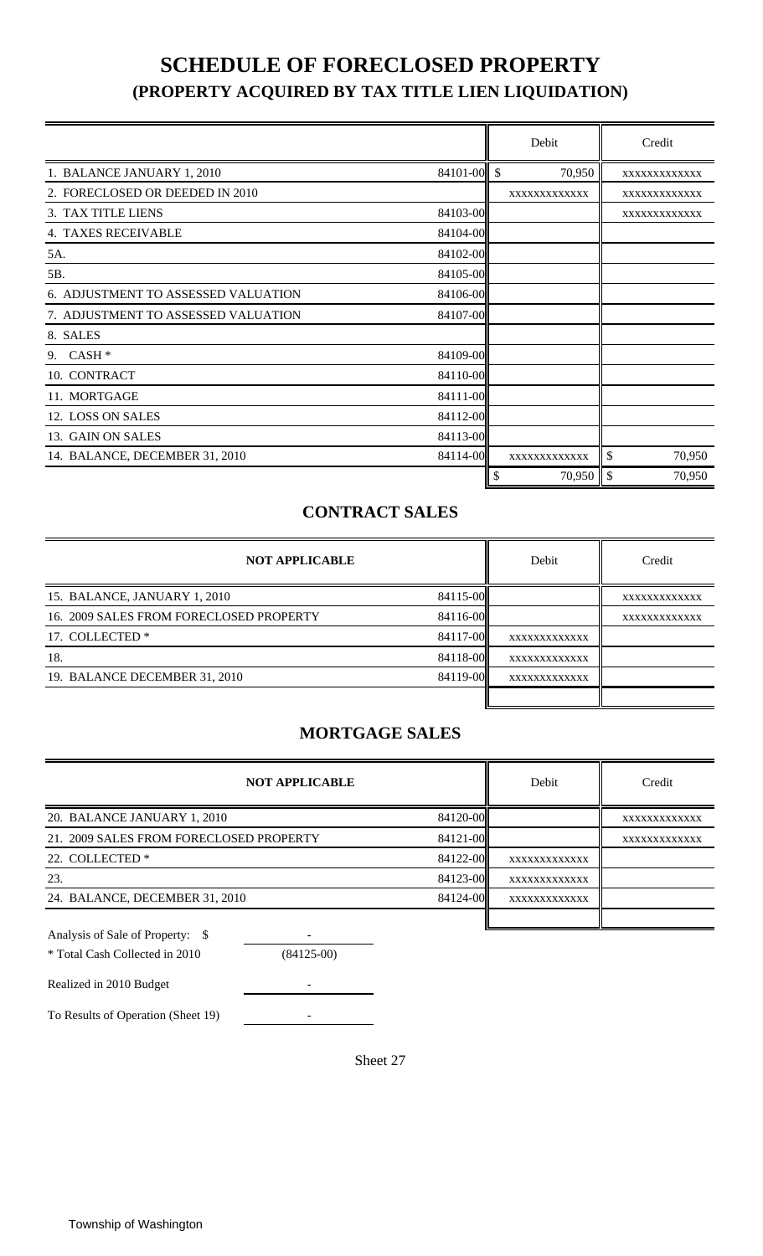## **SCHEDULE OF FORECLOSED PROPERTY (PROPERTY ACQUIRED BY TAX TITLE LIEN LIQUIDATION)**

|                                     |             | Debit        | Credit       |        |
|-------------------------------------|-------------|--------------|--------------|--------|
| 1. BALANCE JANUARY 1, 2010          | 84101-00 \$ | 70,950       | XXXXXXXXXXXX |        |
| 2. FORECLOSED OR DEEDED IN 2010     |             | XXXXXXXXXXXX | XXXXXXXXXXXX |        |
| 3. TAX TITLE LIENS                  | 84103-00    |              | XXXXXXXXXXXX |        |
| <b>4. TAXES RECEIVABLE</b>          | 84104-00    |              |              |        |
| 5A.                                 | 84102-00    |              |              |        |
| 5B.                                 | 84105-00    |              |              |        |
| 6. ADJUSTMENT TO ASSESSED VALUATION | 84106-00    |              |              |        |
| 7. ADJUSTMENT TO ASSESSED VALUATION | 84107-00    |              |              |        |
| 8. SALES                            |             |              |              |        |
| $CASH*$<br>9.                       | 84109-00    |              |              |        |
| 10. CONTRACT                        | 84110-00    |              |              |        |
| 11. MORTGAGE                        | 84111-00    |              |              |        |
| 12. LOSS ON SALES                   | 84112-00    |              |              |        |
| 13. GAIN ON SALES                   | 84113-00    |              |              |        |
| 14. BALANCE, DECEMBER 31, 2010      | 84114-00    | XXXXXXXXXXXX | \$           | 70,950 |
|                                     |             | \$           |              | 70,950 |

### **CONTRACT SALES**

| <b>NOT APPLICABLE</b>                   |          | Debit        | Credit       |
|-----------------------------------------|----------|--------------|--------------|
| 15. BALANCE, JANUARY 1, 2010            | 84115-00 |              | XXXXXXXXXXXX |
| 16. 2009 SALES FROM FORECLOSED PROPERTY | 84116-00 |              | XXXXXXXXXXXX |
| 17. COLLECTED *                         | 84117-00 | XXXXXXXXXXXX |              |
| 18.                                     | 84118-00 | XXXXXXXXXXXX |              |
| 19. BALANCE DECEMBER 31, 2010           | 84119-00 | XXXXXXXXXXXX |              |
|                                         |          |              |              |

### **MORTGAGE SALES**

| <b>NOT APPLICABLE</b>                   |          | Debit        | Credit       |
|-----------------------------------------|----------|--------------|--------------|
| 20. BALANCE JANUARY 1, 2010             | 84120-00 |              | XXXXXXXXXXXX |
| 21. 2009 SALES FROM FORECLOSED PROPERTY | 84121-00 |              | XXXXXXXXXXXX |
| 22. COLLECTED *                         | 84122-00 | XXXXXXXXXXXX |              |
| 23.                                     | 84123-00 | XXXXXXXXXXXX |              |
| 24. BALANCE, DECEMBER 31, 2010          | 84124-00 | XXXXXXXXXXXX |              |
|                                         |          |              |              |
| Analysis of Sale of Property:           |          |              |              |

| * Total Cash Collected in 2010     | $(84125-00)$ |
|------------------------------------|--------------|
| Realized in 2010 Budget            |              |
| To Results of Operation (Sheet 19) |              |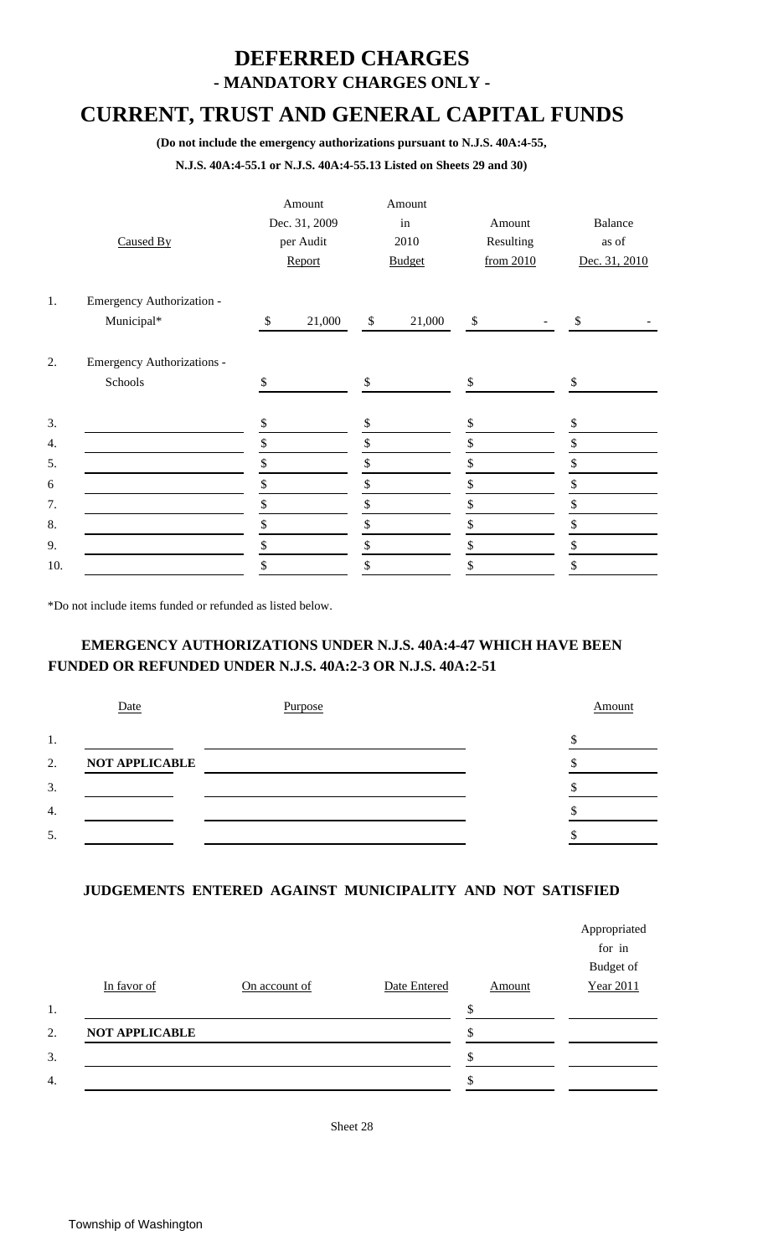# **DEFERRED CHARGES**

**- MANDATORY CHARGES ONLY -**

## **CURRENT, TRUST AND GENERAL CAPITAL FUNDS**

**(Do not include the emergency authorizations pursuant to N.J.S. 40A:4-55,**

**N.J.S. 40A:4-55.1 or N.J.S. 40A:4-55.13 Listed on Sheets 29 and 30)**

|     | Caused By                  |              | Amount<br>Dec. 31, 2009<br>per Audit<br>Report |              | Amount<br>in<br>2010<br><b>Budget</b> | Amount<br>Resulting<br>from 2010 | <b>Balance</b><br>as of<br>Dec. 31, 2010 |  |
|-----|----------------------------|--------------|------------------------------------------------|--------------|---------------------------------------|----------------------------------|------------------------------------------|--|
| 1.  | Emergency Authorization -  |              |                                                |              |                                       |                                  |                                          |  |
|     | Municipal*                 | $\mathbb{S}$ | 21,000                                         | $\mathbb{S}$ | 21,000                                | $\$$                             | $\$\,$                                   |  |
| 2.  | Emergency Authorizations - |              |                                                |              |                                       |                                  |                                          |  |
|     | Schools                    | \$           |                                                | \$           |                                       | \$                               | \$                                       |  |
| 3.  |                            | \$           |                                                | \$           |                                       | \$                               | \$                                       |  |
| 4.  |                            | \$           |                                                | \$           |                                       | \$                               | \$                                       |  |
| 5.  |                            | \$           |                                                | \$           |                                       | \$                               | \$                                       |  |
| 6   |                            | \$           |                                                | \$           |                                       | \$                               | \$                                       |  |
| 7.  |                            | \$           |                                                | \$           |                                       | \$                               | \$                                       |  |
| 8.  |                            | \$           |                                                | \$           |                                       | \$                               | \$                                       |  |
| 9.  |                            | \$           |                                                | \$           |                                       | \$                               | \$                                       |  |
| 10. |                            | \$           |                                                | \$           |                                       | \$                               | \$                                       |  |

\*Do not include items funded or refunded as listed below.

### **EMERGENCY AUTHORIZATIONS UNDER N.J.S. 40A:4-47 WHICH HAVE BEEN FUNDED OR REFUNDED UNDER N.J.S. 40A:2-3 OR N.J.S. 40A:2-51**

|                  | Date                  | Purpose | Amount |
|------------------|-----------------------|---------|--------|
| 1.               |                       |         |        |
| 2.               | <b>NOT APPLICABLE</b> |         |        |
| 3.               |                       |         |        |
| $\overline{4}$ . |                       |         |        |
| 5.               |                       |         |        |
|                  |                       |         |        |

#### **JUDGEMENTS ENTERED AGAINST MUNICIPALITY AND NOT SATISFIED**

|                       |               |              |        | Appropriated |
|-----------------------|---------------|--------------|--------|--------------|
|                       |               |              |        | for in       |
|                       |               |              |        | Budget of    |
| In favor of           | On account of | Date Entered | Amount | Year 2011    |
|                       |               |              |        |              |
| <b>NOT APPLICABLE</b> |               |              |        |              |
|                       |               |              |        |              |
|                       |               |              |        |              |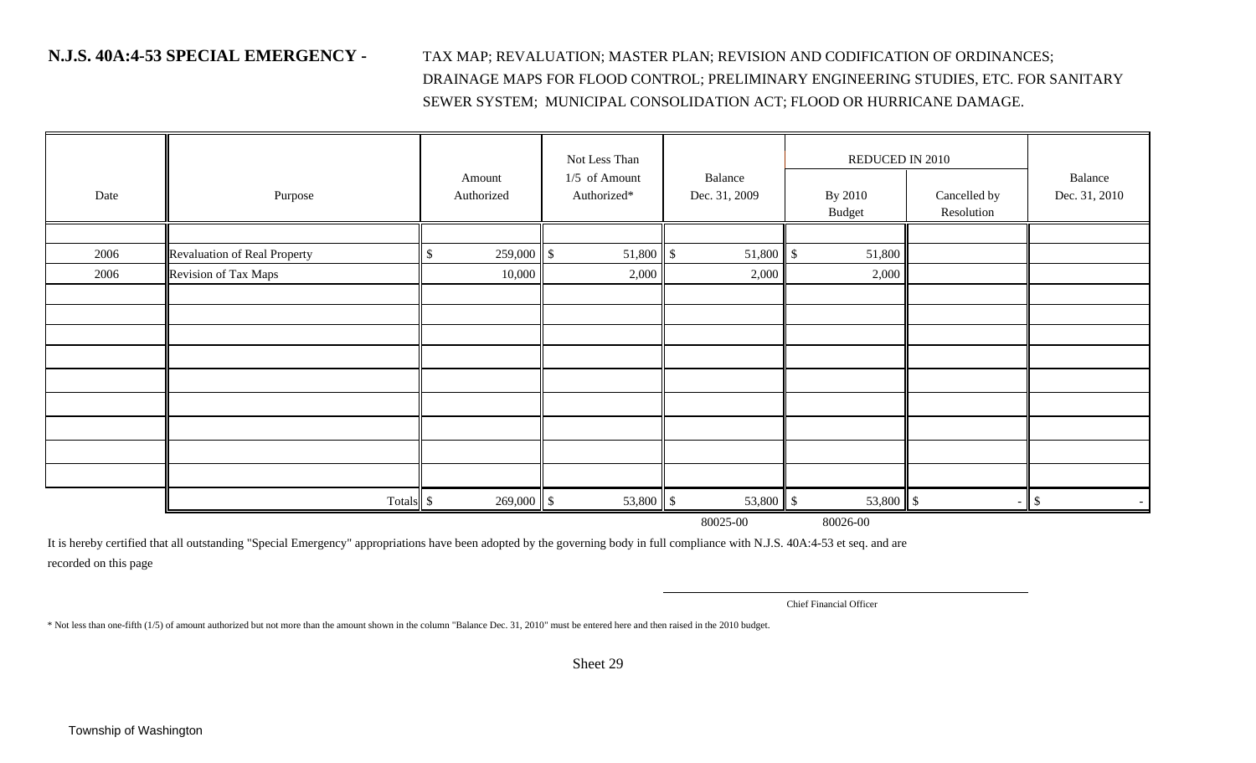**N.J.S. 40A:4-53 SPECIAL EMERGENCY -** TAX MAP; REVALUATION; MASTER PLAN; REVISION AND CODIFICATION OF ORDINANCES; DRAINAGE MAPS FOR FLOOD CONTROL; PRELIMINARY ENGINEERING STUDIES, ETC. FOR SANITARY SEWER SYSTEM; MUNICIPAL CONSOLIDATION ACT; FLOOD OR HURRICANE DAMAGE.

| Date | Purpose                      | Amount<br>Authorized | Not Less Than<br>1/5 of Amount<br>Authorized* | Balance<br>Dec. 31, 2009 | REDUCED IN 2010<br>By 2010<br><b>Budget</b> | Cancelled by<br>Resolution | Balance<br>Dec. 31, 2010 |
|------|------------------------------|----------------------|-----------------------------------------------|--------------------------|---------------------------------------------|----------------------------|--------------------------|
|      |                              |                      |                                               |                          |                                             |                            |                          |
| 2006 | Revaluation of Real Property | 259,000<br>\$        | $\mathsf{I}$                                  |                          | 51,800                                      |                            |                          |
| 2006 | Revision of Tax Maps         | 10,000               | 2,000                                         | 2,000                    | 2,000                                       |                            |                          |
|      |                              |                      |                                               |                          |                                             |                            |                          |
|      |                              |                      |                                               |                          |                                             |                            |                          |
|      |                              |                      |                                               |                          |                                             |                            |                          |
|      |                              |                      |                                               |                          |                                             |                            |                          |
|      |                              |                      |                                               |                          |                                             |                            |                          |
|      |                              |                      |                                               |                          |                                             |                            |                          |
|      |                              |                      |                                               |                          |                                             |                            |                          |
|      |                              |                      |                                               |                          |                                             |                            |                          |
|      |                              |                      |                                               |                          |                                             |                            |                          |
|      | Totals \$                    | $269,000$ \$         |                                               | 53,800 \$                |                                             | $\sim$                     | $\mathcal{S}$            |

80025-00 80026-00

It is hereby certified that all outstanding "Special Emergency" appropriations have been adopted by the governing body in full compliance with N.J.S. 40A:4-53 et seq. and are recorded on this page

Chief Financial Officer

\* Not less than one-fifth (1/5) of amount authorized but not more than the amount shown in the column "Balance Dec. 31, 2010" must be entered here and then raised in the 2010 budget.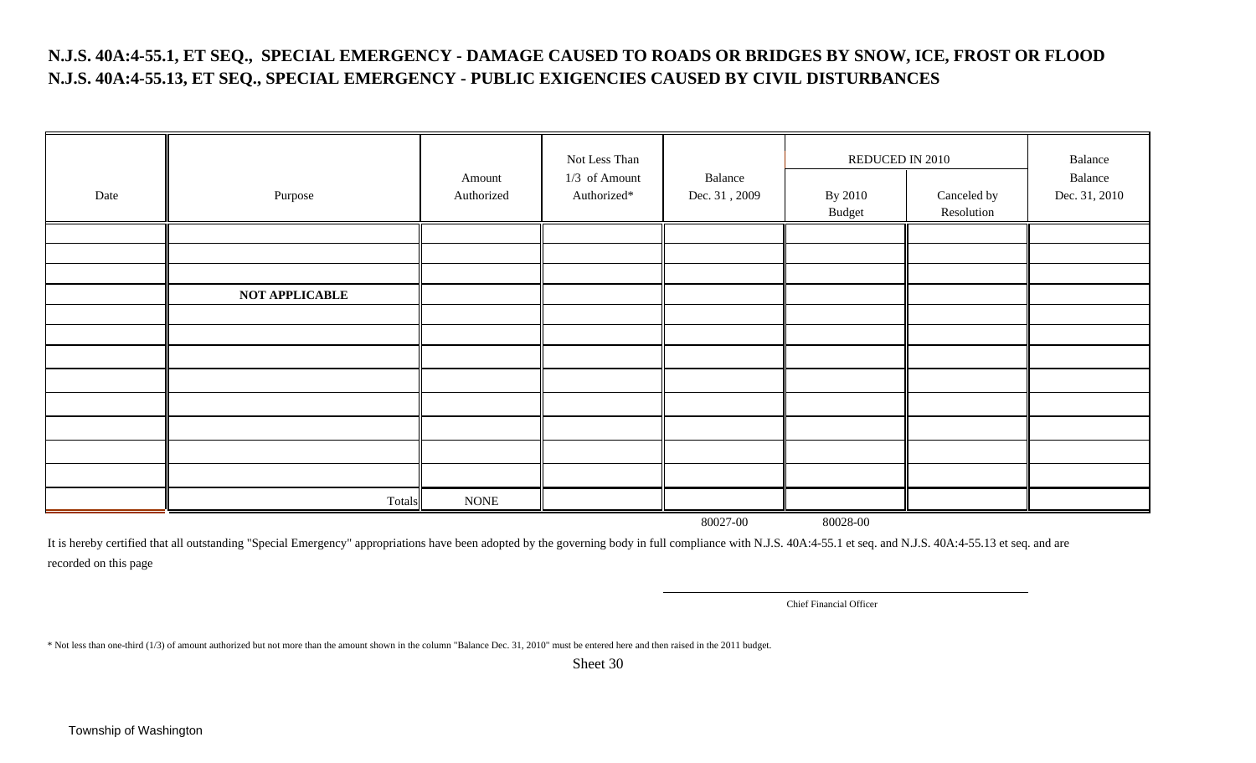### **N.J.S. 40A:4-55.1, ET SEQ., SPECIAL EMERGENCY - DAMAGE CAUSED TO ROADS OR BRIDGES BY SNOW, ICE, FROST OR FLOOD N.J.S. 40A:4-55.13, ET SEQ., SPECIAL EMERGENCY - PUBLIC EXIGENCIES CAUSED BY CIVIL DISTURBANCES**

| Date | Purpose               | Amount<br>Authorized | Not Less Than<br>1/3 of Amount<br>Authorized* | Balance<br>Dec. 31, 2009 | REDUCED IN 2010<br>By 2010<br>Canceled by<br>Budget<br>Resolution |  | Balance<br>Balance<br>Dec. 31, 2010 |
|------|-----------------------|----------------------|-----------------------------------------------|--------------------------|-------------------------------------------------------------------|--|-------------------------------------|
|      |                       |                      |                                               |                          |                                                                   |  |                                     |
|      |                       |                      |                                               |                          |                                                                   |  |                                     |
|      |                       |                      |                                               |                          |                                                                   |  |                                     |
|      | <b>NOT APPLICABLE</b> |                      |                                               |                          |                                                                   |  |                                     |
|      |                       |                      |                                               |                          |                                                                   |  |                                     |
|      |                       |                      |                                               |                          |                                                                   |  |                                     |
|      |                       |                      |                                               |                          |                                                                   |  |                                     |
|      |                       |                      |                                               |                          |                                                                   |  |                                     |
|      |                       |                      |                                               |                          |                                                                   |  |                                     |
|      |                       |                      |                                               |                          |                                                                   |  |                                     |
|      |                       |                      |                                               |                          |                                                                   |  |                                     |
|      |                       |                      |                                               |                          |                                                                   |  |                                     |
|      | Totals                | <b>NONE</b>          |                                               |                          |                                                                   |  |                                     |

80027-00 80028-00

It is hereby certified that all outstanding "Special Emergency" appropriations have been adopted by the governing body in full compliance with N.J.S. 40A:4-55.1 et seq. and N.J.S. 40A:4-55.13 et seq. and are recorded on this page

Chief Financial Officer

\* Not less than one-third (1/3) of amount authorized but not more than the amount shown in the column "Balance Dec. 31, 2010" must be entered here and then raised in the 2011 budget.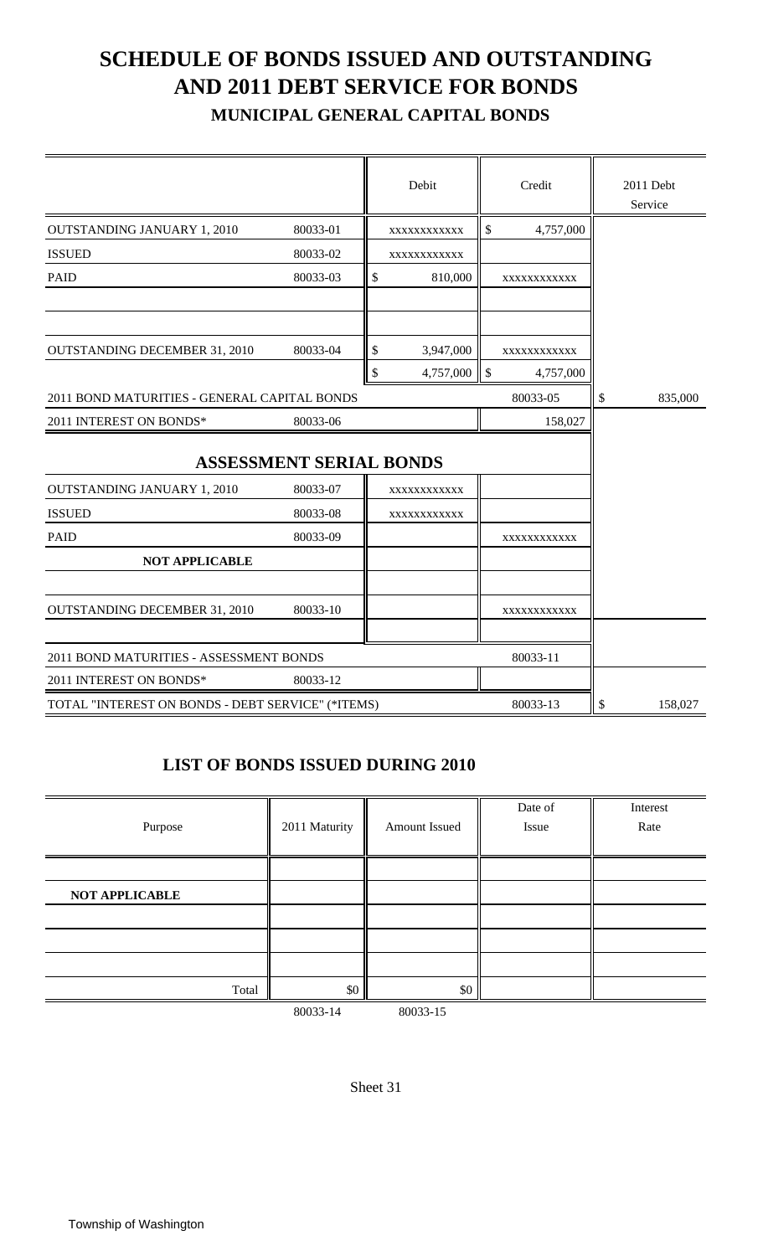# **SCHEDULE OF BONDS ISSUED AND OUTSTANDING AND 2011 DEBT SERVICE FOR BONDS**

 **MUNICIPAL GENERAL CAPITAL BONDS**

|                                                   |                                            | Debit           |                           | Credit                   | 2011 Debt<br>Service |
|---------------------------------------------------|--------------------------------------------|-----------------|---------------------------|--------------------------|----------------------|
| <b>OUTSTANDING JANUARY 1, 2010</b>                | 80033-01                                   | XXXXXXXXXXX     | \$                        | 4,757,000                |                      |
| <b>ISSUED</b>                                     | 80033-02                                   | XXXXXXXXXXX     |                           |                          |                      |
| <b>PAID</b>                                       | 80033-03                                   | \$<br>810,000   |                           | XXXXXXXXXXX              |                      |
| <b>OUTSTANDING DECEMBER 31, 2010</b>              | 80033-04                                   | \$<br>3,947,000 |                           |                          |                      |
|                                                   |                                            | \$<br>4,757,000 | $\boldsymbol{\mathsf{S}}$ | XXXXXXXXXXX<br>4,757,000 |                      |
| 2011 BOND MATURITIES - GENERAL CAPITAL BONDS      |                                            |                 |                           | 80033-05                 | \$                   |
| 2011 INTEREST ON BONDS*                           | 80033-06                                   |                 |                           | 158,027                  | 835,000              |
| <b>OUTSTANDING JANUARY 1, 2010</b>                | <b>ASSESSMENT SERIAL BONDS</b><br>80033-07 | XXXXXXXXXXX     |                           |                          |                      |
| <b>ISSUED</b>                                     | 80033-08                                   | XXXXXXXXXXX     |                           |                          |                      |
| <b>PAID</b>                                       | 80033-09                                   |                 |                           | XXXXXXXXXXX              |                      |
| <b>NOT APPLICABLE</b>                             |                                            |                 |                           |                          |                      |
| <b>OUTSTANDING DECEMBER 31, 2010</b>              | 80033-10                                   |                 |                           | XXXXXXXXXXX              |                      |
| 2011 BOND MATURITIES - ASSESSMENT BONDS           |                                            |                 |                           | 80033-11                 |                      |
| 2011 INTEREST ON BONDS*                           | 80033-12                                   |                 |                           |                          |                      |
| TOTAL "INTEREST ON BONDS - DEBT SERVICE" (*ITEMS) |                                            |                 |                           | 80033-13                 | \$<br>158,027        |

### **LIST OF BONDS ISSUED DURING 2010**

| Purpose               | 2011 Maturity | Amount Issued | Date of<br>Issue | Interest<br>Rate |
|-----------------------|---------------|---------------|------------------|------------------|
|                       |               |               |                  |                  |
| <b>NOT APPLICABLE</b> |               |               |                  |                  |
|                       |               |               |                  |                  |
|                       |               |               |                  |                  |
|                       |               |               |                  |                  |
| Total                 | \$0           | \$0           |                  |                  |
|                       | 80033-14      | 80033-15      |                  |                  |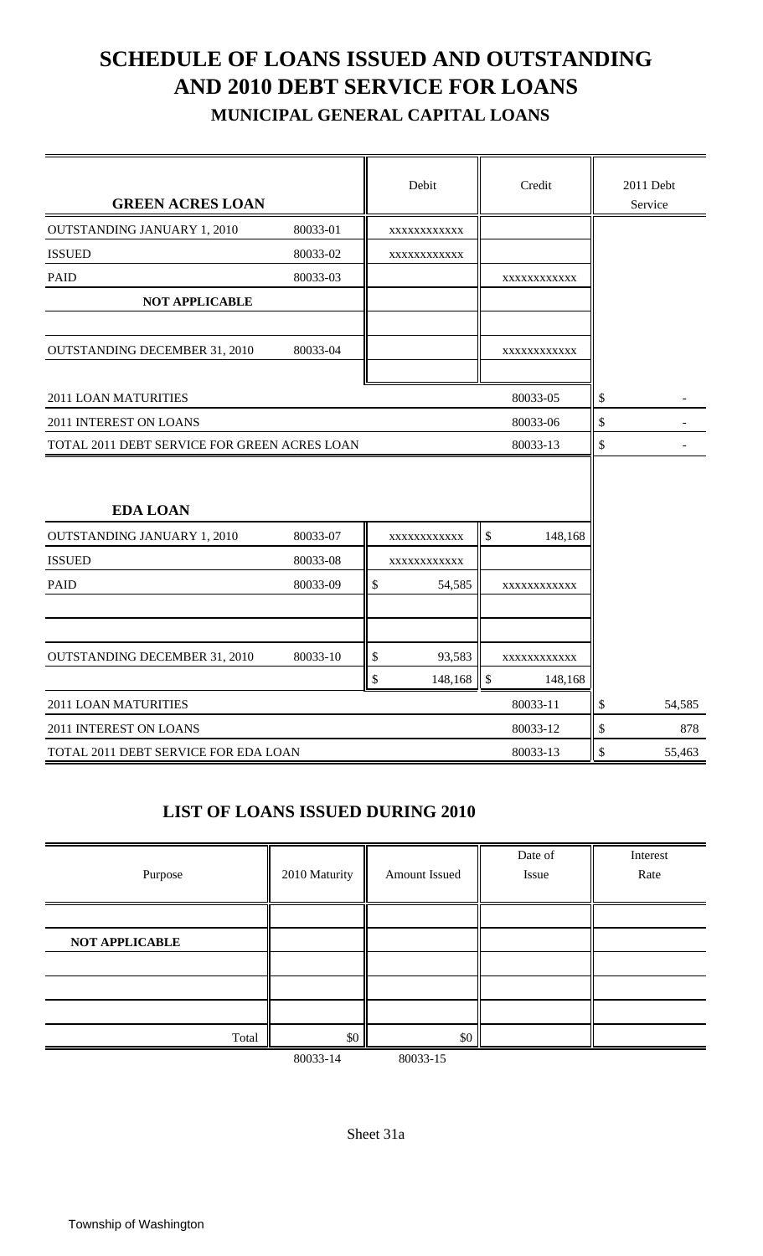# **SCHEDULE OF LOANS ISSUED AND OUTSTANDING AND 2010 DEBT SERVICE FOR LOANS**

 **MUNICIPAL GENERAL CAPITAL LOANS**

| <b>GREEN ACRES LOAN</b>                      |          |               | Debit       |               | Credit      |    | 2011 Debt<br>Service |
|----------------------------------------------|----------|---------------|-------------|---------------|-------------|----|----------------------|
| <b>OUTSTANDING JANUARY 1, 2010</b>           | 80033-01 |               | XXXXXXXXXXX |               |             |    |                      |
| <b>ISSUED</b>                                | 80033-02 |               | XXXXXXXXXXX |               |             |    |                      |
| <b>PAID</b>                                  | 80033-03 |               |             |               | XXXXXXXXXXX |    |                      |
| <b>NOT APPLICABLE</b>                        |          |               |             |               |             |    |                      |
| <b>OUTSTANDING DECEMBER 31, 2010</b>         | 80033-04 |               |             |               | XXXXXXXXXXX |    |                      |
| 2011 LOAN MATURITIES                         |          |               |             |               | 80033-05    | \$ |                      |
| 2011 INTEREST ON LOANS<br>80033-06           |          |               |             |               |             |    |                      |
| TOTAL 2011 DEBT SERVICE FOR GREEN ACRES LOAN | \$       |               |             |               |             |    |                      |
| <b>EDA LOAN</b>                              |          |               |             |               |             |    |                      |
| <b>OUTSTANDING JANUARY 1, 2010</b>           | 80033-07 |               | XXXXXXXXXXX | \$            | 148,168     |    |                      |
| <b>ISSUED</b>                                | 80033-08 |               | XXXXXXXXXXX |               |             |    |                      |
| <b>PAID</b>                                  | 80033-09 | $\mathcal{S}$ | 54,585      |               | XXXXXXXXXXX |    |                      |
|                                              |          |               |             |               |             |    |                      |
| <b>OUTSTANDING DECEMBER 31, 2010</b>         | 80033-10 | \$            | 93,583      |               | XXXXXXXXXXX |    |                      |
|                                              |          | \$            | 148,168     | $\mathcal{S}$ | 148,168     |    |                      |
| 2011 LOAN MATURITIES                         |          |               |             |               | 80033-11    | \$ | 54,585               |
| 2011 INTEREST ON LOANS                       |          |               |             |               | 80033-12    | \$ | 878                  |
| TOTAL 2011 DEBT SERVICE FOR EDA LOAN         |          |               |             |               | 80033-13    | \$ | 55,463               |

### **LIST OF LOANS ISSUED DURING 2010**

| Purpose               | 2010 Maturity | Amount Issued | Date of<br>Issue | Interest<br>Rate |
|-----------------------|---------------|---------------|------------------|------------------|
|                       |               |               |                  |                  |
| <b>NOT APPLICABLE</b> |               |               |                  |                  |
|                       |               |               |                  |                  |
|                       |               |               |                  |                  |
|                       |               |               |                  |                  |
| Total                 | \$0           | \$0           |                  |                  |

80033-14 80033-15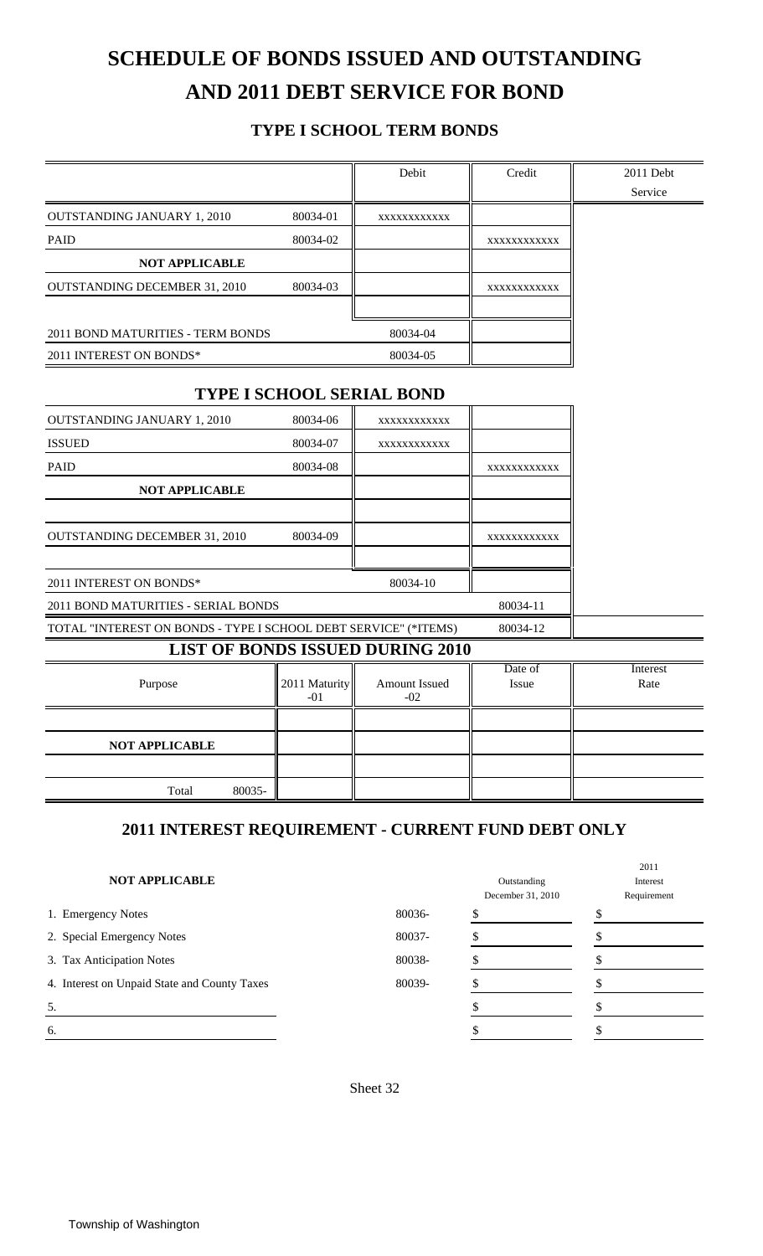# **SCHEDULE OF BONDS ISSUED AND OUTSTANDING AND 2011 DEBT SERVICE FOR BOND**

### **TYPE I SCHOOL TERM BONDS**

| XXXXXXXXXXX<br>80034-04<br>80034-05<br><b>TYPE I SCHOOL SERIAL BOND</b><br>XXXXXXXXXXXX<br>XXXXXXXXXXX | XXXXXXXXXXX<br>XXXXXXXXXXX<br>XXXXXXXXXXX<br>XXXXXXXXXXX | Service          |
|--------------------------------------------------------------------------------------------------------|----------------------------------------------------------|------------------|
|                                                                                                        |                                                          |                  |
|                                                                                                        |                                                          |                  |
|                                                                                                        |                                                          |                  |
|                                                                                                        |                                                          |                  |
|                                                                                                        |                                                          |                  |
|                                                                                                        |                                                          |                  |
|                                                                                                        |                                                          |                  |
|                                                                                                        |                                                          |                  |
|                                                                                                        |                                                          |                  |
|                                                                                                        |                                                          |                  |
|                                                                                                        |                                                          |                  |
|                                                                                                        |                                                          |                  |
|                                                                                                        |                                                          |                  |
|                                                                                                        |                                                          |                  |
|                                                                                                        |                                                          |                  |
|                                                                                                        |                                                          |                  |
|                                                                                                        |                                                          |                  |
| 80034-10                                                                                               |                                                          |                  |
|                                                                                                        | 80034-11                                                 |                  |
| TOTAL "INTEREST ON BONDS - TYPE I SCHOOL DEBT SERVICE" (*ITEMS)                                        | 80034-12                                                 |                  |
| <b>LIST OF BONDS ISSUED DURING 2010</b>                                                                |                                                          |                  |
| Amount Issued<br>$-02$                                                                                 | Date of<br><b>Issue</b>                                  | Interest<br>Rate |
|                                                                                                        |                                                          |                  |
|                                                                                                        |                                                          |                  |
|                                                                                                        |                                                          |                  |
|                                                                                                        |                                                          |                  |

| <b>NOT APPLICABLE</b>                        |        | Outstanding<br>December 31, 2010 | Interest<br>Requirement |
|----------------------------------------------|--------|----------------------------------|-------------------------|
| 1. Emergency Notes                           | 80036- |                                  |                         |
| 2. Special Emergency Notes                   | 80037- |                                  |                         |
| 3. Tax Anticipation Notes                    | 80038- |                                  |                         |
| 4. Interest on Unpaid State and County Taxes | 80039- |                                  |                         |
| 5.                                           |        |                                  |                         |
| 6.                                           |        |                                  |                         |

2011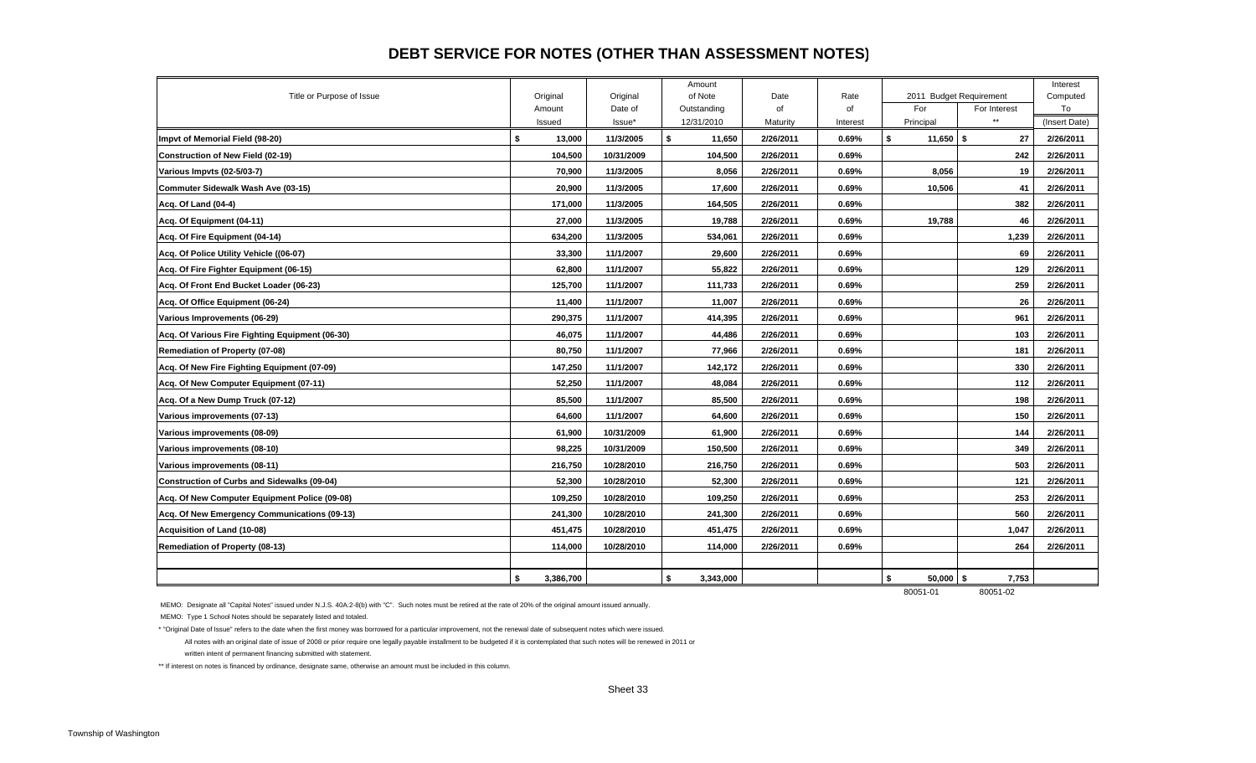#### **DEBT SERVICE FOR NOTES (OTHER THAN ASSESSMENT NOTES)**

|                                                    |                    |                     | Amount                  |            |            |                   |                                         | Interest       |
|----------------------------------------------------|--------------------|---------------------|-------------------------|------------|------------|-------------------|-----------------------------------------|----------------|
| Title or Purpose of Issue                          | Original<br>Amount | Original<br>Date of | of Note<br>Outstanding  | Date<br>of | Rate<br>of | For               | 2011 Budget Requirement<br>For Interest | Computed<br>To |
|                                                    | Issued             | Issue*              | 12/31/2010              | Maturity   | Interest   | Principal         | $\star\star$                            | (Insert Date)  |
| Impvt of Memorial Field (98-20)                    | 13,000<br>\$       | 11/3/2005           | S.<br>11,650            | 2/26/2011  | 0.69%      | \$<br>$11,650$ \$ | 27                                      | 2/26/2011      |
| Construction of New Field (02-19)                  | 104,500            | 10/31/2009          | 104,500                 | 2/26/2011  | 0.69%      |                   | 242                                     | 2/26/2011      |
| Various Impvts (02-5/03-7)                         | 70,900             | 11/3/2005           | 8,056                   | 2/26/2011  | 0.69%      | 8,056             | 19                                      | 2/26/2011      |
| Commuter Sidewalk Wash Ave (03-15)                 | 20,900             | 11/3/2005           | 17,600                  | 2/26/2011  | 0.69%      | 10,506            | 41                                      | 2/26/2011      |
| Acq. Of Land (04-4)                                | 171,000            | 11/3/2005           | 164,505                 | 2/26/2011  | 0.69%      |                   | 382                                     | 2/26/2011      |
| Acq. Of Equipment (04-11)                          | 27,000             | 11/3/2005           | 19,788                  | 2/26/2011  | 0.69%      | 19,788            | 46                                      | 2/26/2011      |
| Acq. Of Fire Equipment (04-14)                     | 634,200            | 11/3/2005           | 534,061                 | 2/26/2011  | 0.69%      |                   | 1,239                                   | 2/26/2011      |
| Acq. Of Police Utility Vehicle ((06-07)            | 33,300             | 11/1/2007           | 29,600                  | 2/26/2011  | 0.69%      |                   | 69                                      | 2/26/2011      |
| Acq. Of Fire Fighter Equipment (06-15)             | 62,800             | 11/1/2007           | 55,822                  | 2/26/2011  | 0.69%      |                   | 129                                     | 2/26/2011      |
| Acq. Of Front End Bucket Loader (06-23)            | 125,700            | 11/1/2007           | 111,733                 | 2/26/2011  | 0.69%      |                   | 259                                     | 2/26/2011      |
| Acq. Of Office Equipment (06-24)                   | 11,400             | 11/1/2007           | 11,007                  | 2/26/2011  | 0.69%      |                   | 26                                      | 2/26/2011      |
| Various Improvements (06-29)                       | 290,375            | 11/1/2007           | 414,395                 | 2/26/2011  | 0.69%      |                   | 961                                     | 2/26/2011      |
| Acq. Of Various Fire Fighting Equipment (06-30)    | 46.075             | 11/1/2007           | 44,486                  | 2/26/2011  | 0.69%      |                   | 103                                     | 2/26/2011      |
| Remediation of Property (07-08)                    | 80,750             | 11/1/2007           | 77,966                  | 2/26/2011  | 0.69%      |                   | 181                                     | 2/26/2011      |
| Acq. Of New Fire Fighting Equipment (07-09)        | 147,250            | 11/1/2007           | 142,172                 | 2/26/2011  | 0.69%      |                   | 330                                     | 2/26/2011      |
| Acq. Of New Computer Equipment (07-11)             | 52,250             | 11/1/2007           | 48,084                  | 2/26/2011  | $0.69\%$   |                   | 112                                     | 2/26/2011      |
| Acq. Of a New Dump Truck (07-12)                   | 85,500             | 11/1/2007           | 85,500                  | 2/26/2011  | 0.69%      |                   | 198                                     | 2/26/2011      |
| Various improvements (07-13)                       | 64,600             | 11/1/2007           | 64,600                  | 2/26/2011  | 0.69%      |                   | 150                                     | 2/26/2011      |
| Various improvements (08-09)                       | 61,900             | 10/31/2009          | 61,900                  | 2/26/2011  | 0.69%      |                   | 144                                     | 2/26/2011      |
| Various improvements (08-10)                       | 98,225             | 10/31/2009          | 150,500                 | 2/26/2011  | 0.69%      |                   | 349                                     | 2/26/2011      |
| Various improvements (08-11)                       | 216,750            | 10/28/2010          | 216,750                 | 2/26/2011  | 0.69%      |                   | 503                                     | 2/26/2011      |
| <b>Construction of Curbs and Sidewalks (09-04)</b> | 52,300             | 10/28/2010          | 52,300                  | 2/26/2011  | 0.69%      |                   | 121                                     | 2/26/2011      |
| Acq. Of New Computer Equipment Police (09-08)      | 109,250            | 10/28/2010          | 109,250                 | 2/26/2011  | 0.69%      |                   | 253                                     | 2/26/2011      |
| Acq. Of New Emergency Communications (09-13)       | 241,300            | 10/28/2010          | 241,300                 | 2/26/2011  | 0.69%      |                   | 560                                     | 2/26/2011      |
| Acquisition of Land (10-08)                        | 451,475            | 10/28/2010          | 451,475                 | 2/26/2011  | 0.69%      |                   | 1,047                                   | 2/26/2011      |
| <b>Remediation of Property (08-13)</b>             | 114,000            | 10/28/2010          | 114,000                 | 2/26/2011  | 0.69%      |                   | 264                                     | 2/26/2011      |
|                                                    |                    |                     |                         |            |            |                   |                                         |                |
|                                                    | 3,386,700<br>\$    |                     | $\sqrt{2}$<br>3,343,000 |            |            | \$<br>$50,000$ \$ | 7,753                                   |                |

80051-01 80051-02

MEMO: Designate all "Capital Notes" issued under N.J.S. 40A:2-8(b) with "C". Such notes must be retired at the rate of 20% of the original amount issued annually.

MEMO: Type 1 School Notes should be separately listed and totaled.

\* "Original Date of Issue" refers to the date when the first money was borrowed for a particular improvement, not the renewal date of subsequent notes which were issued.

 All notes with an original date of issue of 2008 or prior require one legally payable installment to be budgeted if it is contemplated that such notes will be renewed in 2011 or written intent of permanent financing submitted with statement.

\*\* If interest on notes is financed by ordinance, designate same, otherwise an amount must be included in this column.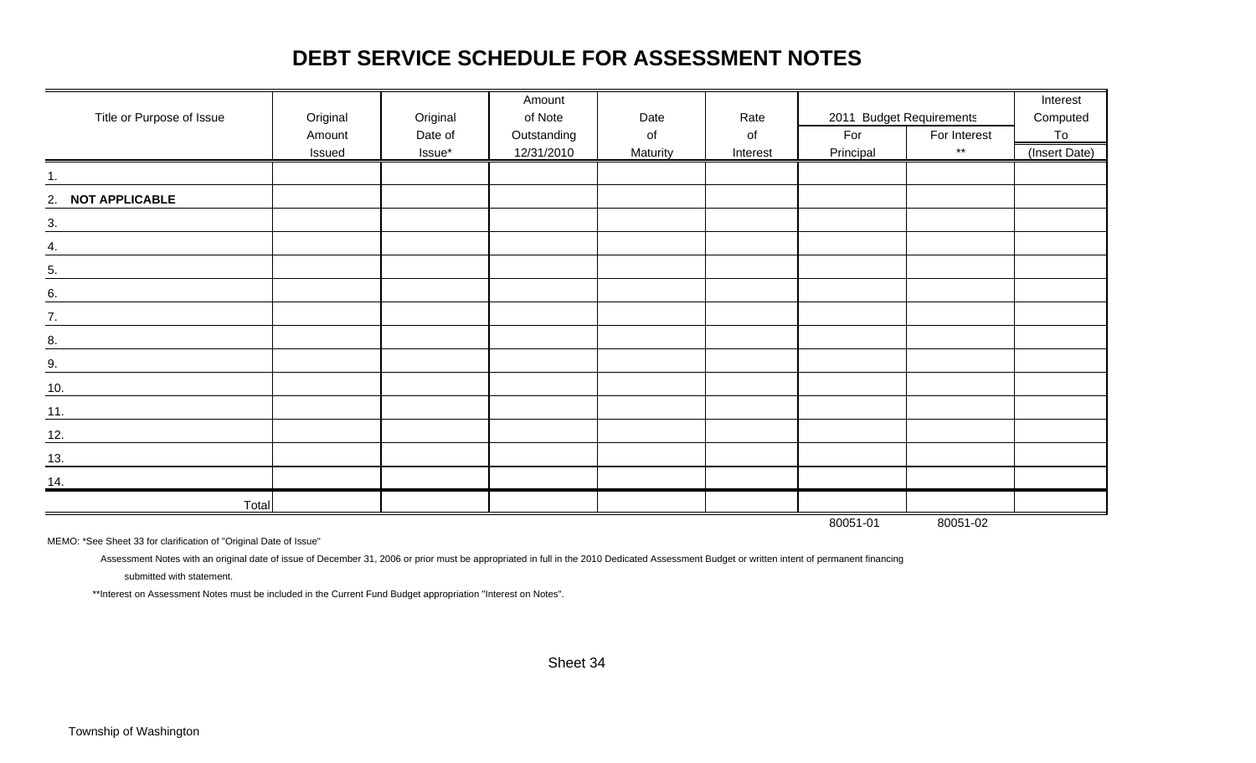## **DEBT SERVICE SCHEDULE FOR ASSESSMENT NOTES**

|                           |          |          | Amount      |          |          |                          |              | Interest      |
|---------------------------|----------|----------|-------------|----------|----------|--------------------------|--------------|---------------|
| Title or Purpose of Issue | Original | Original | of Note     | Date     | Rate     | 2011 Budget Requirements |              | Computed      |
|                           | Amount   | Date of  | Outstanding | of       | of       | For                      | For Interest | To            |
|                           | Issued   | Issue*   | 12/31/2010  | Maturity | Interest | Principal                | $\star\star$ | (Insert Date) |
|                           |          |          |             |          |          |                          |              |               |
| 2. NOT APPLICABLE         |          |          |             |          |          |                          |              |               |
| $\overline{3}$ .          |          |          |             |          |          |                          |              |               |
| 4.                        |          |          |             |          |          |                          |              |               |
| $\overline{5}$ .          |          |          |             |          |          |                          |              |               |
| 6.                        |          |          |             |          |          |                          |              |               |
| $\frac{7}{2}$             |          |          |             |          |          |                          |              |               |
| 8.                        |          |          |             |          |          |                          |              |               |
| 9.                        |          |          |             |          |          |                          |              |               |
| 10.                       |          |          |             |          |          |                          |              |               |
| $\underline{11}$ .        |          |          |             |          |          |                          |              |               |
| 12.                       |          |          |             |          |          |                          |              |               |
| <u>13.</u>                |          |          |             |          |          |                          |              |               |
| 14.                       |          |          |             |          |          |                          |              |               |
| Total                     |          |          |             |          |          |                          |              |               |
|                           |          |          |             |          |          | 80051-01                 | 80051-02     |               |

MEMO: \*See Sheet 33 for clarification of "Original Date of Issue"

Assessment Notes with an original date of issue of December 31, 2006 or prior must be appropriated in full in the 2010 Dedicated Assessment Budget or written intent of permanent financing

submitted with statement.

\*\*Interest on Assessment Notes must be included in the Current Fund Budget appropriation "Interest on Notes".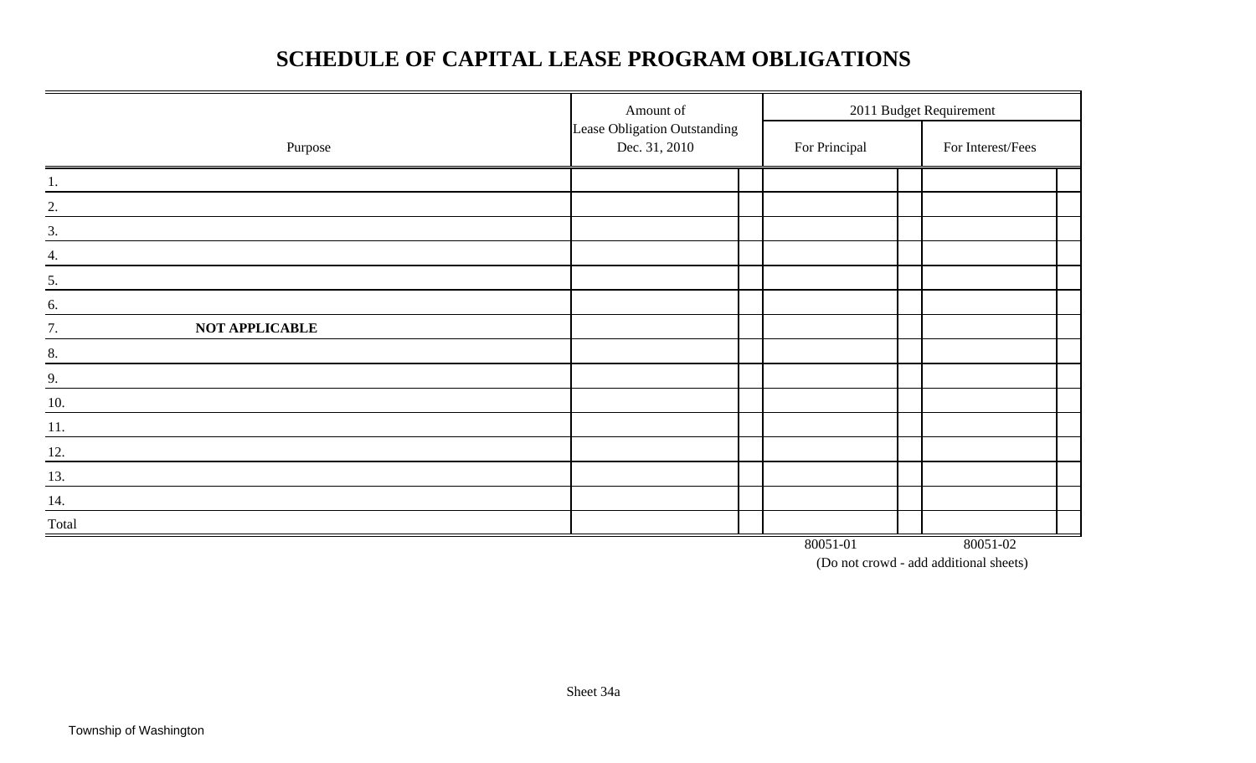## **SCHEDULE OF CAPITAL LEASE PROGRAM OBLIGATIONS**

|                      | Amount of                                     |  | 2011 Budget Requirement<br>For Principal |  |                   |  |
|----------------------|-----------------------------------------------|--|------------------------------------------|--|-------------------|--|
| Purpose              | Lease Obligation Outstanding<br>Dec. 31, 2010 |  |                                          |  | For Interest/Fees |  |
| 1.                   |                                               |  |                                          |  |                   |  |
| 2.                   |                                               |  |                                          |  |                   |  |
| 3.                   |                                               |  |                                          |  |                   |  |
| 4.                   |                                               |  |                                          |  |                   |  |
| 5.                   |                                               |  |                                          |  |                   |  |
| 6.                   |                                               |  |                                          |  |                   |  |
| 7.<br>NOT APPLICABLE |                                               |  |                                          |  |                   |  |
| 8.                   |                                               |  |                                          |  |                   |  |
| 9.                   |                                               |  |                                          |  |                   |  |
| 10.                  |                                               |  |                                          |  |                   |  |
| 11.                  |                                               |  |                                          |  |                   |  |
| <u>12.</u>           |                                               |  |                                          |  |                   |  |
| 13.                  |                                               |  |                                          |  |                   |  |
| 14.                  |                                               |  |                                          |  |                   |  |
| Total                |                                               |  |                                          |  |                   |  |
|                      |                                               |  | 80051-01                                 |  | 80051-02          |  |

(Do not crowd - add additional sheets)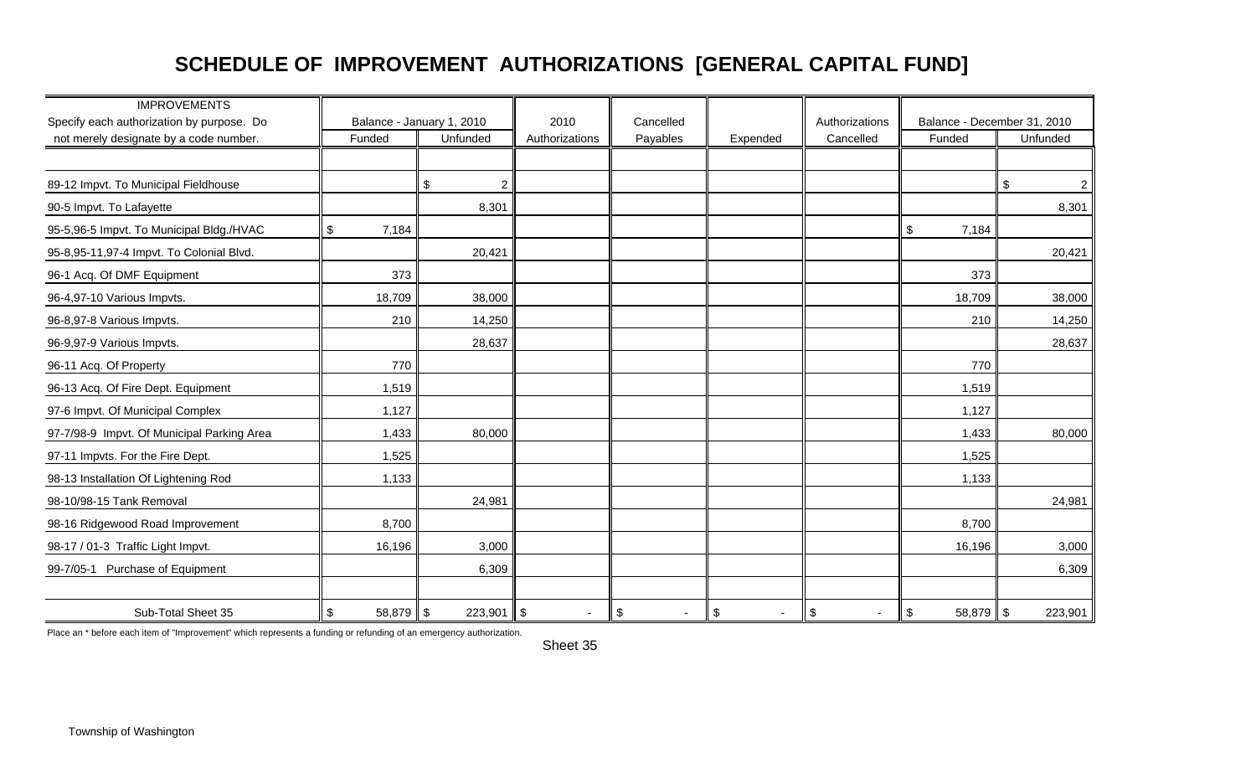## **SCHEDULE OF IMPROVEMENT AUTHORIZATIONS [GENERAL CAPITAL FUND]**

| <b>IMPROVEMENTS</b>                        |                   |                           |                |                              |                                             |                              |                                  |                      |
|--------------------------------------------|-------------------|---------------------------|----------------|------------------------------|---------------------------------------------|------------------------------|----------------------------------|----------------------|
| Specify each authorization by purpose. Do  |                   | Balance - January 1, 2010 | 2010           | Cancelled                    |                                             | Authorizations               | Balance - December 31, 2010      |                      |
| not merely designate by a code number.     | Funded            | Unfunded                  | Authorizations | Payables                     | Expended                                    | Cancelled                    | Funded                           | Unfunded             |
|                                            |                   |                           |                |                              |                                             |                              |                                  |                      |
| 89-12 Impvt. To Municipal Fieldhouse       |                   | $\overline{2}$<br>\$      |                |                              |                                             |                              |                                  | $\overline{a}$<br>\$ |
| 90-5 Impvt. To Lafayette                   |                   | 8,301                     |                |                              |                                             |                              |                                  | 8,301                |
| 95-5,96-5 Impvt. To Municipal Bldg./HVAC   | \$<br>7,184       |                           |                |                              |                                             |                              | \$<br>7,184                      |                      |
| 95-8,95-11,97-4 Impvt. To Colonial Blvd.   |                   | 20,421                    |                |                              |                                             |                              |                                  | 20,421               |
| 96-1 Acq. Of DMF Equipment                 | 373               |                           |                |                              |                                             |                              | 373                              |                      |
| 96-4,97-10 Various Impvts.                 | 18,709            | 38,000                    |                |                              |                                             |                              | 18,709                           | 38,000               |
| 96-8,97-8 Various Impvts.                  | 210               | 14,250                    |                |                              |                                             |                              | 210                              | 14,250               |
| 96-9,97-9 Various Impvts.                  |                   | 28,637                    |                |                              |                                             |                              |                                  | 28,637               |
| 96-11 Acq. Of Property                     | 770               |                           |                |                              |                                             |                              | 770                              |                      |
| 96-13 Acq. Of Fire Dept. Equipment         | 1,519             |                           |                |                              |                                             |                              | 1,519                            |                      |
| 97-6 Impvt. Of Municipal Complex           | 1,127             |                           |                |                              |                                             |                              | 1,127                            |                      |
| 97-7/98-9 Impvt. Of Municipal Parking Area | 1,433             | 80,000                    |                |                              |                                             |                              | 1,433                            | 80,000               |
| 97-11 Impvts. For the Fire Dept.           | 1,525             |                           |                |                              |                                             |                              | 1,525                            |                      |
| 98-13 Installation Of Lightening Rod       | 1,133             |                           |                |                              |                                             |                              | 1,133                            |                      |
| 98-10/98-15 Tank Removal                   |                   | 24,981                    |                |                              |                                             |                              |                                  | 24,981               |
| 98-16 Ridgewood Road Improvement           | 8,700             |                           |                |                              |                                             |                              | 8,700                            |                      |
| 98-17 / 01-3 Traffic Light Impvt.          | 16,196            | 3,000                     |                |                              |                                             |                              | 16,196                           | 3,000                |
| 99-7/05-1 Purchase of Equipment            |                   | 6,309                     |                |                              |                                             |                              |                                  | 6,309                |
| Sub-Total Sheet 35                         | \$<br>$58,879$ \$ | $223,901$ \$              | $\sim$         | $\sqrt{3}$<br>$\blacksquare$ | $\boldsymbol{\mathsf{S}}$<br>$\blacksquare$ | $\sqrt{3}$<br>$\blacksquare$ | $\boldsymbol{\$}$<br>$58,879$ \$ | 223,901              |

Place an \* before each item of "Improvement" which represents a funding or refunding of an emergency authorization.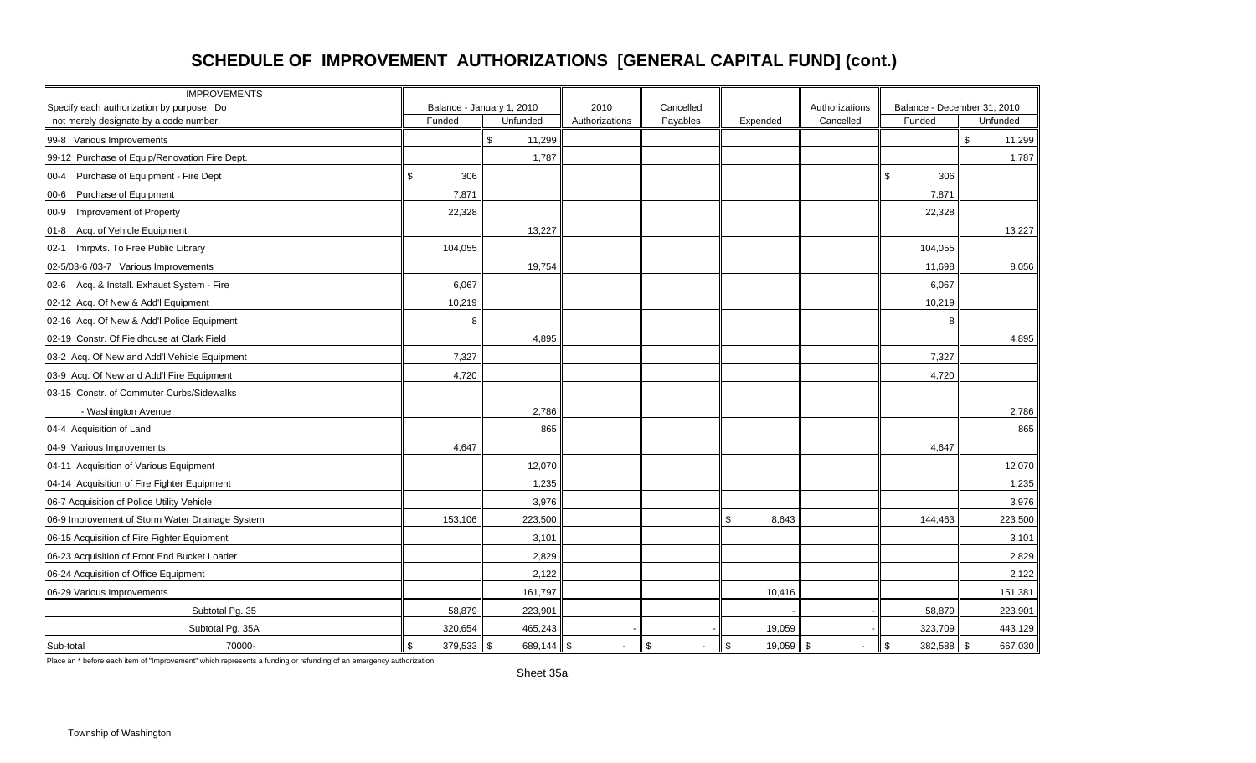## **SCHEDULE OF IMPROVEMENT AUTHORIZATIONS [GENERAL CAPITAL FUND] (cont.)**

| <b>IMPROVEMENTS</b><br>Specify each authorization by purpose. Do |               | Balance - January 1, 2010 | 2010                 | Cancelled                    |                   | Authorizations           | Balance - December 31, 2010 |               |
|------------------------------------------------------------------|---------------|---------------------------|----------------------|------------------------------|-------------------|--------------------------|-----------------------------|---------------|
| not merely designate by a code number.                           | Funded        | Unfunded                  | Authorizations       | Payables                     | Expended          | Cancelled                | Funded                      | Unfunded      |
| 99-8 Various Improvements                                        |               | \$<br>11,299              |                      |                              |                   |                          |                             | \$.<br>11,299 |
| 99-12 Purchase of Equip/Renovation Fire Dept.                    |               | 1,787                     |                      |                              |                   |                          |                             | 1,787         |
| 00-4 Purchase of Equipment - Fire Dept                           | \$<br>306     |                           |                      |                              |                   |                          | \$<br>306                   |               |
| 00-6 Purchase of Equipment                                       | 7,871         |                           |                      |                              |                   |                          | 7,871                       |               |
| 00-9 Improvement of Property                                     | 22,328        |                           |                      |                              |                   |                          | 22,328                      |               |
| Acq. of Vehicle Equipment<br>01-8                                |               | 13,227                    |                      |                              |                   |                          |                             | 13,227        |
| Imrpvts. To Free Public Library<br>$02-1$                        | 104,055       |                           |                      |                              |                   |                          | 104,055                     |               |
| 02-5/03-6 /03-7 Various Improvements                             |               | 19,754                    |                      |                              |                   |                          | 11,698                      | 8,056         |
| 02-6 Acq. & Install. Exhaust System - Fire                       | 6,067         |                           |                      |                              |                   |                          | 6,067                       |               |
| 02-12 Acq. Of New & Add'l Equipment                              | 10,219        |                           |                      |                              |                   |                          | 10,219                      |               |
| 02-16 Acq. Of New & Add'l Police Equipment                       | 8             |                           |                      |                              |                   |                          | 8                           |               |
| 02-19 Constr. Of Fieldhouse at Clark Field                       |               | 4,895                     |                      |                              |                   |                          |                             | 4,895         |
| 03-2 Acq. Of New and Add'l Vehicle Equipment                     | 7,327         |                           |                      |                              |                   |                          | 7,327                       |               |
| 03-9 Acq. Of New and Add'l Fire Equipment                        | 4,720         |                           |                      |                              |                   |                          | 4,720                       |               |
| 03-15 Constr. of Commuter Curbs/Sidewalks                        |               |                           |                      |                              |                   |                          |                             |               |
| - Washington Avenue                                              |               | 2,786                     |                      |                              |                   |                          |                             | 2,786         |
| 04-4 Acquisition of Land                                         |               | 865                       |                      |                              |                   |                          |                             | 865           |
| 04-9 Various Improvements                                        | 4,647         |                           |                      |                              |                   |                          | 4,647                       |               |
| 04-11 Acquisition of Various Equipment                           |               | 12,070                    |                      |                              |                   |                          |                             | 12,070        |
| 04-14 Acquisition of Fire Fighter Equipment                      |               | 1,235                     |                      |                              |                   |                          |                             | 1,235         |
| 06-7 Acquisition of Police Utility Vehicle                       |               | 3,976                     |                      |                              |                   |                          |                             | 3,976         |
| 06-9 Improvement of Storm Water Drainage System                  | 153,106       | 223,500                   |                      |                              | \$<br>8,643       |                          | 144,463                     | 223,500       |
| 06-15 Acquisition of Fire Fighter Equipment                      |               | 3,101                     |                      |                              |                   |                          |                             | 3,101         |
| 06-23 Acquisition of Front End Bucket Loader                     |               | 2,829                     |                      |                              |                   |                          |                             | 2,829         |
| 06-24 Acquisition of Office Equipment                            |               | 2,122                     |                      |                              |                   |                          |                             | 2,122         |
| 06-29 Various Improvements                                       |               | 161,797                   |                      |                              | 10,416            |                          |                             | 151,381       |
| Subtotal Pg. 35                                                  | 58,879        | 223,901                   |                      |                              |                   |                          | 58,879                      | 223,901       |
| Subtotal Pg. 35A                                                 | 320,654       | 465,243                   |                      |                              | 19,059            |                          | 323,709                     | 443,129       |
| 70000-<br>Sub-total                                              | \$<br>379,533 | 689,144 $\ $ \$<br>\$     | $\ddot{\phantom{a}}$ | $\sqrt{3}$<br>$\blacksquare$ | \$<br>$19,059$ \$ | $\overline{\phantom{a}}$ | $\sqrt{3}$<br>$382,588$ \$  | 667,030       |

Place an \* before each item of "Improvement" which represents a funding or refunding of an emergency authorization.

Sheet 35a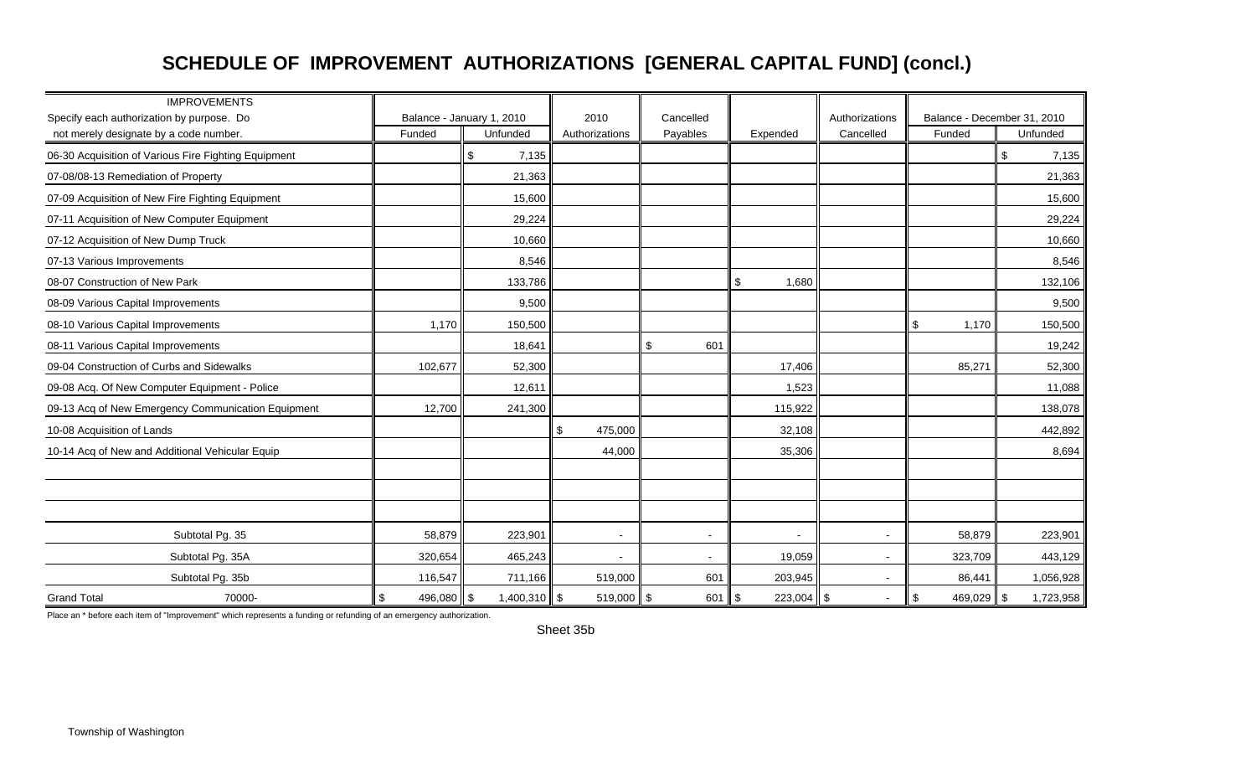### **SCHEDULE OF IMPROVEMENT AUTHORIZATIONS [GENERAL CAPITAL FUND] (concl.)**

| <b>IMPROVEMENTS</b><br>Specify each authorization by purpose. Do<br>not merely designate by a code number. | Funded        | Balance - January 1, 2010<br>Unfunded | 2010<br>Authorizations   | Cancelled<br>Payables    | Expended           | Authorizations<br>Cancelled | Balance - December 31, 2010<br>Funded | Unfunded        |
|------------------------------------------------------------------------------------------------------------|---------------|---------------------------------------|--------------------------|--------------------------|--------------------|-----------------------------|---------------------------------------|-----------------|
| 06-30 Acquisition of Various Fire Fighting Equipment                                                       |               | \$<br>7,135                           |                          |                          |                    |                             |                                       | \$<br>7,135     |
| 07-08/08-13 Remediation of Property                                                                        |               | 21,363                                |                          |                          |                    |                             |                                       | 21,363          |
| 07-09 Acquisition of New Fire Fighting Equipment                                                           |               | 15,600                                |                          |                          |                    |                             |                                       | 15,600          |
| 07-11 Acquisition of New Computer Equipment                                                                |               | 29,224                                |                          |                          |                    |                             |                                       | 29,224          |
| 07-12 Acquisition of New Dump Truck                                                                        |               | 10,660                                |                          |                          |                    |                             |                                       | 10,660          |
| 07-13 Various Improvements                                                                                 |               | 8,546                                 |                          |                          |                    |                             |                                       | 8,546           |
| 08-07 Construction of New Park                                                                             |               | 133,786                               |                          |                          | \$<br>1,680        |                             |                                       | 132,106         |
| 08-09 Various Capital Improvements                                                                         |               | 9,500                                 |                          |                          |                    |                             |                                       | 9,500           |
| 08-10 Various Capital Improvements                                                                         | 1,170         | 150,500                               |                          |                          |                    |                             | \$<br>1,170                           | 150,500         |
| 08-11 Various Capital Improvements                                                                         |               | 18,641                                |                          | \$<br>601                |                    |                             |                                       | 19,242          |
| 09-04 Construction of Curbs and Sidewalks                                                                  | 102,677       | 52,300                                |                          |                          | 17,406             |                             | 85,271                                | 52,300          |
| 09-08 Acq. Of New Computer Equipment - Police                                                              |               | 12,611                                |                          |                          | 1,523              |                             |                                       | 11,088          |
| 09-13 Acq of New Emergency Communication Equipment                                                         | 12,700        | 241,300                               |                          |                          | 115,922            |                             |                                       | 138,078         |
| 10-08 Acquisition of Lands                                                                                 |               |                                       | \$<br>475,000            |                          | 32,108             |                             |                                       | 442,892         |
| 10-14 Acq of New and Additional Vehicular Equip                                                            |               |                                       | 44,000                   |                          | 35,306             |                             |                                       | 8,694           |
|                                                                                                            |               |                                       |                          |                          |                    |                             |                                       |                 |
|                                                                                                            |               |                                       |                          |                          |                    |                             |                                       |                 |
|                                                                                                            |               |                                       |                          |                          |                    |                             |                                       |                 |
| Subtotal Pg. 35                                                                                            | 58,879        | 223,901                               | $\sim$                   | $\overline{\phantom{a}}$ | $\sim$             | $\overline{\phantom{a}}$    | 58,879                                | 223,901         |
| Subtotal Pg. 35A                                                                                           | 320,654       | 465,243                               | $\overline{\phantom{a}}$ | $\blacksquare$           | 19,059             | $\overline{\phantom{a}}$    | 323,709                               | 443,129         |
| Subtotal Pg. 35b                                                                                           | 116,547       | 711,166                               | 519,000                  | 601                      | 203,945            | $\overline{\phantom{a}}$    | 86,441                                | 1,056,928       |
| <b>Grand Total</b><br>70000-                                                                               | 496,080<br>\$ | $1,400,310$ \$<br>\$                  | 519,000 \$               | 601                      | $223,004$ \$<br>\$ | $\overline{\phantom{a}}$    | \$<br>469,029                         | \$<br>1,723,958 |

Place an \* before each item of "Improvement" which represents a funding or refunding of an emergency authorization.

Sheet 35b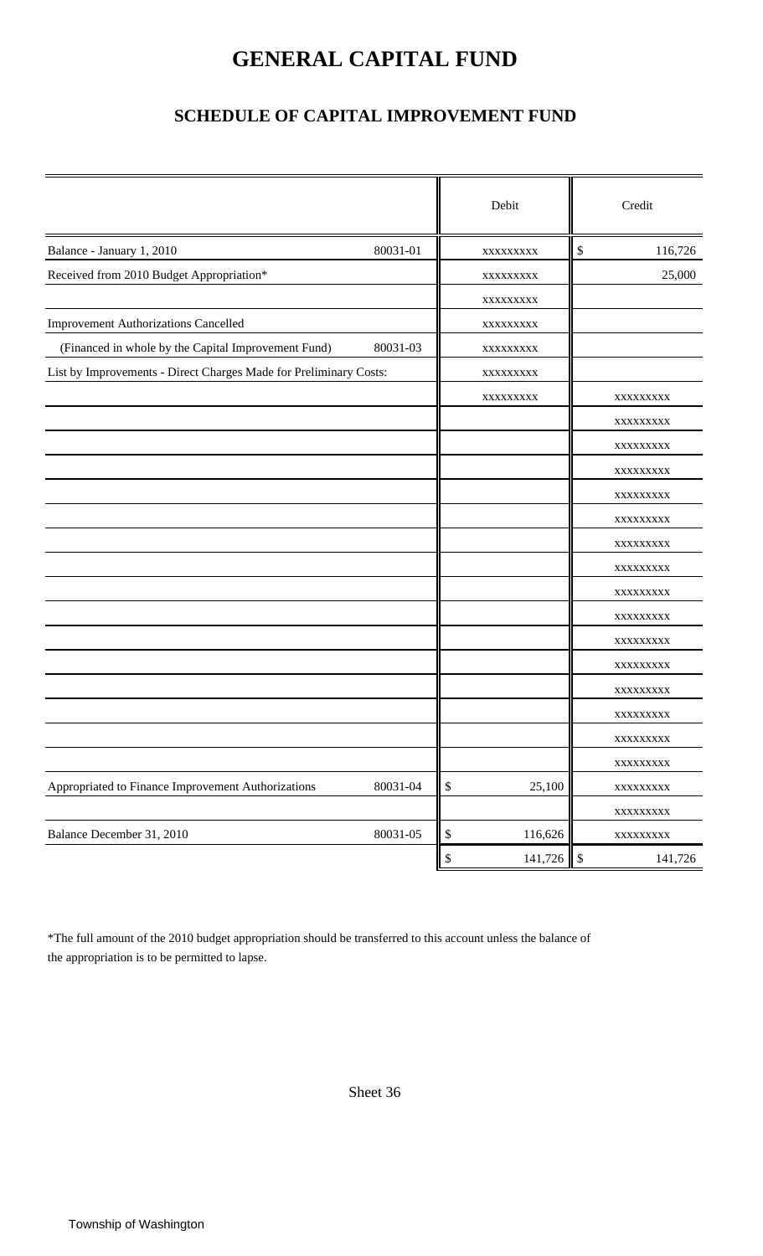## **GENERAL CAPITAL FUND**

### **SCHEDULE OF CAPITAL IMPROVEMENT FUND**

|                                                                   |          |      | Debit    | Credit                   |
|-------------------------------------------------------------------|----------|------|----------|--------------------------|
| Balance - January 1, 2010                                         | 80031-01 |      | XXXXXXXX | \$<br>116,726            |
| Received from 2010 Budget Appropriation*                          |          |      | XXXXXXXX | 25,000                   |
|                                                                   |          |      | XXXXXXXX |                          |
| <b>Improvement Authorizations Cancelled</b>                       |          |      | XXXXXXXX |                          |
| (Financed in whole by the Capital Improvement Fund)               | 80031-03 |      | XXXXXXXX |                          |
| List by Improvements - Direct Charges Made for Preliminary Costs: |          |      | XXXXXXXX |                          |
|                                                                   |          |      | XXXXXXXX | XXXXXXXX                 |
|                                                                   |          |      |          | XXXXXXXXX                |
|                                                                   |          |      |          | XXXXXXXXX                |
|                                                                   |          |      |          | XXXXXXXXX                |
|                                                                   |          |      |          | XXXXXXXX                 |
|                                                                   |          |      |          | XXXXXXXX                 |
|                                                                   |          |      |          | XXXXXXXX                 |
|                                                                   |          |      |          | XXXXXXXX                 |
|                                                                   |          |      |          | XXXXXXXX                 |
|                                                                   |          |      |          | XXXXXXXXX                |
|                                                                   |          |      |          | XXXXXXXXX                |
|                                                                   |          |      |          | XXXXXXXX                 |
|                                                                   |          |      |          | XXXXXXXXX                |
|                                                                   |          |      |          | XXXXXXXXX                |
|                                                                   |          |      |          | XXXXXXXXX                |
|                                                                   |          |      |          | XXXXXXXXX                |
| Appropriated to Finance Improvement Authorizations                | 80031-04 | $\$$ | 25,100   | XXXXXXXXX                |
|                                                                   |          |      |          | XXXXXXXXX                |
| Balance December 31, 2010                                         | 80031-05 | $\$$ | 116,626  | XXXXXXXXX                |
|                                                                   |          | \$   | 141,726  | $\mathcal{S}$<br>141,726 |

\*The full amount of the 2010 budget appropriation should be transferred to this account unless the balance of the appropriation is to be permitted to lapse.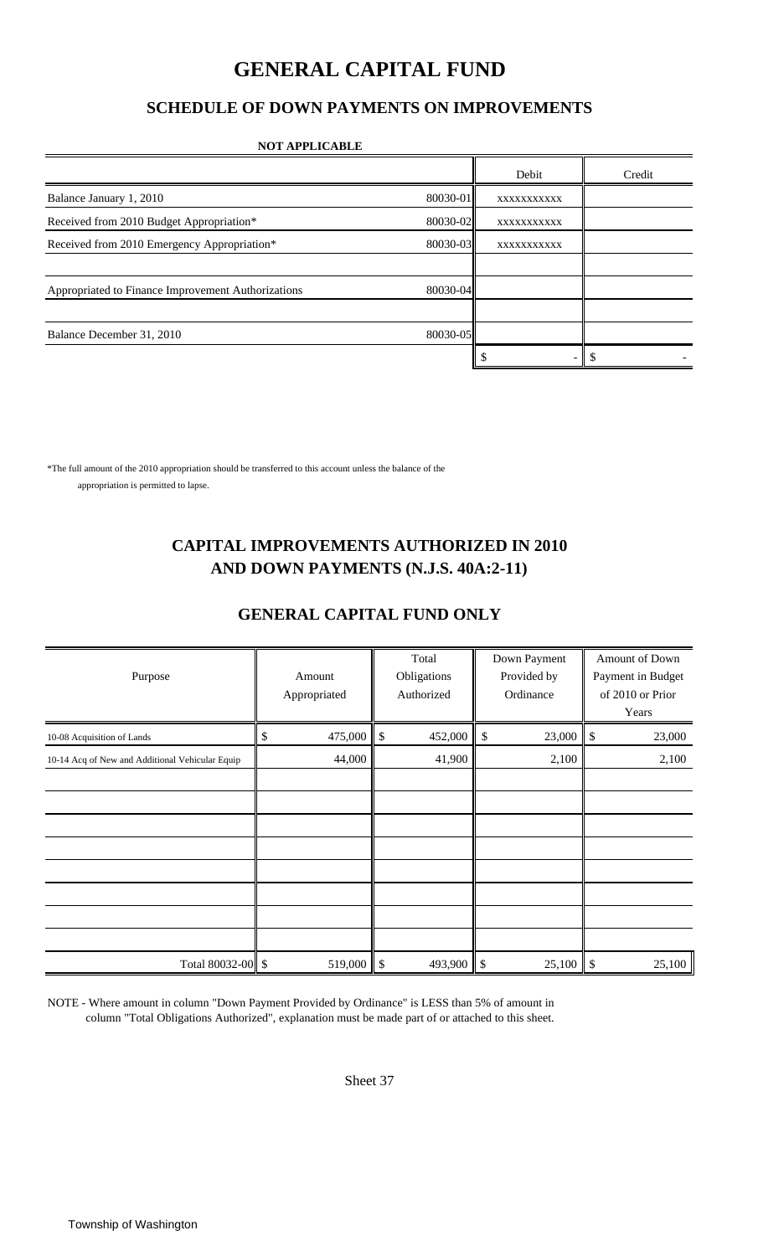### **GENERAL CAPITAL FUND**

### **SCHEDULE OF DOWN PAYMENTS ON IMPROVEMENTS**

#### **NOT APPLICABLE**

|                                                    |          | Debit       | Credit |
|----------------------------------------------------|----------|-------------|--------|
| Balance January 1, 2010                            | 80030-01 | XXXXXXXXXXX |        |
| Received from 2010 Budget Appropriation*           | 80030-02 | XXXXXXXXXXX |        |
| Received from 2010 Emergency Appropriation*        | 80030-03 | XXXXXXXXXXX |        |
|                                                    |          |             |        |
| Appropriated to Finance Improvement Authorizations | 80030-04 |             |        |
|                                                    |          |             |        |
| Balance December 31, 2010                          | 80030-05 |             |        |
|                                                    |          |             |        |

\*The full amount of the 2010 appropriation should be transferred to this account unless the balance of the appropriation is permitted to lapse.

### **CAPITAL IMPROVEMENTS AUTHORIZED IN 2010 AND DOWN PAYMENTS (N.J.S. 40A:2-11)**

### **GENERAL CAPITAL FUND ONLY**

|                                                 |               |                           | Total       |            | Down Payment |                           | Amount of Down    |
|-------------------------------------------------|---------------|---------------------------|-------------|------------|--------------|---------------------------|-------------------|
| Purpose                                         | Amount        |                           | Obligations |            | Provided by  |                           | Payment in Budget |
|                                                 | Appropriated  |                           | Authorized  |            | Ordinance    |                           | of 2010 or Prior  |
|                                                 |               |                           |             |            |              |                           | Years             |
| 10-08 Acquisition of Lands                      | \$<br>475,000 | $\mathbb{S}$              | 452,000     | -\$        | 23,000       | $\boldsymbol{\mathsf{S}}$ | 23,000            |
| 10-14 Acq of New and Additional Vehicular Equip | 44,000        |                           | 41,900      |            | 2,100        |                           | 2,100             |
|                                                 |               |                           |             |            |              |                           |                   |
|                                                 |               |                           |             |            |              |                           |                   |
|                                                 |               |                           |             |            |              |                           |                   |
|                                                 |               |                           |             |            |              |                           |                   |
|                                                 |               |                           |             |            |              |                           |                   |
|                                                 |               |                           |             |            |              |                           |                   |
|                                                 |               |                           |             |            |              |                           |                   |
|                                                 |               |                           |             |            |              |                           |                   |
| Total 80032-00 \$                               | 519,000       | $\boldsymbol{\mathsf{S}}$ | 493,900     | $\sqrt{3}$ | 25,100       | \$                        | 25,100            |

NOTE - Where amount in column "Down Payment Provided by Ordinance" is LESS than 5% of amount in column "Total Obligations Authorized", explanation must be made part of or attached to this sheet.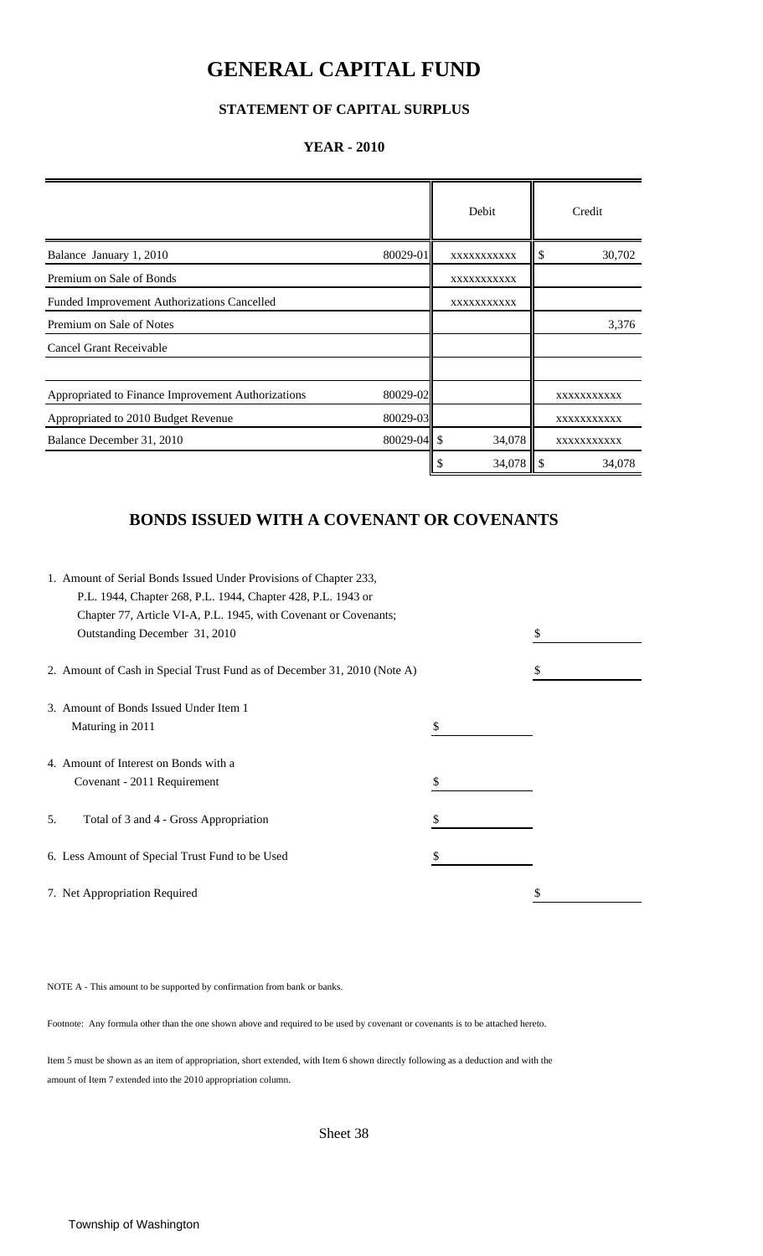### **GENERAL CAPITAL FUND**

### **STATEMENT OF CAPITAL SURPLUS**

#### **YEAR - 2010**

|                                                    |                 | Debit        | Credit        |
|----------------------------------------------------|-----------------|--------------|---------------|
| Balance January 1, 2010                            | 80029-01        | XXXXXXXXXXX  | \$<br>30,702  |
| Premium on Sale of Bonds                           |                 | XXXXXXXXXXX  |               |
| Funded Improvement Authorizations Cancelled        |                 | XXXXXXXXXXX  |               |
| Premium on Sale of Notes                           |                 |              | 3,376         |
| <b>Cancel Grant Receivable</b>                     |                 |              |               |
|                                                    |                 |              |               |
| Appropriated to Finance Improvement Authorizations | 80029-02        |              | XXXXXXXXXXX   |
| Appropriated to 2010 Budget Revenue                | 80029-03        |              | XXXXXXXXXXX   |
| Balance December 31, 2010                          | $80029 - 04$ \$ | 34,078       | XXXXXXXXXXX   |
|                                                    |                 | 34,078<br>\$ | -\$<br>34,078 |

### **BONDS ISSUED WITH A COVENANT OR COVENANTS**

|    | 1. Amount of Serial Bonds Issued Under Provisions of Chapter 233,        |    |  |
|----|--------------------------------------------------------------------------|----|--|
|    | P.L. 1944, Chapter 268, P.L. 1944, Chapter 428, P.L. 1943 or             |    |  |
|    | Chapter 77, Article VI-A, P.L. 1945, with Covenant or Covenants;         |    |  |
|    | Outstanding December 31, 2010                                            |    |  |
|    | 2. Amount of Cash in Special Trust Fund as of December 31, 2010 (Note A) | S  |  |
|    | 3. Amount of Bonds Issued Under Item 1                                   |    |  |
|    | Maturing in 2011                                                         | \$ |  |
|    | 4. Amount of Interest on Bonds with a                                    |    |  |
|    | Covenant - 2011 Requirement                                              | \$ |  |
| 5. | Total of 3 and 4 - Gross Appropriation                                   | \$ |  |
|    | 6. Less Amount of Special Trust Fund to be Used                          |    |  |
|    | 7. Net Appropriation Required                                            | \$ |  |

NOTE A - This amount to be supported by confirmation from bank or banks.

Footnote: Any formula other than the one shown above and required to be used by covenant or covenants is to be attached hereto.

Item 5 must be shown as an item of appropriation, short extended, with Item 6 shown directly following as a deduction and with the amount of Item 7 extended into the 2010 appropriation column.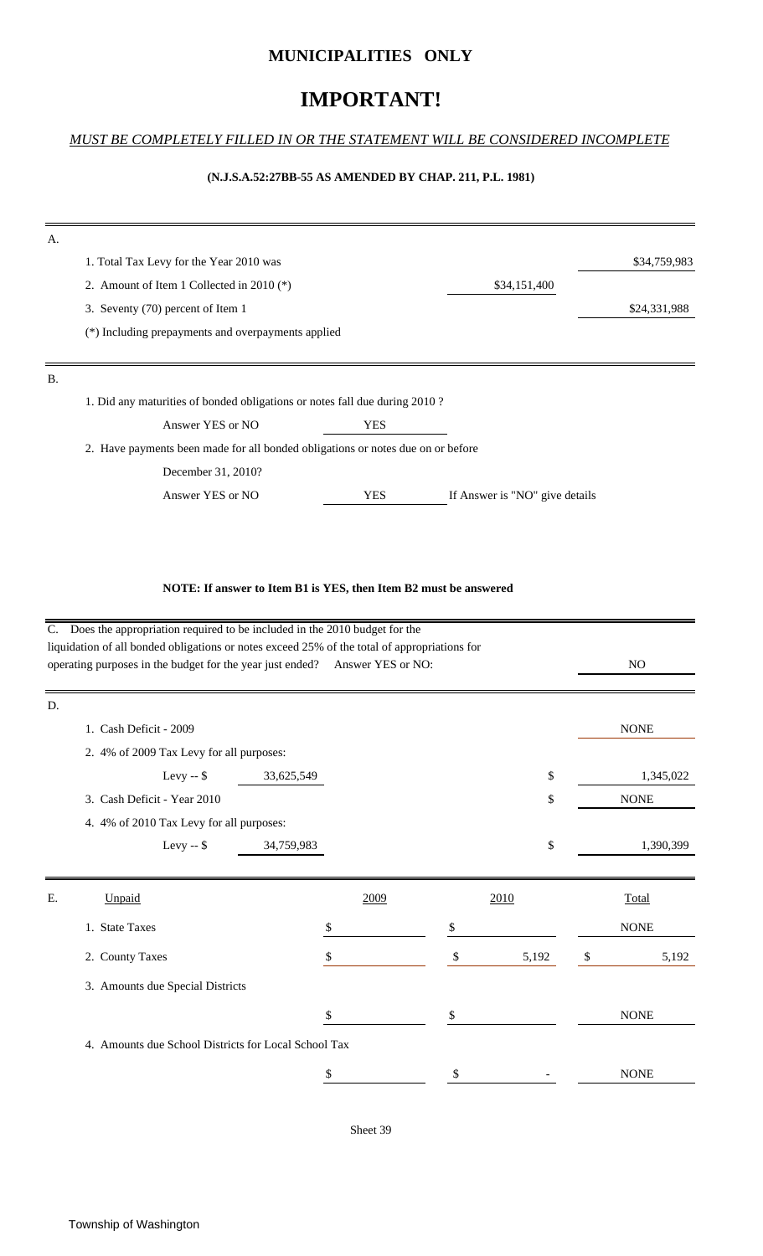#### **MUNICIPALITIES ONLY**

### **IMPORTANT!**

#### *MUST BE COMPLETELY FILLED IN OR THE STATEMENT WILL BE CONSIDERED INCOMPLETE*

#### **(N.J.S.A.52:27BB-55 AS AMENDED BY CHAP. 211, P.L. 1981)**

| A. |                                                                                 |            |                                |              |
|----|---------------------------------------------------------------------------------|------------|--------------------------------|--------------|
|    | 1. Total Tax Levy for the Year 2010 was                                         |            |                                | \$34,759,983 |
|    | 2. Amount of Item 1 Collected in 2010 $(*)$                                     |            | \$34,151,400                   |              |
|    | 3. Seventy (70) percent of Item 1                                               |            |                                | \$24,331,988 |
|    | (*) Including prepayments and overpayments applied                              |            |                                |              |
|    |                                                                                 |            |                                |              |
| Β. |                                                                                 |            |                                |              |
|    | 1. Did any maturities of bonded obligations or notes fall due during 2010?      |            |                                |              |
|    | Answer YES or NO                                                                | <b>YES</b> |                                |              |
|    | 2. Have payments been made for all bonded obligations or notes due on or before |            |                                |              |
|    | December 31, 2010?                                                              |            |                                |              |
|    | Answer YES or NO                                                                | <b>YES</b> | If Answer is "NO" give details |              |

#### **NOTE: If answer to Item B1 is YES, then Item B2 must be answered**

|    | C. Does the appropriation required to be included in the 2010 budget for the                                                                                                |            |             |                |
|----|-----------------------------------------------------------------------------------------------------------------------------------------------------------------------------|------------|-------------|----------------|
|    | liquidation of all bonded obligations or notes exceed 25% of the total of appropriations for<br>operating purposes in the budget for the year just ended? Answer YES or NO: |            |             | N <sub>O</sub> |
| D. |                                                                                                                                                                             |            |             |                |
|    | 1. Cash Deficit - 2009                                                                                                                                                      |            |             | <b>NONE</b>    |
|    | 2. 4% of 2009 Tax Levy for all purposes:                                                                                                                                    |            |             |                |
|    | Levy -- $$$                                                                                                                                                                 | 33,625,549 | \$          | 1,345,022      |
|    | 3. Cash Deficit - Year 2010                                                                                                                                                 |            | \$          | <b>NONE</b>    |
|    | 4. 4% of 2010 Tax Levy for all purposes:                                                                                                                                    |            |             |                |
|    | Levy -- $$$                                                                                                                                                                 | 34,759,983 | \$          | 1,390,399      |
|    |                                                                                                                                                                             |            |             |                |
| Ε. | Unpaid                                                                                                                                                                      | 2009       | 2010        | <b>Total</b>   |
|    | 1. State Taxes                                                                                                                                                              | \$         | \$          | <b>NONE</b>    |
|    | 2. County Taxes                                                                                                                                                             | S          | \$<br>5,192 | \$<br>5,192    |
|    | 3. Amounts due Special Districts                                                                                                                                            |            |             |                |
|    |                                                                                                                                                                             | \$         | \$          | <b>NONE</b>    |
|    | 4. Amounts due School Districts for Local School Tax                                                                                                                        |            |             |                |
|    |                                                                                                                                                                             | \$         | \$          | <b>NONE</b>    |